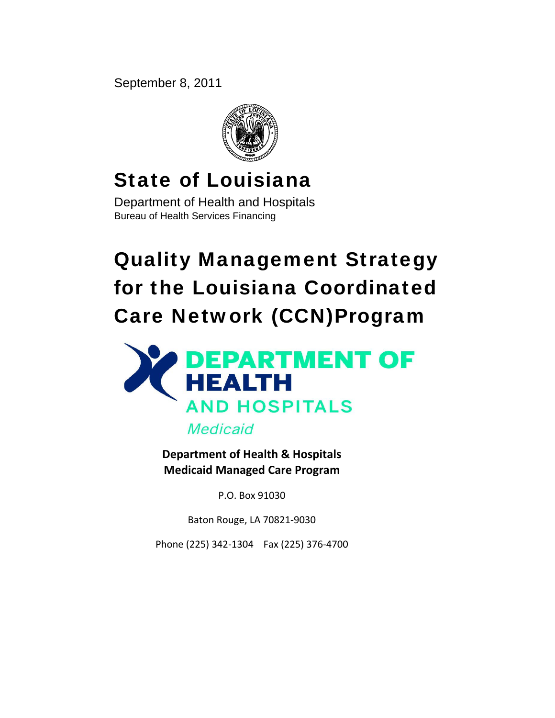September 8, 2011



## State of Louisiana

Department of Health and Hospitals Bureau of Health Services Financing

# Quality Management Strategy for the Louisiana Coordinated Care Network (CCN)Program



**Department of Health & Hospitals Medicaid Managed Care Program**

P.O. Box 91030

Baton Rouge, LA 70821‐9030

Phone (225) 342‐1304 Fax (225) 376‐4700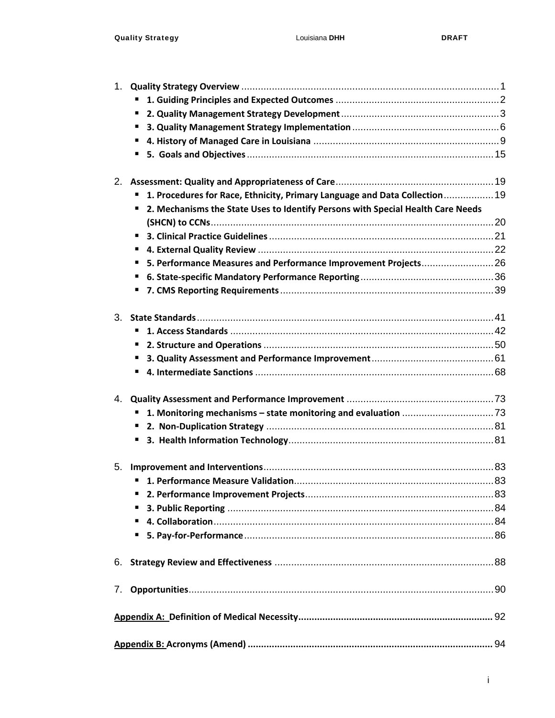| 1. |                                                                                      |  |
|----|--------------------------------------------------------------------------------------|--|
|    |                                                                                      |  |
|    | п                                                                                    |  |
|    | ٠                                                                                    |  |
|    | п                                                                                    |  |
|    |                                                                                      |  |
|    |                                                                                      |  |
|    |                                                                                      |  |
|    | 1. Procedures for Race, Ethnicity, Primary Language and Data Collection 19           |  |
|    | 2. Mechanisms the State Uses to Identify Persons with Special Health Care Needs<br>ш |  |
|    |                                                                                      |  |
|    |                                                                                      |  |
|    | п                                                                                    |  |
|    | 5. Performance Measures and Performance Improvement Projects 26<br>п                 |  |
|    | Е                                                                                    |  |
|    | ш                                                                                    |  |
|    |                                                                                      |  |
|    |                                                                                      |  |
|    |                                                                                      |  |
|    | $\blacksquare$                                                                       |  |
|    |                                                                                      |  |
|    |                                                                                      |  |
| 4. |                                                                                      |  |
|    |                                                                                      |  |
|    |                                                                                      |  |
|    | п                                                                                    |  |
|    |                                                                                      |  |
| 5. |                                                                                      |  |
|    |                                                                                      |  |
|    | п                                                                                    |  |
|    | п                                                                                    |  |
|    | п                                                                                    |  |
|    | п                                                                                    |  |
| 6. |                                                                                      |  |
|    |                                                                                      |  |
|    |                                                                                      |  |
|    |                                                                                      |  |
|    |                                                                                      |  |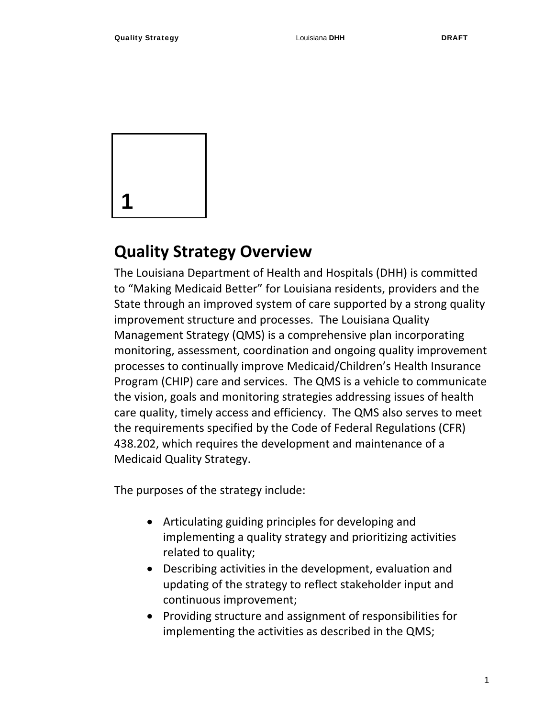

## **Quality Strategy Overview**

The Louisiana Department of Health and Hospitals (DHH) is committed to "Making Medicaid Better" for Louisiana residents, providers and the State through an improved system of care supported by a strong quality improvement structure and processes. The Louisiana Quality Management Strategy (QMS) is a comprehensive plan incorporating monitoring, assessment, coordination and ongoing quality improvement processes to continually improve Medicaid/Children's Health Insurance Program (CHIP) care and services. The QMS is a vehicle to communicate the vision, goals and monitoring strategies addressing issues of health care quality, timely access and efficiency. The QMS also serves to meet the requirements specified by the Code of Federal Regulations (CFR) 438.202, which requires the development and maintenance of a Medicaid Quality Strategy.

The purposes of the strategy include:

- Articulating guiding principles for developing and implementing a quality strategy and prioritizing activities related to quality;
- Describing activities in the development, evaluation and updating of the strategy to reflect stakeholder input and continuous improvement;
- Providing structure and assignment of responsibilities for implementing the activities as described in the QMS;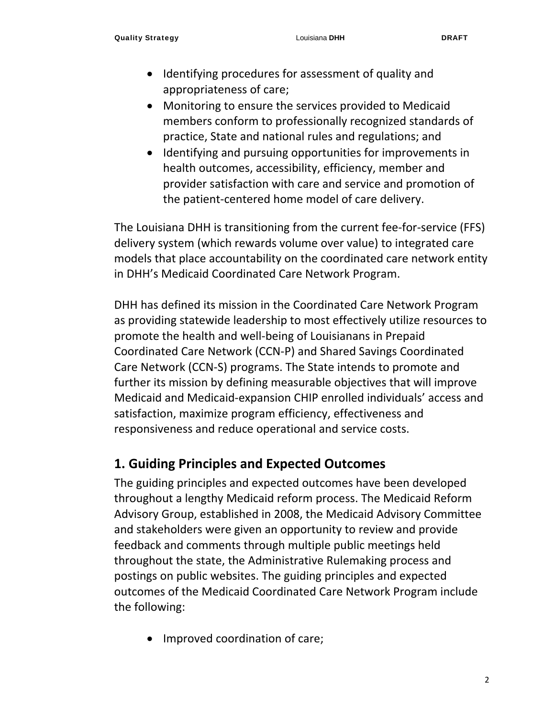- Identifying procedures for assessment of quality and appropriateness of care;
- Monitoring to ensure the services provided to Medicaid members conform to professionally recognized standards of practice, State and national rules and regulations; and
- Identifying and pursuing opportunities for improvements in health outcomes, accessibility, efficiency, member and provider satisfaction with care and service and promotion of the patient‐centered home model of care delivery.

The Louisiana DHH is transitioning from the current fee‐for‐service (FFS) delivery system (which rewards volume over value) to integrated care models that place accountability on the coordinated care network entity in DHH's Medicaid Coordinated Care Network Program.

DHH has defined its mission in the Coordinated Care Network Program as providing statewide leadership to most effectively utilize resources to promote the health and well‐being of Louisianans in Prepaid Coordinated Care Network (CCN‐P) and Shared Savings Coordinated Care Network (CCN‐S) programs. The State intends to promote and further its mission by defining measurable objectives that will improve Medicaid and Medicaid‐expansion CHIP enrolled individuals' access and satisfaction, maximize program efficiency, effectiveness and responsiveness and reduce operational and service costs.

## **1. Guiding Principles and Expected Outcomes**

The guiding principles and expected outcomes have been developed throughout a lengthy Medicaid reform process. The Medicaid Reform Advisory Group, established in 2008, the Medicaid Advisory Committee and stakeholders were given an opportunity to review and provide feedback and comments through multiple public meetings held throughout the state, the Administrative Rulemaking process and postings on public websites. The guiding principles and expected outcomes of the Medicaid Coordinated Care Network Program include the following:

• Improved coordination of care;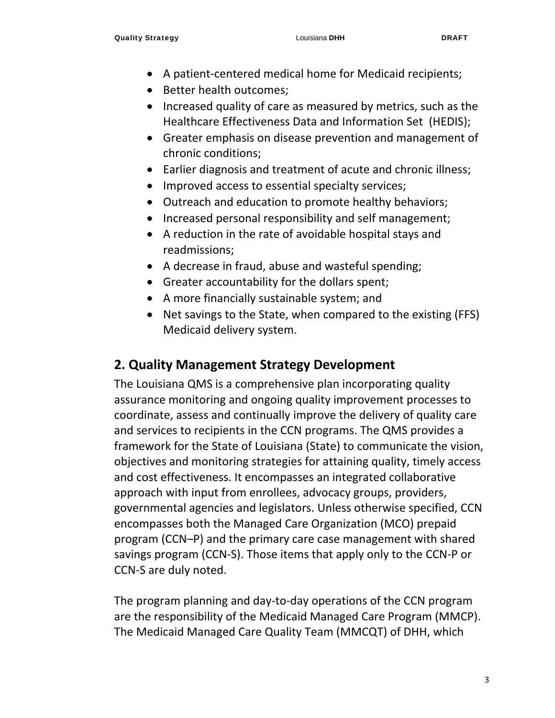- A patient-centered medical home for Medicaid recipients;
- Better health outcomes;
- Increased quality of care as measured by metrics, such as the Healthcare Effectiveness Data and Information Set (HEDIS);
- Greater emphasis on disease prevention and management of chronic conditions;
- Earlier diagnosis and treatment of acute and chronic illness;
- Improved access to essential specialty services;
- Outreach and education to promote healthy behaviors;
- Increased personal responsibility and self management;
- A reduction in the rate of avoidable hospital stays and readmissions;
- A decrease in fraud, abuse and wasteful spending;
- Greater accountability for the dollars spent;
- A more financially sustainable system; and
- Net savings to the State, when compared to the existing (FFS) Medicaid delivery system.

## **2. Quality Management Strategy Development**

The Louisiana QMS is a comprehensive plan incorporating quality assurance monitoring and ongoing quality improvement processes to coordinate, assess and continually improve the delivery of quality care and services to recipients in the CCN programs. The QMS provides a framework for the State of Louisiana (State) to communicate the vision, objectives and monitoring strategies for attaining quality, timely access and cost effectiveness. It encompasses an integrated collaborative approach with input from enrollees, advocacy groups, providers, governmental agencies and legislators. Unless otherwise specified, CCN encompasses both the Managed Care Organization (MCO) prepaid program (CCN–P) and the primary care case management with shared savings program (CCN‐S). Those items that apply only to the CCN‐P or CCN‐S are duly noted.

The program planning and day‐to‐day operations of the CCN program are the responsibility of the Medicaid Managed Care Program (MMCP). The Medicaid Managed Care Quality Team (MMCQT) of DHH, which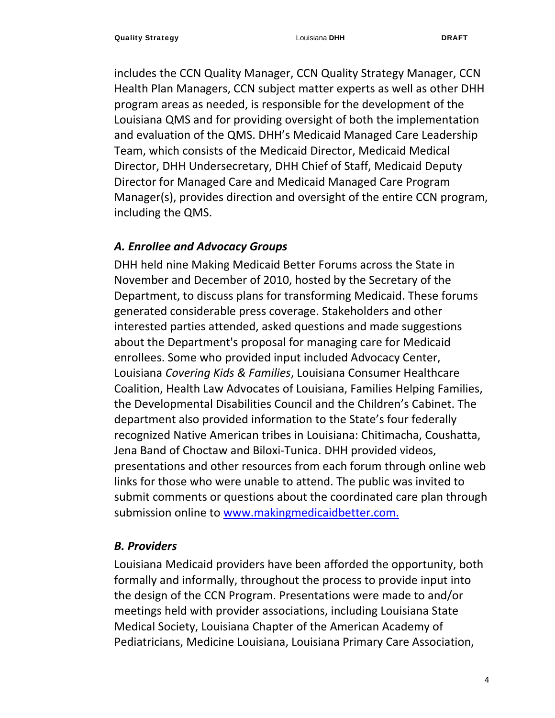includes the CCN Quality Manager, CCN Quality Strategy Manager, CCN Health Plan Managers, CCN subject matter experts as well as other DHH program areas as needed, is responsible for the development of the Louisiana QMS and for providing oversight of both the implementation and evaluation of the QMS. DHH's Medicaid Managed Care Leadership Team, which consists of the Medicaid Director, Medicaid Medical Director, DHH Undersecretary, DHH Chief of Staff, Medicaid Deputy Director for Managed Care and Medicaid Managed Care Program Manager(s), provides direction and oversight of the entire CCN program, including the QMS.

#### *A. Enrollee and Advocacy Groups*

DHH held nine Making Medicaid Better Forums across the State in November and December of 2010, hosted by the Secretary of the Department, to discuss plans for transforming Medicaid. These forums generated considerable press coverage. Stakeholders and other interested parties attended, asked questions and made suggestions about the Department's proposal for managing care for Medicaid enrollees. Some who provided input included Advocacy Center, Louisiana *Covering Kids & Families*, Louisiana Consumer Healthcare Coalition, Health Law Advocates of Louisiana, Families Helping Families, the Developmental Disabilities Council and the Children's Cabinet. The department also provided information to the State's four federally recognized Native American tribes in Louisiana: Chitimacha, Coushatta, Jena Band of Choctaw and Biloxi‐Tunica. DHH provided videos, presentations and other resources from each forum through online web links for those who were unable to attend. The public was invited to submit comments or questions about the coordinated care plan through submission online to www.makingmedicaidbetter.com.

#### *B. Providers*

Louisiana Medicaid providers have been afforded the opportunity, both formally and informally, throughout the process to provide input into the design of the CCN Program. Presentations were made to and/or meetings held with provider associations, including Louisiana State Medical Society, Louisiana Chapter of the American Academy of Pediatricians, Medicine Louisiana, Louisiana Primary Care Association,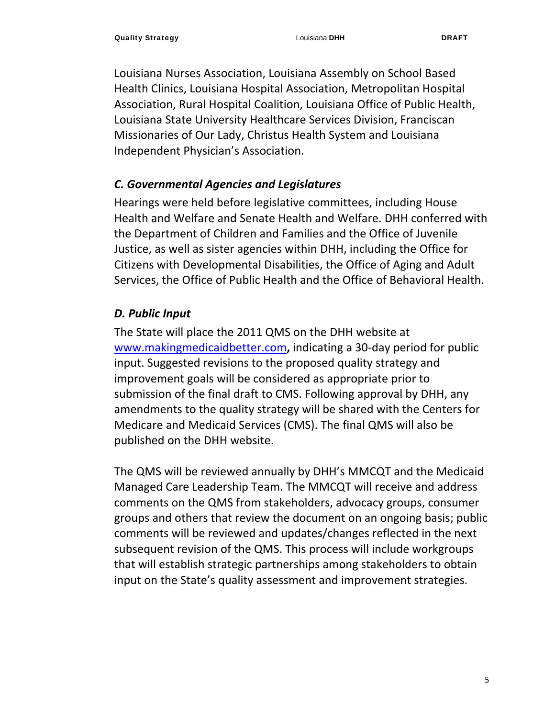Louisiana Nurses Association, Louisiana Assembly on School Based Health Clinics, Louisiana Hospital Association, Metropolitan Hospital Association, Rural Hospital Coalition, Louisiana Office of Public Health, Louisiana State University Healthcare Services Division, Franciscan Missionaries of Our Lady, Christus Health System and Louisiana Independent Physician's Association.

#### *C. Governmental Agencies and Legislatures*

Hearings were held before legislative committees, including House Health and Welfare and Senate Health and Welfare. DHH conferred with the Department of Children and Families and the Office of Juvenile Justice, as well as sister agencies within DHH, including the Office for Citizens with Developmental Disabilities, the Office of Aging and Adult Services, the Office of Public Health and the Office of Behavioral Health.

#### *D. Public Input*

The State will place the 2011 QMS on the DHH website at www.makingmedicaidbetter.com**,** indicating a 30‐day period for public input. Suggested revisions to the proposed quality strategy and improvement goals will be considered as appropriate prior to submission of the final draft to CMS. Following approval by DHH, any amendments to the quality strategy will be shared with the Centers for Medicare and Medicaid Services (CMS). The final QMS will also be published on the DHH website.

The QMS will be reviewed annually by DHH's MMCQT and the Medicaid Managed Care Leadership Team. The MMCQT will receive and address comments on the QMS from stakeholders, advocacy groups, consumer groups and others that review the document on an ongoing basis; public comments will be reviewed and updates/changes reflected in the next subsequent revision of the QMS. This process will include workgroups that will establish strategic partnerships among stakeholders to obtain input on the State's quality assessment and improvement strategies.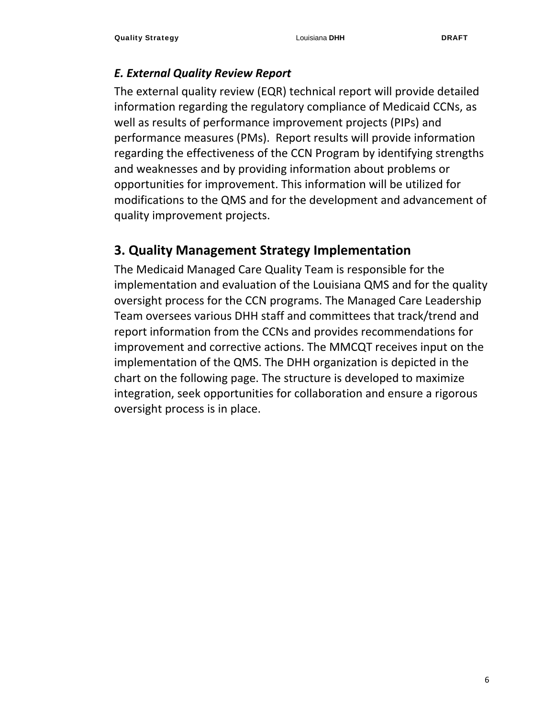#### *E. External Quality Review Report*

The external quality review (EQR) technical report will provide detailed information regarding the regulatory compliance of Medicaid CCNs, as well as results of performance improvement projects (PIPs) and performance measures (PMs). Report results will provide information regarding the effectiveness of the CCN Program by identifying strengths and weaknesses and by providing information about problems or opportunities for improvement. This information will be utilized for modifications to the QMS and for the development and advancement of quality improvement projects.

## **3. Quality Management Strategy Implementation**

The Medicaid Managed Care Quality Team is responsible for the implementation and evaluation of the Louisiana QMS and for the quality oversight process for the CCN programs. The Managed Care Leadership Team oversees various DHH staff and committees that track/trend and report information from the CCNs and provides recommendations for improvement and corrective actions. The MMCQT receives input on the implementation of the QMS. The DHH organization is depicted in the chart on the following page. The structure is developed to maximize integration, seek opportunities for collaboration and ensure a rigorous oversight process is in place.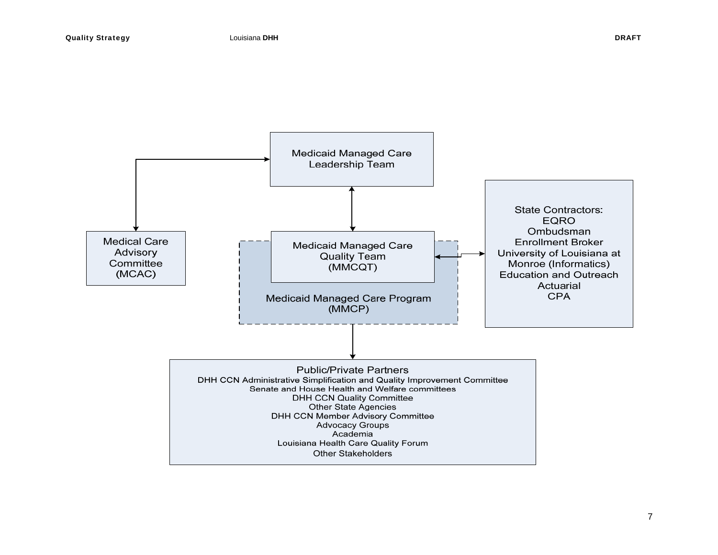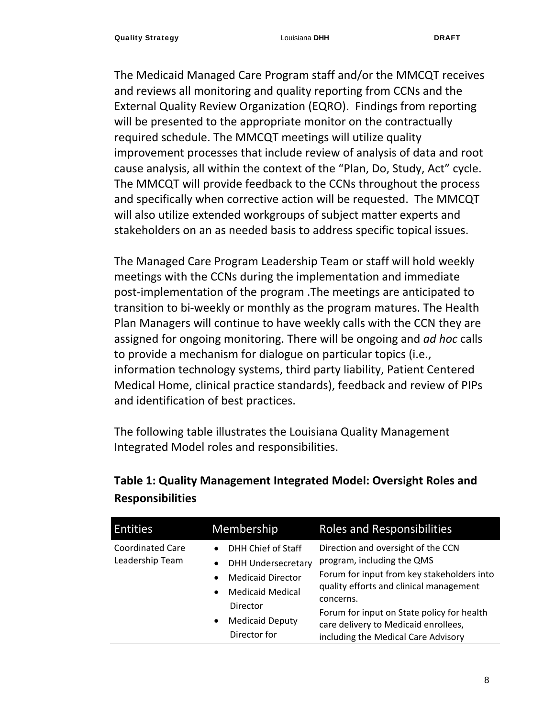The Medicaid Managed Care Program staff and/or the MMCQT receives and reviews all monitoring and quality reporting from CCNs and the External Quality Review Organization (EQRO). Findings from reporting will be presented to the appropriate monitor on the contractually required schedule. The MMCQT meetings will utilize quality improvement processes that include review of analysis of data and root cause analysis, all within the context of the "Plan, Do, Study, Act" cycle. The MMCQT will provide feedback to the CCNs throughout the process and specifically when corrective action will be requested. The MMCQT will also utilize extended workgroups of subject matter experts and stakeholders on an as needed basis to address specific topical issues.

The Managed Care Program Leadership Team or staff will hold weekly meetings with the CCNs during the implementation and immediate post‐implementation of the program .The meetings are anticipated to transition to bi‐weekly or monthly as the program matures. The Health Plan Managers will continue to have weekly calls with the CCN they are assigned for ongoing monitoring. There will be ongoing and *ad hoc* calls to provide a mechanism for dialogue on particular topics (i.e., information technology systems, third party liability, Patient Centered Medical Home, clinical practice standards), feedback and review of PIPs and identification of best practices.

The following table illustrates the Louisiana Quality Management Integrated Model roles and responsibilities.

| <b>Entities</b>                            | <b>Membership</b>                                                                                                                                                                                                             | <b>Roles and Responsibilities</b>                                                                                                                                                                                                                                                                   |
|--------------------------------------------|-------------------------------------------------------------------------------------------------------------------------------------------------------------------------------------------------------------------------------|-----------------------------------------------------------------------------------------------------------------------------------------------------------------------------------------------------------------------------------------------------------------------------------------------------|
| <b>Coordinated Care</b><br>Leadership Team | DHH Chief of Staff<br>$\bullet$<br><b>DHH Undersecretary</b><br>$\bullet$<br><b>Medicaid Director</b><br>$\bullet$<br><b>Medicaid Medical</b><br>$\bullet$<br>Director<br><b>Medicaid Deputy</b><br>$\bullet$<br>Director for | Direction and oversight of the CCN<br>program, including the QMS<br>Forum for input from key stakeholders into<br>quality efforts and clinical management<br>concerns.<br>Forum for input on State policy for health<br>care delivery to Medicaid enrollees,<br>including the Medical Care Advisory |

## **Table 1: Quality Management Integrated Model: Oversight Roles and Responsibilities**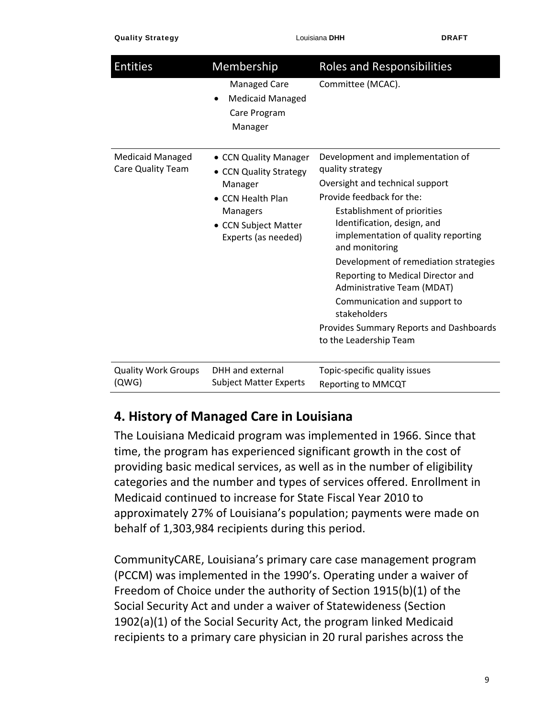#### Quality Strategy Louisiana **DHH** DRAFT

| <b>Entities</b>                              | Membership                                                                                                                                        | <b>Roles and Responsibilities</b>                                                                                                                                                                                                                                                                                                                                                                                                                                             |
|----------------------------------------------|---------------------------------------------------------------------------------------------------------------------------------------------------|-------------------------------------------------------------------------------------------------------------------------------------------------------------------------------------------------------------------------------------------------------------------------------------------------------------------------------------------------------------------------------------------------------------------------------------------------------------------------------|
|                                              | <b>Managed Care</b><br><b>Medicaid Managed</b><br>$\bullet$<br>Care Program<br>Manager                                                            | Committee (MCAC).                                                                                                                                                                                                                                                                                                                                                                                                                                                             |
| <b>Medicaid Managed</b><br>Care Quality Team | • CCN Quality Manager<br>• CCN Quality Strategy<br>Manager<br>• CCN Health Plan<br><b>Managers</b><br>• CCN Subject Matter<br>Experts (as needed) | Development and implementation of<br>quality strategy<br>Oversight and technical support<br>Provide feedback for the:<br>Establishment of priorities<br>Identification, design, and<br>implementation of quality reporting<br>and monitoring<br>Development of remediation strategies<br>Reporting to Medical Director and<br>Administrative Team (MDAT)<br>Communication and support to<br>stakeholders<br>Provides Summary Reports and Dashboards<br>to the Leadership Team |
| <b>Quality Work Groups</b><br>(QWG)          | DHH and external<br><b>Subject Matter Experts</b>                                                                                                 | Topic-specific quality issues<br>Reporting to MMCQT                                                                                                                                                                                                                                                                                                                                                                                                                           |

## **4. History of Managed Care in Louisiana**

The Louisiana Medicaid program was implemented in 1966. Since that time, the program has experienced significant growth in the cost of providing basic medical services, as well as in the number of eligibility categories and the number and types of services offered. Enrollment in Medicaid continued to increase for State Fiscal Year 2010 to approximately 27% of Louisiana's population; payments were made on behalf of 1,303,984 recipients during this period.

CommunityCARE, Louisiana's primary care case management program (PCCM) was implemented in the 1990's. Operating under a waiver of Freedom of Choice under the authority of Section 1915(b)(1) of the Social Security Act and under a waiver of Statewideness (Section 1902(a)(1) of the Social Security Act, the program linked Medicaid recipients to a primary care physician in 20 rural parishes across the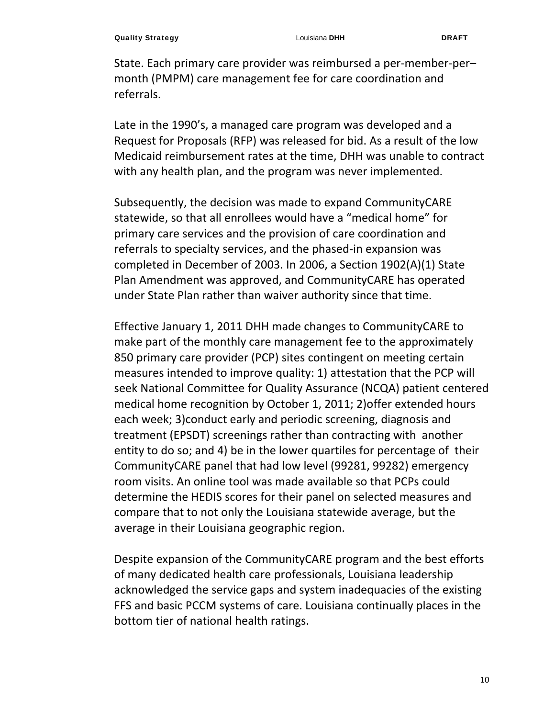State. Each primary care provider was reimbursed a per‐member‐per– month (PMPM) care management fee for care coordination and referrals.

Late in the 1990's, a managed care program was developed and a Request for Proposals (RFP) was released for bid. As a result of the low Medicaid reimbursement rates at the time, DHH was unable to contract with any health plan, and the program was never implemented.

Subsequently, the decision was made to expand CommunityCARE statewide, so that all enrollees would have a "medical home" for primary care services and the provision of care coordination and referrals to specialty services, and the phased‐in expansion was completed in December of 2003. In 2006, a Section 1902(A)(1) State Plan Amendment was approved, and CommunityCARE has operated under State Plan rather than waiver authority since that time.

Effective January 1, 2011 DHH made changes to CommunityCARE to make part of the monthly care management fee to the approximately 850 primary care provider (PCP) sites contingent on meeting certain measures intended to improve quality: 1) attestation that the PCP will seek National Committee for Quality Assurance (NCQA) patient centered medical home recognition by October 1, 2011; 2)offer extended hours each week; 3)conduct early and periodic screening, diagnosis and treatment (EPSDT) screenings rather than contracting with another entity to do so; and 4) be in the lower quartiles for percentage of their CommunityCARE panel that had low level (99281, 99282) emergency room visits. An online tool was made available so that PCPs could determine the HEDIS scores for their panel on selected measures and compare that to not only the Louisiana statewide average, but the average in their Louisiana geographic region.

Despite expansion of the CommunityCARE program and the best efforts of many dedicated health care professionals, Louisiana leadership acknowledged the service gaps and system inadequacies of the existing FFS and basic PCCM systems of care. Louisiana continually places in the bottom tier of national health ratings.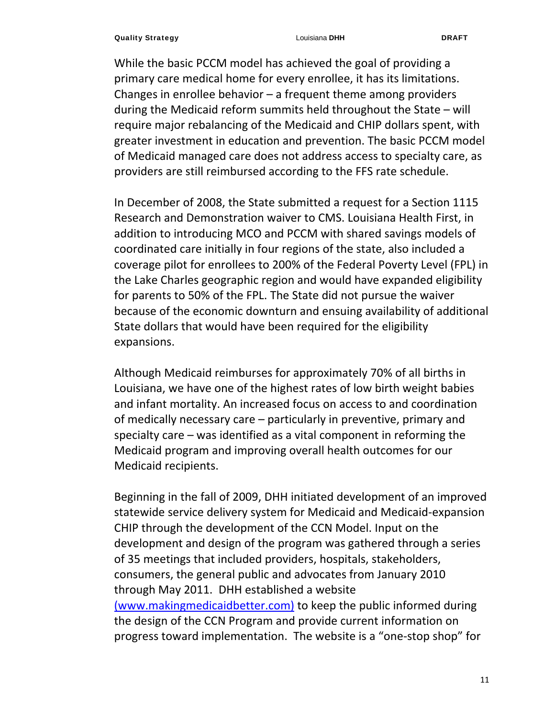While the basic PCCM model has achieved the goal of providing a primary care medical home for every enrollee, it has its limitations. Changes in enrollee behavior  $-$  a frequent theme among providers during the Medicaid reform summits held throughout the State – will require major rebalancing of the Medicaid and CHIP dollars spent, with greater investment in education and prevention. The basic PCCM model of Medicaid managed care does not address access to specialty care, as providers are still reimbursed according to the FFS rate schedule.

In December of 2008, the State submitted a request for a Section 1115 Research and Demonstration waiver to CMS. Louisiana Health First, in addition to introducing MCO and PCCM with shared savings models of coordinated care initially in four regions of the state, also included a coverage pilot for enrollees to 200% of the Federal Poverty Level (FPL) in the Lake Charles geographic region and would have expanded eligibility for parents to 50% of the FPL. The State did not pursue the waiver because of the economic downturn and ensuing availability of additional State dollars that would have been required for the eligibility expansions.

Although Medicaid reimburses for approximately 70% of all births in Louisiana, we have one of the highest rates of low birth weight babies and infant mortality. An increased focus on access to and coordination of medically necessary care – particularly in preventive, primary and specialty care – was identified as a vital component in reforming the Medicaid program and improving overall health outcomes for our Medicaid recipients.

Beginning in the fall of 2009, DHH initiated development of an improved statewide service delivery system for Medicaid and Medicaid‐expansion CHIP through the development of the CCN Model. Input on the development and design of the program was gathered through a series of 35 meetings that included providers, hospitals, stakeholders, consumers, the general public and advocates from January 2010 through May 2011. DHH established a website (www.makingmedicaidbetter.com) to keep the public informed during the design of the CCN Program and provide current information on progress toward implementation. The website is a "one‐stop shop" for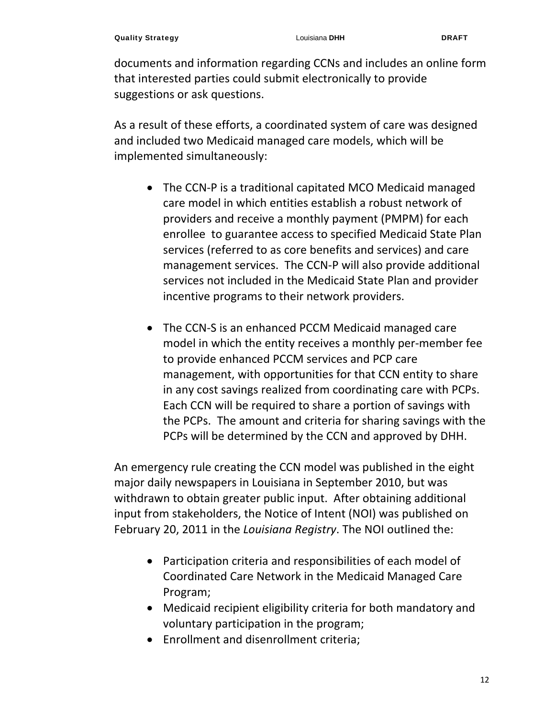documents and information regarding CCNs and includes an online form that interested parties could submit electronically to provide suggestions or ask questions.

As a result of these efforts, a coordinated system of care was designed and included two Medicaid managed care models, which will be implemented simultaneously:

- The CCN‐P is a traditional capitated MCO Medicaid managed care model in which entities establish a robust network of providers and receive a monthly payment (PMPM) for each enrollee to guarantee access to specified Medicaid State Plan services (referred to as core benefits and services) and care management services. The CCN‐P will also provide additional services not included in the Medicaid State Plan and provider incentive programs to their network providers.
- The CCN‐S is an enhanced PCCM Medicaid managed care model in which the entity receives a monthly per-member fee to provide enhanced PCCM services and PCP care management, with opportunities for that CCN entity to share in any cost savings realized from coordinating care with PCPs. Each CCN will be required to share a portion of savings with the PCPs. The amount and criteria for sharing savings with the PCPs will be determined by the CCN and approved by DHH.

An emergency rule creating the CCN model was published in the eight major daily newspapers in Louisiana in September 2010, but was withdrawn to obtain greater public input. After obtaining additional input from stakeholders, the Notice of Intent (NOI) was published on February 20, 2011 in the *Louisiana Registry*. The NOI outlined the:

- Participation criteria and responsibilities of each model of Coordinated Care Network in the Medicaid Managed Care Program;
- Medicaid recipient eligibility criteria for both mandatory and voluntary participation in the program;
- Enrollment and disenrollment criteria;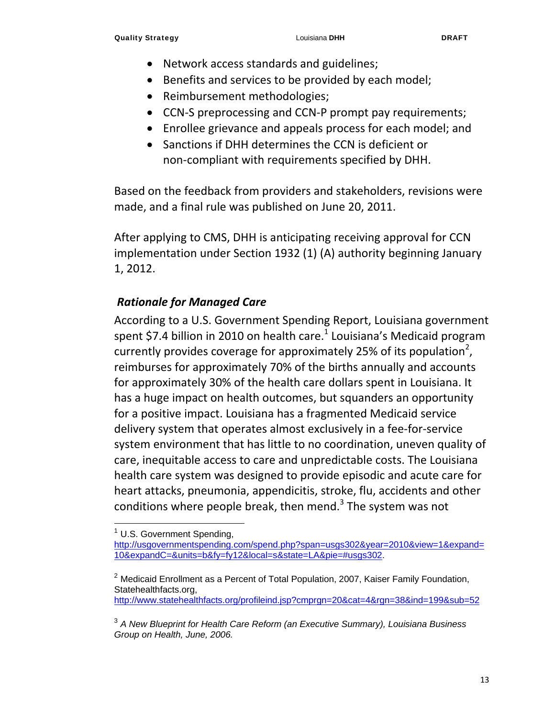- Network access standards and guidelines;
- Benefits and services to be provided by each model;
- Reimbursement methodologies;
- CCN-S preprocessing and CCN-P prompt pay requirements;
- Enrollee grievance and appeals process for each model; and
- Sanctions if DHH determines the CCN is deficient or non‐compliant with requirements specified by DHH.

Based on the feedback from providers and stakeholders, revisions were made, and a final rule was published on June 20, 2011.

After applying to CMS, DHH is anticipating receiving approval for CCN implementation under Section 1932 (1) (A) authority beginning January 1, 2012.

#### *Rationale for Managed Care*

According to a U.S. Government Spending Report, Louisiana government spent \$7.4 billion in 2010 on health care. $1$  Louisiana's Medicaid program currently provides coverage for approximately 25% of its population<sup>2</sup>, reimburses for approximately 70% of the births annually and accounts for approximately 30% of the health care dollars spent in Louisiana. It has a huge impact on health outcomes, but squanders an opportunity for a positive impact. Louisiana has a fragmented Medicaid service delivery system that operates almost exclusively in a fee‐for‐service system environment that has little to no coordination, uneven quality of care, inequitable access to care and unpredictable costs. The Louisiana health care system was designed to provide episodic and acute care for heart attacks, pneumonia, appendicitis, stroke, flu, accidents and other conditions where people break, then mend. $3$  The system was not

http://www.statehealthfacts.org/profileind.jsp?cmprgn=20&cat=4&rgn=38&ind=199&sub=52

 $<sup>1</sup>$  U.S. Government Spending,</sup>

http://usgovernmentspending.com/spend.php?span=usgs302&year=2010&view=1&expand= 10&expandC=&units=b&fy=fy12&local=s&state=LA&pie=#usgs302.

 $2$  Medicaid Enrollment as a Percent of Total Population, 2007, Kaiser Family Foundation, Statehealthfacts.org,

<sup>3</sup> *A New Blueprint for Health Care Reform (an Executive Summary), Louisiana Business Group on Health, June, 2006.*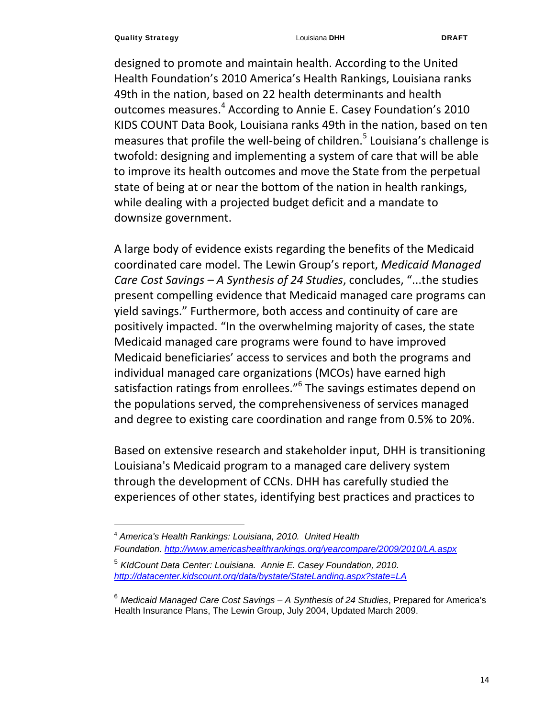designed to promote and maintain health. According to the United Health Foundation's 2010 America's Health Rankings, Louisiana ranks 49th in the nation, based on 22 health determinants and health outcomes measures.<sup>4</sup> According to Annie E. Casey Foundation's 2010 KIDS COUNT Data Book, Louisiana ranks 49th in the nation, based on ten measures that profile the well-being of children.<sup>5</sup> Louisiana's challenge is twofold: designing and implementing a system of care that will be able to improve its health outcomes and move the State from the perpetual state of being at or near the bottom of the nation in health rankings, while dealing with a projected budget deficit and a mandate to downsize government.

A large body of evidence exists regarding the benefits of the Medicaid coordinated care model. The Lewin Group's report, *Medicaid Managed Care Cost Savings – A Synthesis of 24 Studies*, concludes, "...the studies present compelling evidence that Medicaid managed care programs can yield savings." Furthermore, both access and continuity of care are positively impacted. "In the overwhelming majority of cases, the state Medicaid managed care programs were found to have improved Medicaid beneficiaries' access to services and both the programs and individual managed care organizations (MCOs) have earned high satisfaction ratings from enrollees."<sup>6</sup> The savings estimates depend on the populations served, the comprehensiveness of services managed and degree to existing care coordination and range from 0.5% to 20%.

Based on extensive research and stakeholder input, DHH is transitioning Louisiana's Medicaid program to a managed care delivery system through the development of CCNs. DHH has carefully studied the experiences of other states, identifying best practices and practices to

<sup>4</sup> *America's Health Rankings: Louisiana, 2010. United Health Foundation. http://www.americashealthrankings.org/yearcompare/2009/2010/LA.aspx*

<sup>5</sup> *KIdCount Data Center: Louisiana. Annie E. Casey Foundation, 2010. http://datacenter.kidscount.org/data/bystate/StateLanding.aspx?state=LA*

<sup>6</sup> *Medicaid Managed Care Cost Savings – A Synthesis of 24 Studies*, Prepared for America's Health Insurance Plans, The Lewin Group, July 2004, Updated March 2009.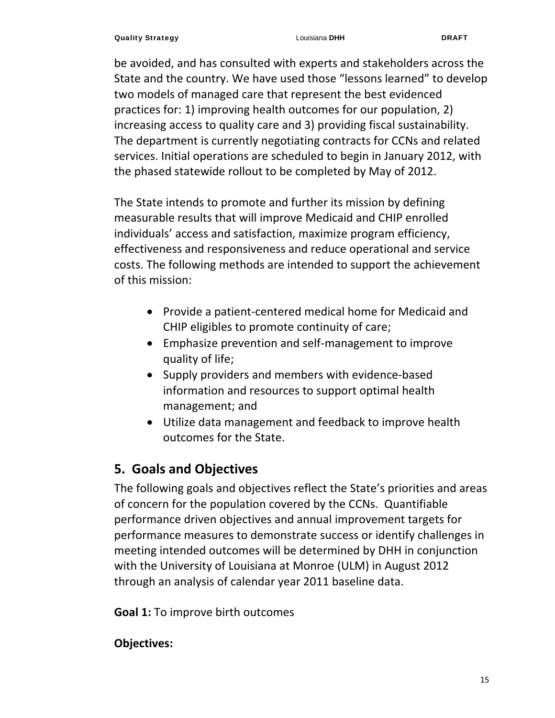be avoided, and has consulted with experts and stakeholders across the State and the country. We have used those "lessons learned" to develop two models of managed care that represent the best evidenced practices for: 1) improving health outcomes for our population, 2) increasing access to quality care and 3) providing fiscal sustainability. The department is currently negotiating contracts for CCNs and related services. Initial operations are scheduled to begin in January 2012, with the phased statewide rollout to be completed by May of 2012.

The State intends to promote and further its mission by defining measurable results that will improve Medicaid and CHIP enrolled individuals' access and satisfaction, maximize program efficiency, effectiveness and responsiveness and reduce operational and service costs. The following methods are intended to support the achievement of this mission:

- Provide a patient-centered medical home for Medicaid and CHIP eligibles to promote continuity of care;
- Emphasize prevention and self‐management to improve quality of life;
- Supply providers and members with evidence-based information and resources to support optimal health management; and
- Utilize data management and feedback to improve health outcomes for the State.

## **5. Goals and Objectives**

The following goals and objectives reflect the State's priorities and areas of concern for the population covered by the CCNs. Quantifiable performance driven objectives and annual improvement targets for performance measures to demonstrate success or identify challenges in meeting intended outcomes will be determined by DHH in conjunction with the University of Louisiana at Monroe (ULM) in August 2012 through an analysis of calendar year 2011 baseline data.

**Goal 1:** To improve birth outcomes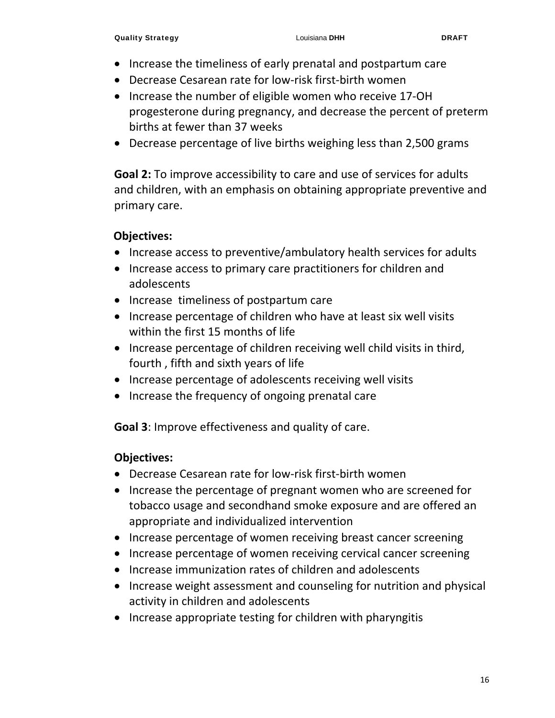- Increase the timeliness of early prenatal and postpartum care
- Decrease Cesarean rate for low-risk first-birth women
- Increase the number of eligible women who receive 17-OH progesterone during pregnancy, and decrease the percent of preterm births at fewer than 37 weeks
- Decrease percentage of live births weighing less than 2,500 grams

**Goal 2:** To improve accessibility to care and use of services for adults and children, with an emphasis on obtaining appropriate preventive and primary care.

#### **Objectives:**

- Increase access to preventive/ambulatory health services for adults
- Increase access to primary care practitioners for children and adolescents
- Increase timeliness of postpartum care
- Increase percentage of children who have at least six well visits within the first 15 months of life
- Increase percentage of children receiving well child visits in third, fourth , fifth and sixth years of life
- Increase percentage of adolescents receiving well visits
- Increase the frequency of ongoing prenatal care

**Goal 3**: Improve effectiveness and quality of care.

- Decrease Cesarean rate for low-risk first-birth women
- Increase the percentage of pregnant women who are screened for tobacco usage and secondhand smoke exposure and are offered an appropriate and individualized intervention
- Increase percentage of women receiving breast cancer screening
- Increase percentage of women receiving cervical cancer screening
- Increase immunization rates of children and adolescents
- Increase weight assessment and counseling for nutrition and physical activity in children and adolescents
- Increase appropriate testing for children with pharyngitis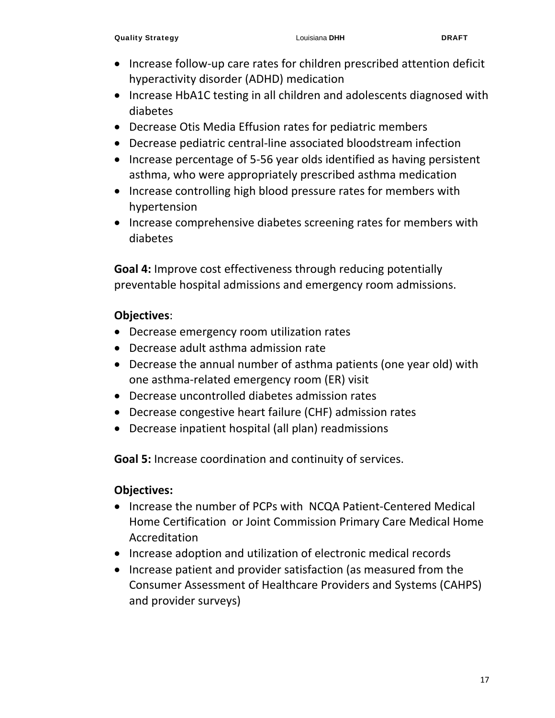- Increase follow-up care rates for children prescribed attention deficit hyperactivity disorder (ADHD) medication
- Increase HbA1C testing in all children and adolescents diagnosed with diabetes
- Decrease Otis Media Effusion rates for pediatric members
- Decrease pediatric central-line associated bloodstream infection
- Increase percentage of 5-56 year olds identified as having persistent asthma, who were appropriately prescribed asthma medication
- Increase controlling high blood pressure rates for members with hypertension
- Increase comprehensive diabetes screening rates for members with diabetes

**Goal 4:** Improve cost effectiveness through reducing potentially preventable hospital admissions and emergency room admissions.

#### **Objectives**:

- Decrease emergency room utilization rates
- Decrease adult asthma admission rate
- Decrease the annual number of asthma patients (one year old) with one asthma‐related emergency room (ER) visit
- Decrease uncontrolled diabetes admission rates
- Decrease congestive heart failure (CHF) admission rates
- Decrease inpatient hospital (all plan) readmissions

**Goal 5:** Increase coordination and continuity of services.

- Increase the number of PCPs with NCQA Patient-Centered Medical Home Certification or Joint Commission Primary Care Medical Home Accreditation
- Increase adoption and utilization of electronic medical records
- Increase patient and provider satisfaction (as measured from the Consumer Assessment of Healthcare Providers and Systems (CAHPS) and provider surveys)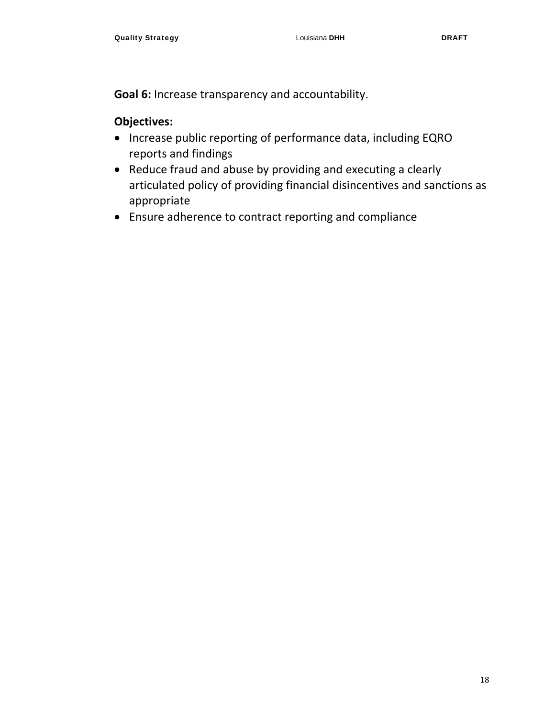**Goal 6:** Increase transparency and accountability.

- Increase public reporting of performance data, including EQRO reports and findings
- Reduce fraud and abuse by providing and executing a clearly articulated policy of providing financial disincentives and sanctions as appropriate
- Ensure adherence to contract reporting and compliance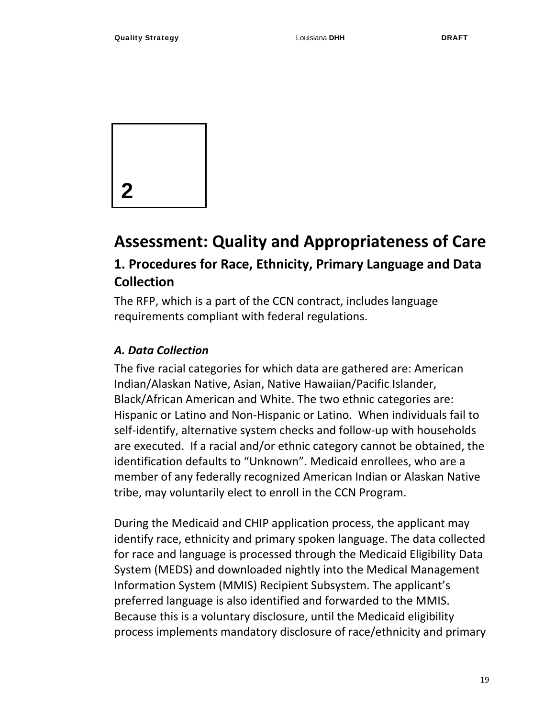

## **Assessment: Quality and Appropriateness of Care**

## **1. Procedures for Race, Ethnicity, Primary Language and Data Collection**

The RFP, which is a part of the CCN contract, includes language requirements compliant with federal regulations.

#### *A. Data Collection*

The five racial categories for which data are gathered are: American Indian/Alaskan Native, Asian, Native Hawaiian/Pacific Islander, Black/African American and White. The two ethnic categories are: Hispanic or Latino and Non‐Hispanic or Latino. When individuals fail to self-identify, alternative system checks and follow-up with households are executed. If a racial and/or ethnic category cannot be obtained, the identification defaults to "Unknown". Medicaid enrollees, who are a member of any federally recognized American Indian or Alaskan Native tribe, may voluntarily elect to enroll in the CCN Program.

During the Medicaid and CHIP application process, the applicant may identify race, ethnicity and primary spoken language. The data collected for race and language is processed through the Medicaid Eligibility Data System (MEDS) and downloaded nightly into the Medical Management Information System (MMIS) Recipient Subsystem. The applicant's preferred language is also identified and forwarded to the MMIS. Because this is a voluntary disclosure, until the Medicaid eligibility process implements mandatory disclosure of race/ethnicity and primary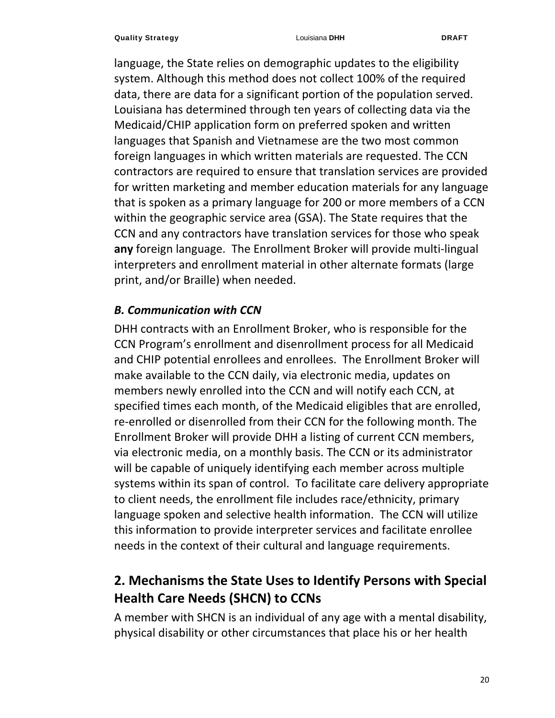language, the State relies on demographic updates to the eligibility system. Although this method does not collect 100% of the required data, there are data for a significant portion of the population served. Louisiana has determined through ten years of collecting data via the Medicaid/CHIP application form on preferred spoken and written languages that Spanish and Vietnamese are the two most common foreign languages in which written materials are requested. The CCN contractors are required to ensure that translation services are provided for written marketing and member education materials for any language that is spoken as a primary language for 200 or more members of a CCN within the geographic service area (GSA). The State requires that the CCN and any contractors have translation services for those who speak **any** foreign language. The Enrollment Broker will provide multi‐lingual interpreters and enrollment material in other alternate formats (large print, and/or Braille) when needed.

#### *B. Communication with CCN*

DHH contracts with an Enrollment Broker, who is responsible for the CCN Program's enrollment and disenrollment process for all Medicaid and CHIP potential enrollees and enrollees. The Enrollment Broker will make available to the CCN daily, via electronic media, updates on members newly enrolled into the CCN and will notify each CCN, at specified times each month, of the Medicaid eligibles that are enrolled, re-enrolled or disenrolled from their CCN for the following month. The Enrollment Broker will provide DHH a listing of current CCN members, via electronic media, on a monthly basis. The CCN or its administrator will be capable of uniquely identifying each member across multiple systems within its span of control. To facilitate care delivery appropriate to client needs, the enrollment file includes race/ethnicity, primary language spoken and selective health information. The CCN will utilize this information to provide interpreter services and facilitate enrollee needs in the context of their cultural and language requirements.

## **2. Mechanisms the State Uses to Identify Persons with Special Health Care Needs (SHCN) to CCNs**

A member with SHCN is an individual of any age with a mental disability, physical disability or other circumstances that place his or her health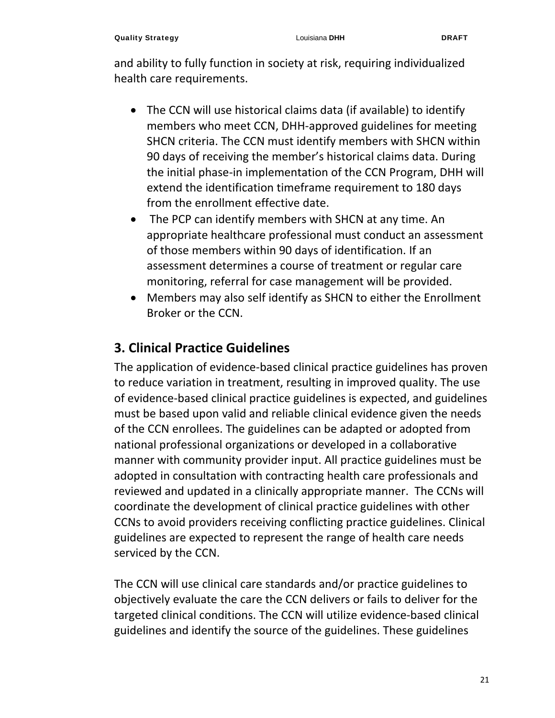and ability to fully function in society at risk, requiring individualized health care requirements.

- The CCN will use historical claims data (if available) to identify members who meet CCN, DHH‐approved guidelines for meeting SHCN criteria. The CCN must identify members with SHCN within 90 days of receiving the member's historical claims data. During the initial phase‐in implementation of the CCN Program, DHH will extend the identification timeframe requirement to 180 days from the enrollment effective date.
- The PCP can identify members with SHCN at any time. An appropriate healthcare professional must conduct an assessment of those members within 90 days of identification. If an assessment determines a course of treatment or regular care monitoring, referral for case management will be provided.
- Members may also self identify as SHCN to either the Enrollment Broker or the CCN.

## **3. Clinical Practice Guidelines**

The application of evidence‐based clinical practice guidelines has proven to reduce variation in treatment, resulting in improved quality. The use of evidence‐based clinical practice guidelines is expected, and guidelines must be based upon valid and reliable clinical evidence given the needs of the CCN enrollees. The guidelines can be adapted or adopted from national professional organizations or developed in a collaborative manner with community provider input. All practice guidelines must be adopted in consultation with contracting health care professionals and reviewed and updated in a clinically appropriate manner. The CCNs will coordinate the development of clinical practice guidelines with other CCNs to avoid providers receiving conflicting practice guidelines. Clinical guidelines are expected to represent the range of health care needs serviced by the CCN.

The CCN will use clinical care standards and/or practice guidelines to objectively evaluate the care the CCN delivers or fails to deliver for the targeted clinical conditions. The CCN will utilize evidence‐based clinical guidelines and identify the source of the guidelines. These guidelines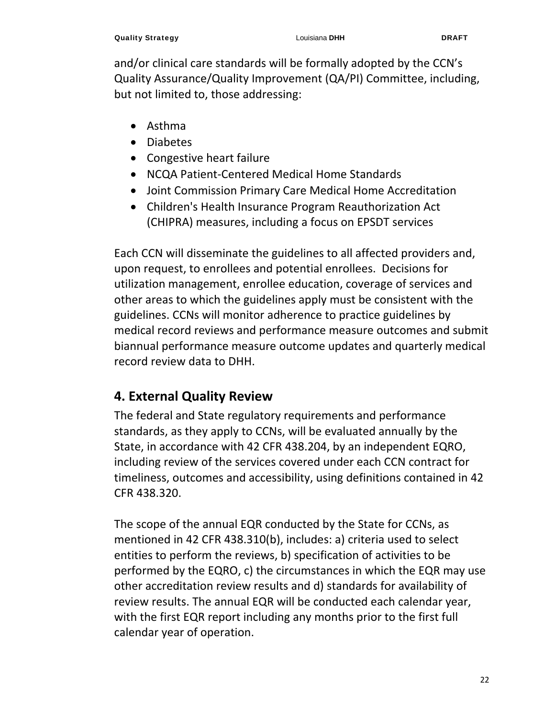and/or clinical care standards will be formally adopted by the CCN's Quality Assurance/Quality Improvement (QA/PI) Committee, including, but not limited to, those addressing:

- Asthma
- Diabetes
- Congestive heart failure
- NCQA Patient-Centered Medical Home Standards
- Joint Commission Primary Care Medical Home Accreditation
- Children's Health Insurance Program Reauthorization Act (CHIPRA) measures, including a focus on EPSDT services

Each CCN will disseminate the guidelines to all affected providers and, upon request, to enrollees and potential enrollees. Decisions for utilization management, enrollee education, coverage of services and other areas to which the guidelines apply must be consistent with the guidelines. CCNs will monitor adherence to practice guidelines by medical record reviews and performance measure outcomes and submit biannual performance measure outcome updates and quarterly medical record review data to DHH.

## **4. External Quality Review**

The federal and State regulatory requirements and performance standards, as they apply to CCNs, will be evaluated annually by the State, in accordance with 42 CFR 438.204, by an independent EQRO, including review of the services covered under each CCN contract for timeliness, outcomes and accessibility, using definitions contained in 42 CFR 438.320.

The scope of the annual EQR conducted by the State for CCNs, as mentioned in 42 CFR 438.310(b), includes: a) criteria used to select entities to perform the reviews, b) specification of activities to be performed by the EQRO, c) the circumstances in which the EQR may use other accreditation review results and d) standards for availability of review results. The annual EQR will be conducted each calendar year, with the first EQR report including any months prior to the first full calendar year of operation.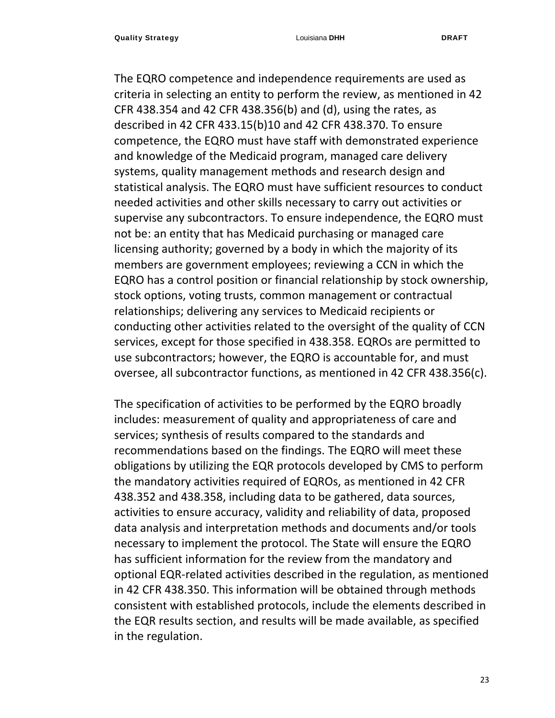The EQRO competence and independence requirements are used as criteria in selecting an entity to perform the review, as mentioned in 42 CFR 438.354 and 42 CFR 438.356(b) and (d), using the rates, as described in 42 CFR 433.15(b)10 and 42 CFR 438.370. To ensure competence, the EQRO must have staff with demonstrated experience and knowledge of the Medicaid program, managed care delivery systems, quality management methods and research design and statistical analysis. The EQRO must have sufficient resources to conduct needed activities and other skills necessary to carry out activities or supervise any subcontractors. To ensure independence, the EQRO must not be: an entity that has Medicaid purchasing or managed care licensing authority; governed by a body in which the majority of its members are government employees; reviewing a CCN in which the EQRO has a control position or financial relationship by stock ownership, stock options, voting trusts, common management or contractual relationships; delivering any services to Medicaid recipients or conducting other activities related to the oversight of the quality of CCN services, except for those specified in 438.358. EQROs are permitted to use subcontractors; however, the EQRO is accountable for, and must oversee, all subcontractor functions, as mentioned in 42 CFR 438.356(c).

The specification of activities to be performed by the EQRO broadly includes: measurement of quality and appropriateness of care and services; synthesis of results compared to the standards and recommendations based on the findings. The EQRO will meet these obligations by utilizing the EQR protocols developed by CMS to perform the mandatory activities required of EQROs, as mentioned in 42 CFR 438.352 and 438.358, including data to be gathered, data sources, activities to ensure accuracy, validity and reliability of data, proposed data analysis and interpretation methods and documents and/or tools necessary to implement the protocol. The State will ensure the EQRO has sufficient information for the review from the mandatory and optional EQR‐related activities described in the regulation, as mentioned in 42 CFR 438.350. This information will be obtained through methods consistent with established protocols, include the elements described in the EQR results section, and results will be made available, as specified in the regulation.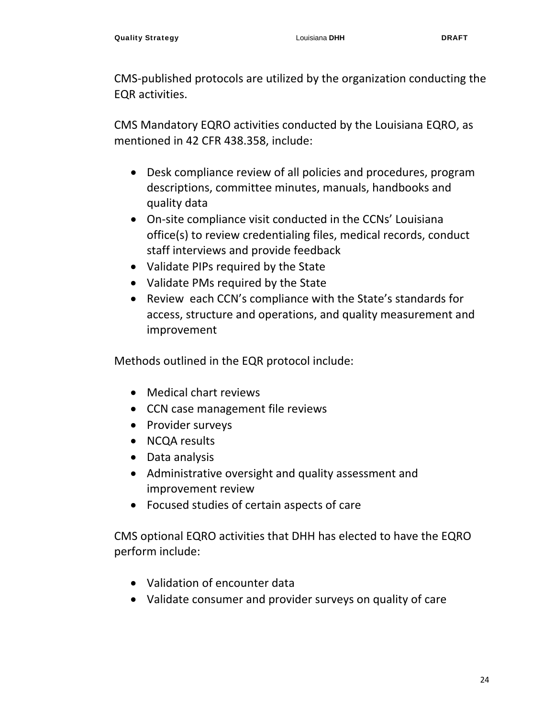CMS‐published protocols are utilized by the organization conducting the EQR activities.

CMS Mandatory EQRO activities conducted by the Louisiana EQRO, as mentioned in 42 CFR 438.358, include:

- Desk compliance review of all policies and procedures, program descriptions, committee minutes, manuals, handbooks and quality data
- On‐site compliance visit conducted in the CCNs' Louisiana office(s) to review credentialing files, medical records, conduct staff interviews and provide feedback
- Validate PIPs required by the State
- Validate PMs required by the State
- Review each CCN's compliance with the State's standards for access, structure and operations, and quality measurement and improvement

Methods outlined in the EQR protocol include:

- Medical chart reviews
- CCN case management file reviews
- Provider surveys
- NCQA results
- Data analysis
- Administrative oversight and quality assessment and improvement review
- Focused studies of certain aspects of care

CMS optional EQRO activities that DHH has elected to have the EQRO perform include:

- Validation of encounter data
- Validate consumer and provider surveys on quality of care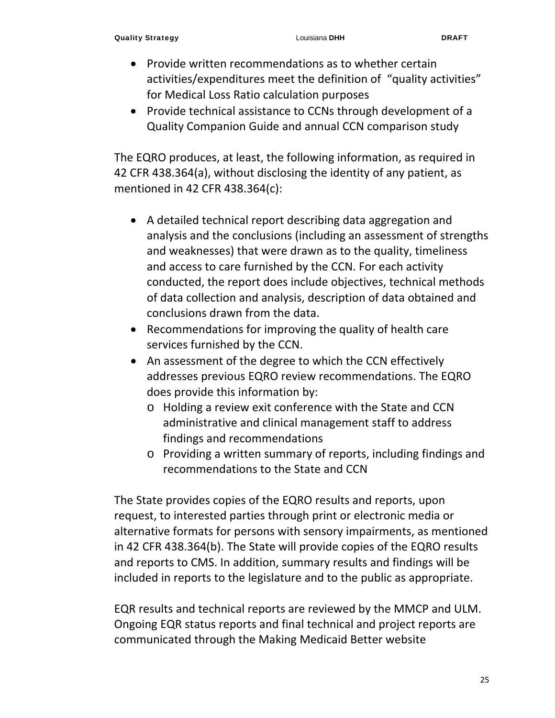- Provide written recommendations as to whether certain activities/expenditures meet the definition of "quality activities" for Medical Loss Ratio calculation purposes
- Provide technical assistance to CCNs through development of a Quality Companion Guide and annual CCN comparison study

The EQRO produces, at least, the following information, as required in 42 CFR 438.364(a), without disclosing the identity of any patient, as mentioned in 42 CFR 438.364(c):

- A detailed technical report describing data aggregation and analysis and the conclusions (including an assessment of strengths and weaknesses) that were drawn as to the quality, timeliness and access to care furnished by the CCN. For each activity conducted, the report does include objectives, technical methods of data collection and analysis, description of data obtained and conclusions drawn from the data.
- Recommendations for improving the quality of health care services furnished by the CCN.
- An assessment of the degree to which the CCN effectively addresses previous EQRO review recommendations. The EQRO does provide this information by:
	- o Holding a review exit conference with the State and CCN administrative and clinical management staff to address findings and recommendations
	- o Providing a written summary of reports, including findings and recommendations to the State and CCN

The State provides copies of the EQRO results and reports, upon request, to interested parties through print or electronic media or alternative formats for persons with sensory impairments, as mentioned in 42 CFR 438.364(b). The State will provide copies of the EQRO results and reports to CMS. In addition, summary results and findings will be included in reports to the legislature and to the public as appropriate.

EQR results and technical reports are reviewed by the MMCP and ULM. Ongoing EQR status reports and final technical and project reports are communicated through the Making Medicaid Better website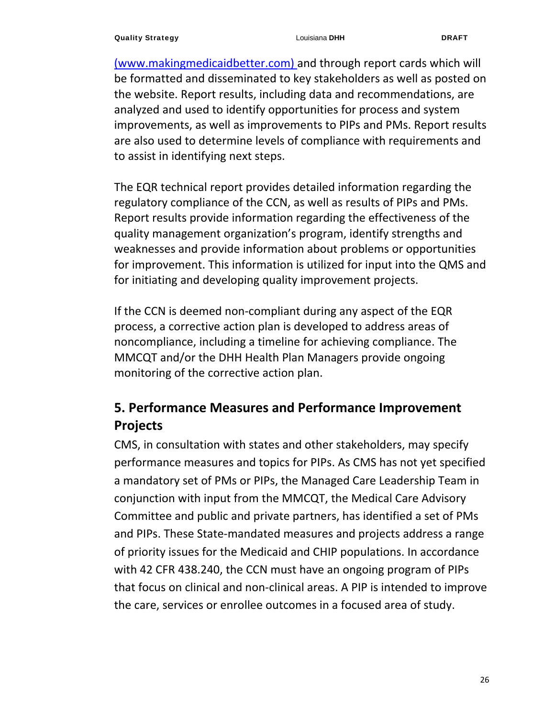(www.makingmedicaidbetter.com) and through report cards which will be formatted and disseminated to key stakeholders as well as posted on the website. Report results, including data and recommendations, are analyzed and used to identify opportunities for process and system improvements, as well as improvements to PIPs and PMs. Report results are also used to determine levels of compliance with requirements and to assist in identifying next steps.

The EQR technical report provides detailed information regarding the regulatory compliance of the CCN, as well as results of PIPs and PMs. Report results provide information regarding the effectiveness of the quality management organization's program, identify strengths and weaknesses and provide information about problems or opportunities for improvement. This information is utilized for input into the QMS and for initiating and developing quality improvement projects.

If the CCN is deemed non‐compliant during any aspect of the EQR process, a corrective action plan is developed to address areas of noncompliance, including a timeline for achieving compliance. The MMCQT and/or the DHH Health Plan Managers provide ongoing monitoring of the corrective action plan.

## **5. Performance Measures and Performance Improvement Projects**

CMS, in consultation with states and other stakeholders, may specify performance measures and topics for PIPs. As CMS has not yet specified a mandatory set of PMs or PIPs, the Managed Care Leadership Team in conjunction with input from the MMCQT, the Medical Care Advisory Committee and public and private partners, has identified a set of PMs and PIPs. These State‐mandated measures and projects address a range of priority issues for the Medicaid and CHIP populations. In accordance with 42 CFR 438.240, the CCN must have an ongoing program of PIPs that focus on clinical and non‐clinical areas. A PIP is intended to improve the care, services or enrollee outcomes in a focused area of study.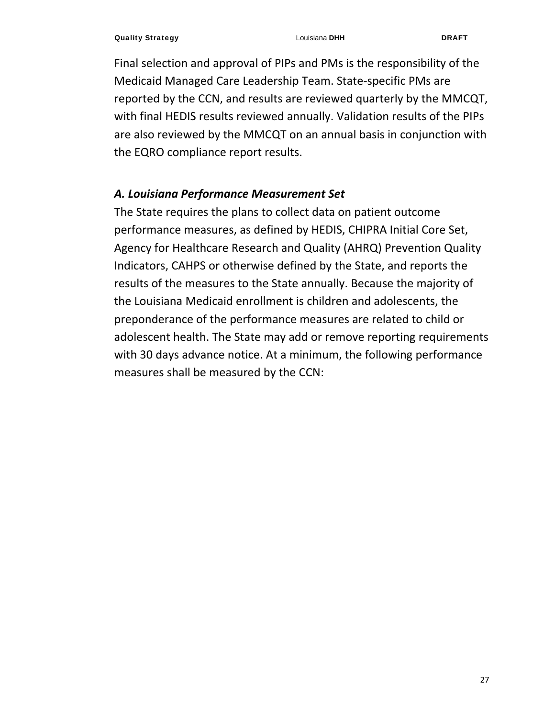Final selection and approval of PIPs and PMs is the responsibility of the Medicaid Managed Care Leadership Team. State‐specific PMs are reported by the CCN, and results are reviewed quarterly by the MMCQT, with final HEDIS results reviewed annually. Validation results of the PIPs are also reviewed by the MMCQT on an annual basis in conjunction with the EQRO compliance report results.

#### *A. Louisiana Performance Measurement Set*

The State requires the plans to collect data on patient outcome performance measures, as defined by HEDIS, CHIPRA Initial Core Set, Agency for Healthcare Research and Quality (AHRQ) Prevention Quality Indicators, CAHPS or otherwise defined by the State, and reports the results of the measures to the State annually. Because the majority of the Louisiana Medicaid enrollment is children and adolescents, the preponderance of the performance measures are related to child or adolescent health. The State may add or remove reporting requirements with 30 days advance notice. At a minimum, the following performance measures shall be measured by the CCN: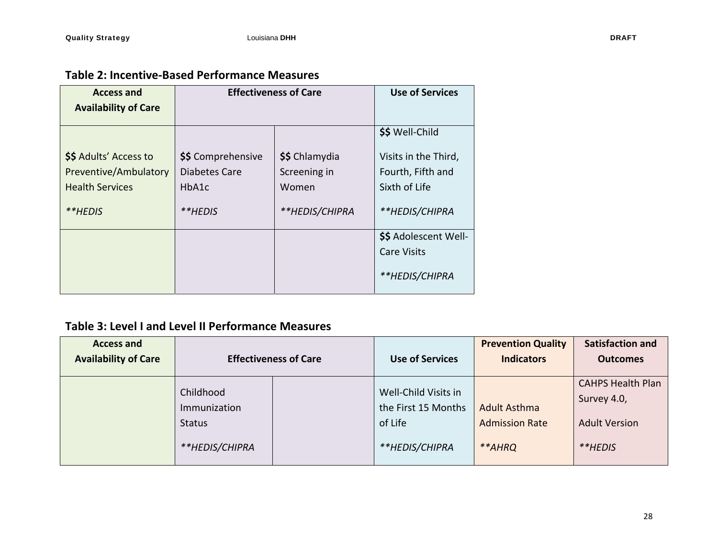| <b>Access and</b>           | <b>Effectiveness of Care</b>  |                | <b>Use of Services</b> |
|-----------------------------|-------------------------------|----------------|------------------------|
| <b>Availability of Care</b> |                               |                |                        |
|                             |                               |                | \$\$ Well-Child        |
| \$\$ Adults' Access to      | \$\$ Comprehensive            | \$\$ Chlamydia | Visits in the Third,   |
| Preventive/Ambulatory       | Diabetes Care<br>Screening in |                | Fourth, Fifth and      |
| <b>Health Services</b>      | HbA1c<br>Women                |                | Sixth of Life          |
| **HFDIS                     | **HEDIS/CHIPRA<br>**HFDIS     |                | **HEDIS/CHIPRA         |
|                             |                               |                | \$\$ Adolescent Well-  |
|                             |                               |                | <b>Care Visits</b>     |
|                             |                               |                | **HEDIS/CHIPRA         |

#### **Table 3: Level I and Level II Performance Measures**

| <b>Access and</b>           |                                                              |                                                                          | <b>Prevention Quality</b>                              | <b>Satisfaction and</b>                                                    |
|-----------------------------|--------------------------------------------------------------|--------------------------------------------------------------------------|--------------------------------------------------------|----------------------------------------------------------------------------|
| <b>Availability of Care</b> | <b>Effectiveness of Care</b>                                 | <b>Use of Services</b>                                                   | <b>Indicators</b>                                      | <b>Outcomes</b>                                                            |
|                             | Childhood<br>Immunization<br><b>Status</b><br>**HEDIS/CHIPRA | Well-Child Visits in<br>the First 15 Months<br>of Life<br>**HEDIS/CHIPRA | <b>Adult Asthma</b><br><b>Admission Rate</b><br>**AHRQ | <b>CAHPS Health Plan</b><br>Survey 4.0,<br><b>Adult Version</b><br>**HEDIS |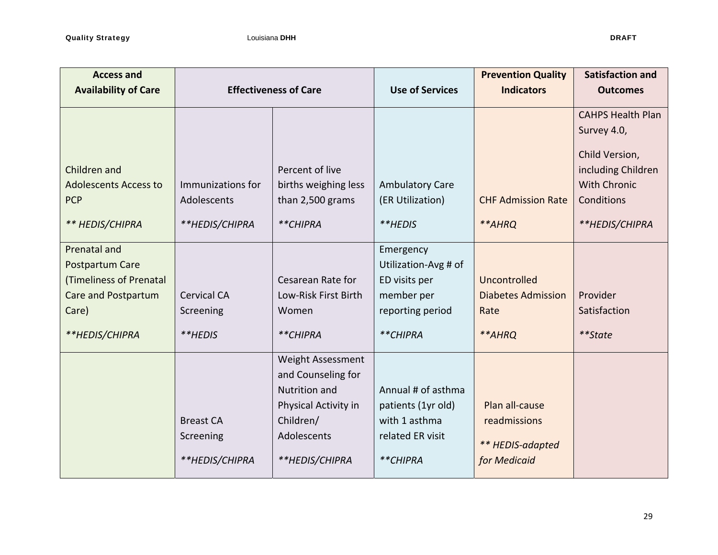| <b>Access and</b><br><b>Availability of Care</b> |                              |                      | <b>Use of Services</b> | <b>Prevention Quality</b><br><b>Indicators</b> | <b>Satisfaction and</b><br><b>Outcomes</b> |
|--------------------------------------------------|------------------------------|----------------------|------------------------|------------------------------------------------|--------------------------------------------|
|                                                  | <b>Effectiveness of Care</b> |                      |                        |                                                |                                            |
|                                                  |                              |                      |                        |                                                | <b>CAHPS Health Plan</b>                   |
|                                                  |                              |                      |                        |                                                | Survey 4.0,                                |
|                                                  |                              |                      |                        |                                                | Child Version,                             |
| Children and                                     |                              | Percent of live      |                        |                                                | including Children                         |
| <b>Adolescents Access to</b>                     | Immunizations for            | births weighing less | <b>Ambulatory Care</b> |                                                | <b>With Chronic</b>                        |
| <b>PCP</b>                                       | Adolescents                  | than 2,500 grams     | (ER Utilization)       | <b>CHF Admission Rate</b>                      | Conditions                                 |
|                                                  |                              |                      |                        |                                                |                                            |
| ** HEDIS/CHIPRA                                  | **HEDIS/CHIPRA               | **CHIPRA             | **HEDIS                | **AHRQ                                         | **HEDIS/CHIPRA                             |
| <b>Prenatal and</b>                              |                              |                      | Emergency              |                                                |                                            |
| Postpartum Care                                  |                              |                      | Utilization-Avg # of   |                                                |                                            |
| (Timeliness of Prenatal                          |                              | Cesarean Rate for    | ED visits per          | Uncontrolled                                   |                                            |
| Care and Postpartum                              | <b>Cervical CA</b>           | Low-Risk First Birth | member per             | <b>Diabetes Admission</b>                      | Provider                                   |
| Care)                                            | Screening                    | Women                | reporting period       | Rate                                           | Satisfaction                               |
| **HEDIS/CHIPRA                                   | **HEDIS                      | **CHIPRA             | **CHIPRA               | **AHRQ                                         | **State                                    |
|                                                  |                              | Weight Assessment    |                        |                                                |                                            |
|                                                  |                              | and Counseling for   |                        |                                                |                                            |
|                                                  |                              | <b>Nutrition and</b> | Annual # of asthma     |                                                |                                            |
|                                                  |                              | Physical Activity in | patients (1yr old)     | Plan all-cause                                 |                                            |
|                                                  | <b>Breast CA</b>             | Children/            | with 1 asthma          | readmissions                                   |                                            |
|                                                  | Screening                    | Adolescents          | related ER visit       | ** HEDIS-adapted                               |                                            |
|                                                  | **HEDIS/CHIPRA               | **HEDIS/CHIPRA       | **CHIPRA               | for Medicaid                                   |                                            |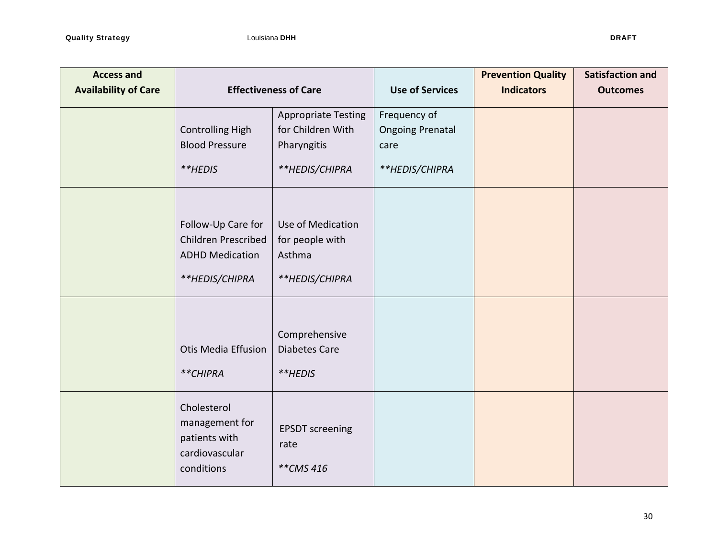| <b>Access and</b><br><b>Availability of Care</b> | <b>Effectiveness of Care</b>                                                          |                                                                                  | <b>Use of Services</b>                                            | <b>Prevention Quality</b><br><b>Indicators</b> | <b>Satisfaction and</b><br><b>Outcomes</b> |
|--------------------------------------------------|---------------------------------------------------------------------------------------|----------------------------------------------------------------------------------|-------------------------------------------------------------------|------------------------------------------------|--------------------------------------------|
|                                                  | <b>Controlling High</b><br><b>Blood Pressure</b><br>**HEDIS                           | <b>Appropriate Testing</b><br>for Children With<br>Pharyngitis<br>**HEDIS/CHIPRA | Frequency of<br><b>Ongoing Prenatal</b><br>care<br>**HEDIS/CHIPRA |                                                |                                            |
|                                                  | Follow-Up Care for<br>Children Prescribed<br><b>ADHD Medication</b><br>**HEDIS/CHIPRA | Use of Medication<br>for people with<br>Asthma<br>**HEDIS/CHIPRA                 |                                                                   |                                                |                                            |
|                                                  | <b>Otis Media Effusion</b><br>**CHIPRA                                                | Comprehensive<br><b>Diabetes Care</b><br>**HEDIS                                 |                                                                   |                                                |                                            |
|                                                  | Cholesterol<br>management for<br>patients with<br>cardiovascular<br>conditions        | <b>EPSDT</b> screening<br>rate<br>**CMS 416                                      |                                                                   |                                                |                                            |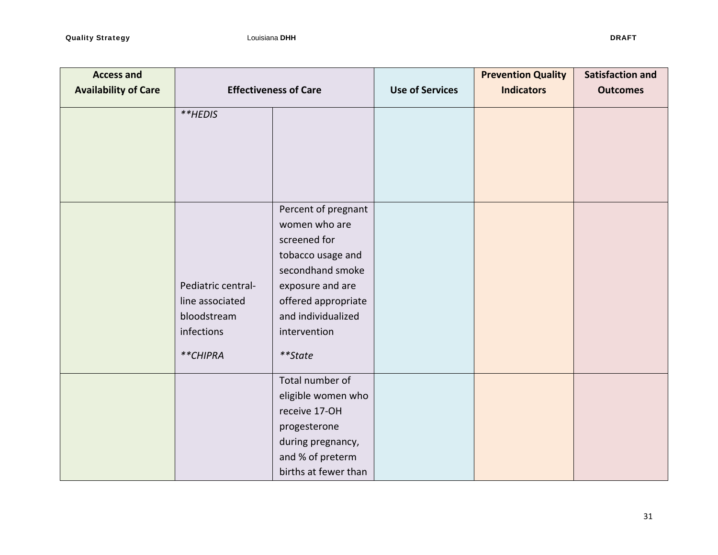| <b>Access and</b><br><b>Availability of Care</b> | <b>Effectiveness of Care</b> |                                      | <b>Use of Services</b> | <b>Prevention Quality</b><br><b>Indicators</b> | <b>Satisfaction and</b><br><b>Outcomes</b> |
|--------------------------------------------------|------------------------------|--------------------------------------|------------------------|------------------------------------------------|--------------------------------------------|
|                                                  | **HEDIS                      |                                      |                        |                                                |                                            |
|                                                  |                              |                                      |                        |                                                |                                            |
|                                                  |                              |                                      |                        |                                                |                                            |
|                                                  |                              |                                      |                        |                                                |                                            |
|                                                  |                              |                                      |                        |                                                |                                            |
|                                                  |                              | Percent of pregnant<br>women who are |                        |                                                |                                            |
|                                                  |                              | screened for                         |                        |                                                |                                            |
|                                                  |                              | tobacco usage and                    |                        |                                                |                                            |
|                                                  |                              | secondhand smoke                     |                        |                                                |                                            |
|                                                  | Pediatric central-           | exposure and are                     |                        |                                                |                                            |
|                                                  | line associated              | offered appropriate                  |                        |                                                |                                            |
|                                                  | bloodstream<br>infections    | and individualized<br>intervention   |                        |                                                |                                            |
|                                                  |                              |                                      |                        |                                                |                                            |
|                                                  | **CHIPRA                     | **State                              |                        |                                                |                                            |
|                                                  |                              | Total number of                      |                        |                                                |                                            |
|                                                  |                              | eligible women who                   |                        |                                                |                                            |
|                                                  |                              | receive 17-OH                        |                        |                                                |                                            |
|                                                  |                              | progesterone<br>during pregnancy,    |                        |                                                |                                            |
|                                                  |                              | and % of preterm                     |                        |                                                |                                            |
|                                                  |                              | births at fewer than                 |                        |                                                |                                            |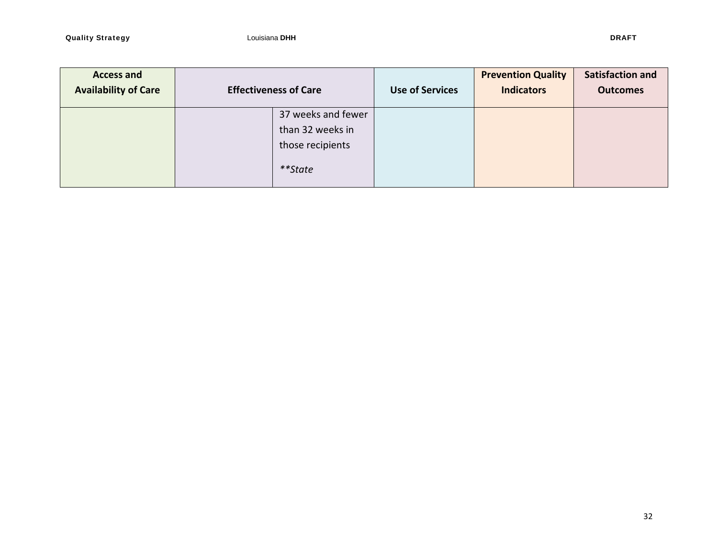| <b>Access and</b><br><b>Availability of Care</b> | <b>Effectiveness of Care</b>                                          | <b>Use of Services</b> | <b>Prevention Quality</b><br><b>Indicators</b> | <b>Satisfaction and</b><br><b>Outcomes</b> |
|--------------------------------------------------|-----------------------------------------------------------------------|------------------------|------------------------------------------------|--------------------------------------------|
|                                                  | 37 weeks and fewer<br>than 32 weeks in<br>those recipients<br>**State |                        |                                                |                                            |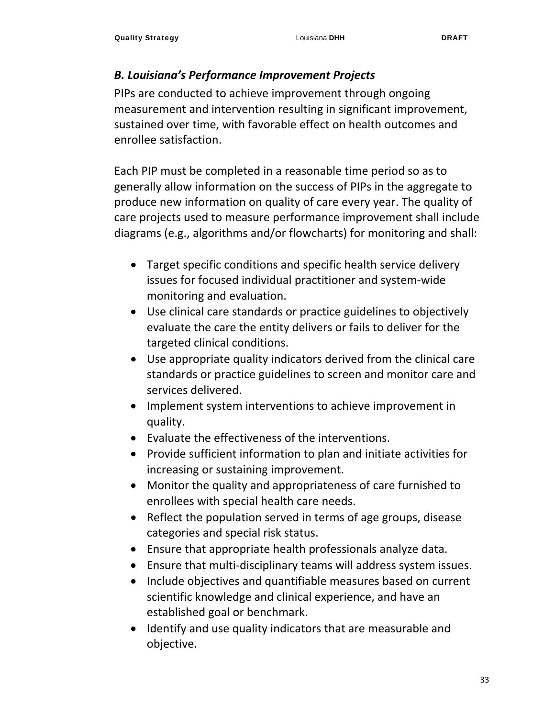#### *B. Louisiana's Performance Improvement Projects*

PIPs are conducted to achieve improvement through ongoing measurement and intervention resulting in significant improvement, sustained over time, with favorable effect on health outcomes and enrollee satisfaction.

Each PIP must be completed in a reasonable time period so as to generally allow information on the success of PIPs in the aggregate to produce new information on quality of care every year. The quality of care projects used to measure performance improvement shall include diagrams (e.g., algorithms and/or flowcharts) for monitoring and shall:

- Target specific conditions and specific health service delivery issues for focused individual practitioner and system‐wide monitoring and evaluation.
- Use clinical care standards or practice guidelines to objectively evaluate the care the entity delivers or fails to deliver for the targeted clinical conditions.
- Use appropriate quality indicators derived from the clinical care standards or practice guidelines to screen and monitor care and services delivered.
- Implement system interventions to achieve improvement in quality.
- Evaluate the effectiveness of the interventions.
- Provide sufficient information to plan and initiate activities for increasing or sustaining improvement.
- Monitor the quality and appropriateness of care furnished to enrollees with special health care needs.
- Reflect the population served in terms of age groups, disease categories and special risk status.
- Ensure that appropriate health professionals analyze data.
- Ensure that multi-disciplinary teams will address system issues.
- Include objectives and quantifiable measures based on current scientific knowledge and clinical experience, and have an established goal or benchmark.
- Identify and use quality indicators that are measurable and objective.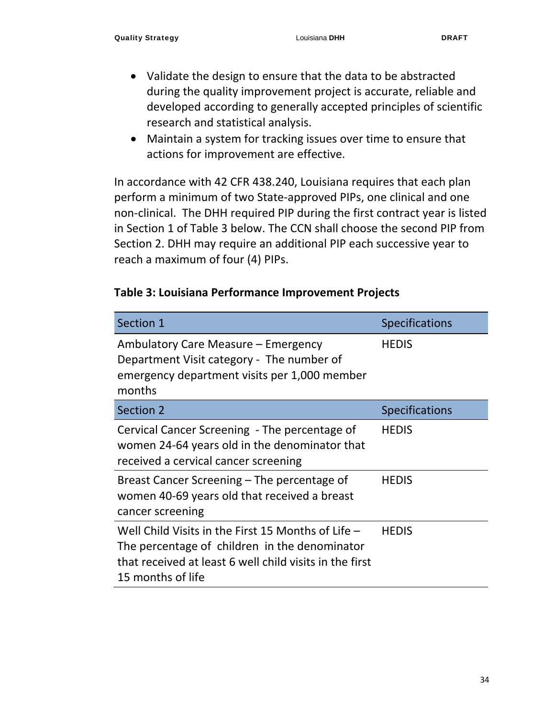- Validate the design to ensure that the data to be abstracted during the quality improvement project is accurate, reliable and developed according to generally accepted principles of scientific research and statistical analysis.
- Maintain a system for tracking issues over time to ensure that actions for improvement are effective.

In accordance with 42 CFR 438.240, Louisiana requires that each plan perform a minimum of two State‐approved PIPs, one clinical and one non‐clinical. The DHH required PIP during the first contract year is listed in Section 1 of Table 3 below. The CCN shall choose the second PIP from Section 2. DHH may require an additional PIP each successive year to reach a maximum of four (4) PIPs.

#### **Table 3: Louisiana Performance Improvement Projects**

| Section 1                                                                                                                                                                             | <b>Specifications</b> |
|---------------------------------------------------------------------------------------------------------------------------------------------------------------------------------------|-----------------------|
| Ambulatory Care Measure – Emergency<br>Department Visit category - The number of<br>emergency department visits per 1,000 member<br>months                                            | <b>HEDIS</b>          |
| <b>Section 2</b>                                                                                                                                                                      | <b>Specifications</b> |
| Cervical Cancer Screening - The percentage of<br>women 24-64 years old in the denominator that<br>received a cervical cancer screening                                                | <b>HEDIS</b>          |
| Breast Cancer Screening – The percentage of<br>women 40-69 years old that received a breast<br>cancer screening                                                                       | <b>HEDIS</b>          |
| Well Child Visits in the First 15 Months of Life $-$<br>The percentage of children in the denominator<br>that received at least 6 well child visits in the first<br>15 months of life | <b>HEDIS</b>          |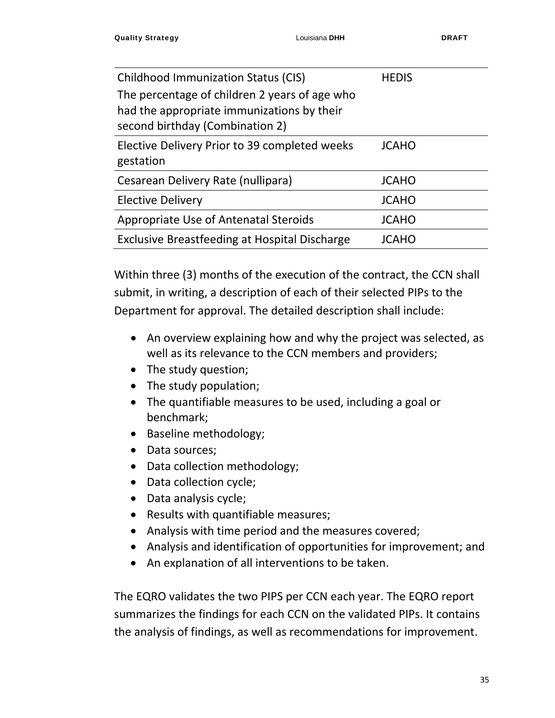| Childhood Immunization Status (CIS)                                                                                            | <b>HEDIS</b> |
|--------------------------------------------------------------------------------------------------------------------------------|--------------|
| The percentage of children 2 years of age who<br>had the appropriate immunizations by their<br>second birthday (Combination 2) |              |
| Elective Delivery Prior to 39 completed weeks<br>gestation                                                                     | <b>JCAHO</b> |
| Cesarean Delivery Rate (nullipara)                                                                                             | <b>JCAHO</b> |
| <b>Elective Delivery</b>                                                                                                       | <b>JCAHO</b> |
| Appropriate Use of Antenatal Steroids                                                                                          | <b>JCAHO</b> |
| <b>Exclusive Breastfeeding at Hospital Discharge</b>                                                                           | JCAHO        |

Within three (3) months of the execution of the contract, the CCN shall submit, in writing, a description of each of their selected PIPs to the Department for approval. The detailed description shall include:

- An overview explaining how and why the project was selected, as well as its relevance to the CCN members and providers;
- The study question;
- The study population;
- The quantifiable measures to be used, including a goal or benchmark;
- Baseline methodology;
- Data sources;
- Data collection methodology;
- Data collection cycle;
- Data analysis cycle;
- Results with quantifiable measures;
- Analysis with time period and the measures covered;
- Analysis and identification of opportunities for improvement; and
- An explanation of all interventions to be taken.

The EQRO validates the two PIPS per CCN each year. The EQRO report summarizes the findings for each CCN on the validated PIPs. It contains the analysis of findings, as well as recommendations for improvement.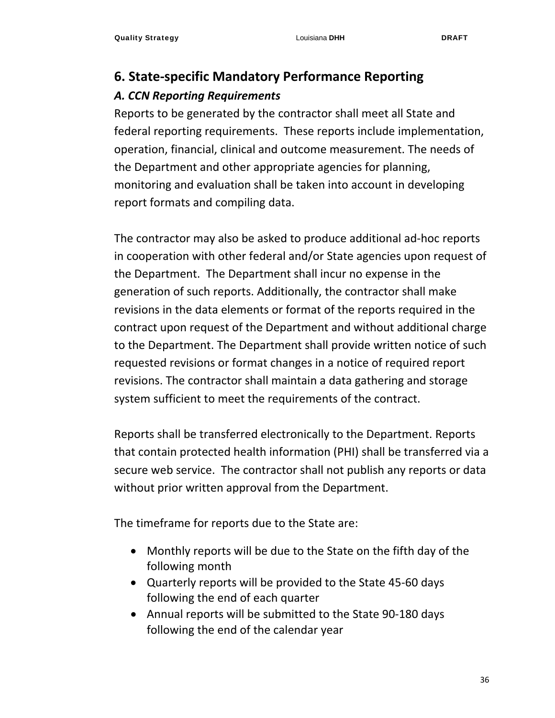## **6. State‐specific Mandatory Performance Reporting**  *A. CCN Reporting Requirements*

Reports to be generated by the contractor shall meet all State and federal reporting requirements. These reports include implementation, operation, financial, clinical and outcome measurement. The needs of the Department and other appropriate agencies for planning, monitoring and evaluation shall be taken into account in developing report formats and compiling data.

The contractor may also be asked to produce additional ad‐hoc reports in cooperation with other federal and/or State agencies upon request of the Department. The Department shall incur no expense in the generation of such reports. Additionally, the contractor shall make revisions in the data elements or format of the reports required in the contract upon request of the Department and without additional charge to the Department. The Department shall provide written notice of such requested revisions or format changes in a notice of required report revisions. The contractor shall maintain a data gathering and storage system sufficient to meet the requirements of the contract.

Reports shall be transferred electronically to the Department. Reports that contain protected health information (PHI) shall be transferred via a secure web service. The contractor shall not publish any reports or data without prior written approval from the Department.

The timeframe for reports due to the State are:

- Monthly reports will be due to the State on the fifth day of the following month
- Quarterly reports will be provided to the State 45-60 days following the end of each quarter
- Annual reports will be submitted to the State 90-180 days following the end of the calendar year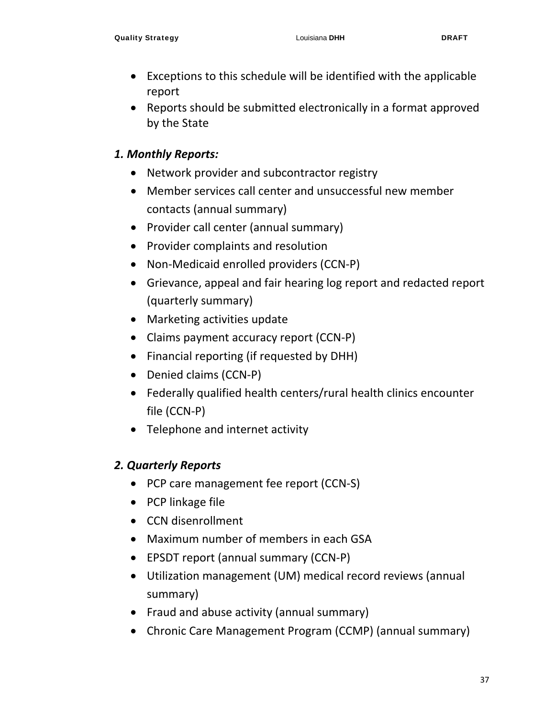- Exceptions to this schedule will be identified with the applicable report
- Reports should be submitted electronically in a format approved by the State

## *1. Monthly Reports:*

- Network provider and subcontractor registry
- Member services call center and unsuccessful new member contacts (annual summary)
- Provider call center (annual summary)
- Provider complaints and resolution
- Non-Medicaid enrolled providers (CCN-P)
- Grievance, appeal and fair hearing log report and redacted report (quarterly summary)
- Marketing activities update
- Claims payment accuracy report (CCN‐P)
- Financial reporting (if requested by DHH)
- Denied claims (CCN-P)
- Federally qualified health centers/rural health clinics encounter file (CCN‐P)
- Telephone and internet activity

## *2. Quarterly Reports*

- PCP care management fee report (CCN-S)
- PCP linkage file
- CCN disenrollment
- Maximum number of members in each GSA
- EPSDT report (annual summary (CCN‐P)
- Utilization management (UM) medical record reviews (annual summary)
- Fraud and abuse activity (annual summary)
- Chronic Care Management Program (CCMP) (annual summary)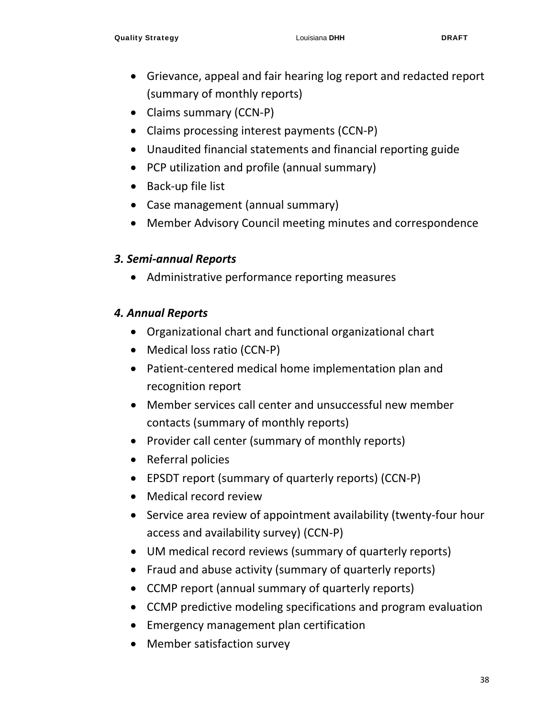- Grievance, appeal and fair hearing log report and redacted report (summary of monthly reports)
- Claims summary (CCN-P)
- Claims processing interest payments (CCN‐P)
- Unaudited financial statements and financial reporting guide
- PCP utilization and profile (annual summary)
- Back-up file list
- Case management (annual summary)
- Member Advisory Council meeting minutes and correspondence

## *3. Semi‐annual Reports*

Administrative performance reporting measures

## *4. Annual Reports*

- Organizational chart and functional organizational chart
- Medical loss ratio (CCN-P)
- Patient-centered medical home implementation plan and recognition report
- Member services call center and unsuccessful new member contacts (summary of monthly reports)
- Provider call center (summary of monthly reports)
- Referral policies
- EPSDT report (summary of quarterly reports) (CCN‐P)
- Medical record review
- Service area review of appointment availability (twenty-four hour access and availability survey) (CCN‐P)
- UM medical record reviews (summary of quarterly reports)
- Fraud and abuse activity (summary of quarterly reports)
- CCMP report (annual summary of quarterly reports)
- CCMP predictive modeling specifications and program evaluation
- Emergency management plan certification
- Member satisfaction survey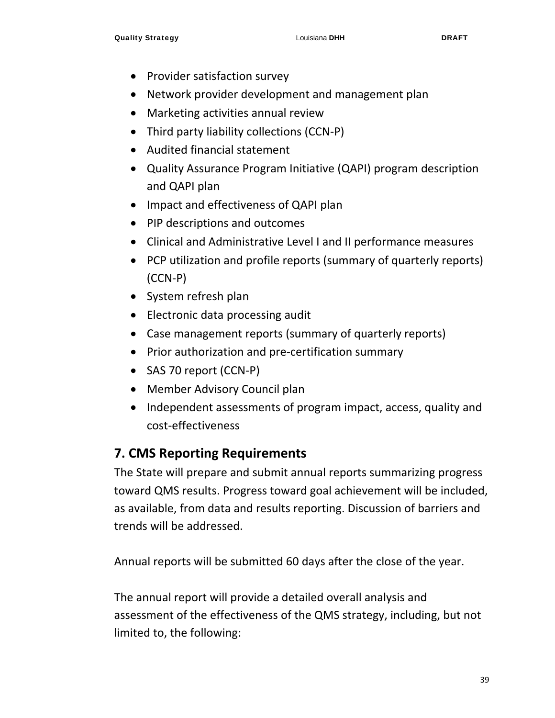- Provider satisfaction survey
- Network provider development and management plan
- Marketing activities annual review
- Third party liability collections (CCN‐P)
- Audited financial statement
- Quality Assurance Program Initiative (QAPI) program description and QAPI plan
- Impact and effectiveness of QAPI plan
- PIP descriptions and outcomes
- Clinical and Administrative Level I and II performance measures
- PCP utilization and profile reports (summary of quarterly reports) (CCN‐P)
- System refresh plan
- Electronic data processing audit
- Case management reports (summary of quarterly reports)
- Prior authorization and pre-certification summary
- SAS 70 report (CCN-P)
- Member Advisory Council plan
- Independent assessments of program impact, access, quality and cost‐effectiveness

## **7. CMS Reporting Requirements**

The State will prepare and submit annual reports summarizing progress toward QMS results. Progress toward goal achievement will be included, as available, from data and results reporting. Discussion of barriers and trends will be addressed.

Annual reports will be submitted 60 days after the close of the year.

The annual report will provide a detailed overall analysis and assessment of the effectiveness of the QMS strategy, including, but not limited to, the following: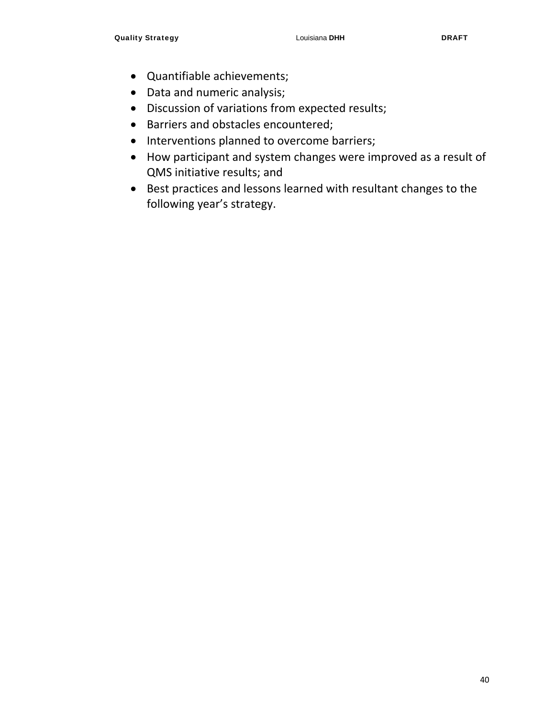- Quantifiable achievements;
- Data and numeric analysis;
- Discussion of variations from expected results;
- Barriers and obstacles encountered;
- Interventions planned to overcome barriers;
- How participant and system changes were improved as a result of QMS initiative results; and
- Best practices and lessons learned with resultant changes to the following year's strategy.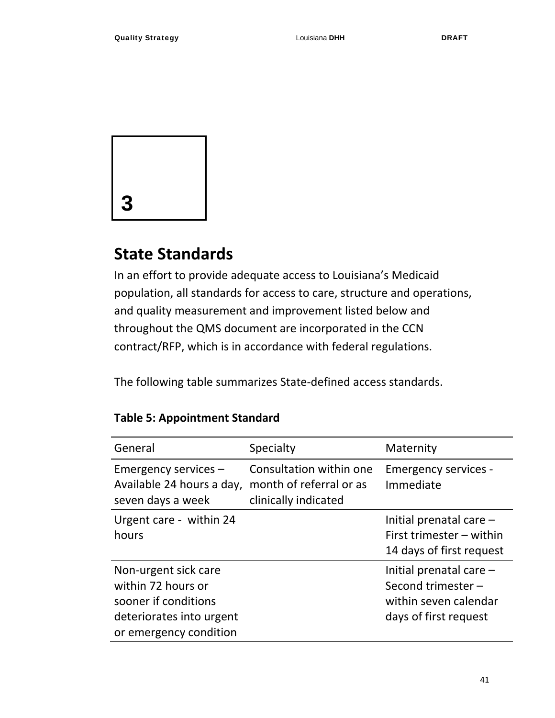

# **State Standards**

In an effort to provide adequate access to Louisiana's Medicaid population, all standards for access to care, structure and operations, and quality measurement and improvement listed below and throughout the QMS document are incorporated in the CCN contract/RFP, which is in accordance with federal regulations.

The following table summarizes State‐defined access standards.

| General                                                                                                                  | Specialty                                                                  | Maternity                                                                                           |
|--------------------------------------------------------------------------------------------------------------------------|----------------------------------------------------------------------------|-----------------------------------------------------------------------------------------------------|
| Emergency services -<br>Available 24 hours a day,<br>seven days a week                                                   | Consultation within one<br>month of referral or as<br>clinically indicated | <b>Emergency services -</b><br>Immediate                                                            |
| Urgent care - within 24<br>hours                                                                                         |                                                                            | Initial prenatal care $-$<br>First trimester - within<br>14 days of first request                   |
| Non-urgent sick care<br>within 72 hours or<br>sooner if conditions<br>deteriorates into urgent<br>or emergency condition |                                                                            | Initial prenatal care $-$<br>Second trimester $-$<br>within seven calendar<br>days of first request |

## **Table 5: Appointment Standard**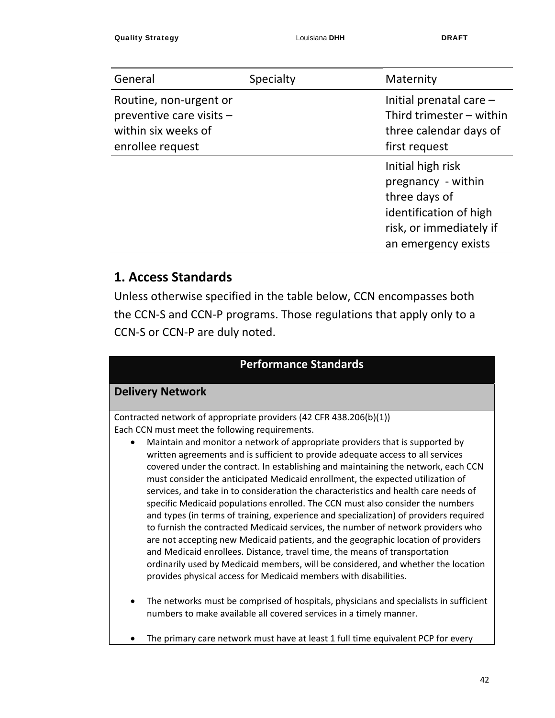| General                                                                                       | Specialty | Maternity                                                                                                                            |
|-----------------------------------------------------------------------------------------------|-----------|--------------------------------------------------------------------------------------------------------------------------------------|
| Routine, non-urgent or<br>preventive care visits -<br>within six weeks of<br>enrollee request |           | Initial prenatal care $-$<br>Third trimester $-$ within<br>three calendar days of<br>first request                                   |
|                                                                                               |           | Initial high risk<br>pregnancy - within<br>three days of<br>identification of high<br>risk, or immediately if<br>an emergency exists |

## **1. Access Standards**

Unless otherwise specified in the table below, CCN encompasses both the CCN‐S and CCN‐P programs. Those regulations that apply only to a CCN‐S or CCN‐P are duly noted.

| <b>Performance Standards</b>                                                                                                                                                                                                                                                                                                                                                                                                                                                                                                                                                                                                                                                                                                                                                                                                                                                                                                                                                                                                                                                                                                                                                                         |                                                                                                                      |
|------------------------------------------------------------------------------------------------------------------------------------------------------------------------------------------------------------------------------------------------------------------------------------------------------------------------------------------------------------------------------------------------------------------------------------------------------------------------------------------------------------------------------------------------------------------------------------------------------------------------------------------------------------------------------------------------------------------------------------------------------------------------------------------------------------------------------------------------------------------------------------------------------------------------------------------------------------------------------------------------------------------------------------------------------------------------------------------------------------------------------------------------------------------------------------------------------|----------------------------------------------------------------------------------------------------------------------|
|                                                                                                                                                                                                                                                                                                                                                                                                                                                                                                                                                                                                                                                                                                                                                                                                                                                                                                                                                                                                                                                                                                                                                                                                      |                                                                                                                      |
|                                                                                                                                                                                                                                                                                                                                                                                                                                                                                                                                                                                                                                                                                                                                                                                                                                                                                                                                                                                                                                                                                                                                                                                                      | <b>Delivery Network</b>                                                                                              |
| Maintain and monitor a network of appropriate providers that is supported by<br>$\bullet$<br>written agreements and is sufficient to provide adequate access to all services<br>covered under the contract. In establishing and maintaining the network, each CCN<br>must consider the anticipated Medicaid enrollment, the expected utilization of<br>services, and take in to consideration the characteristics and health care needs of<br>specific Medicaid populations enrolled. The CCN must also consider the numbers<br>and types (in terms of training, experience and specialization) of providers required<br>to furnish the contracted Medicaid services, the number of network providers who<br>are not accepting new Medicaid patients, and the geographic location of providers<br>and Medicaid enrollees. Distance, travel time, the means of transportation<br>ordinarily used by Medicaid members, will be considered, and whether the location<br>provides physical access for Medicaid members with disabilities.<br>The networks must be comprised of hospitals, physicians and specialists in sufficient<br>numbers to make available all covered services in a timely manner. | Contracted network of appropriate providers (42 CFR 438.206(b)(1))<br>Each CCN must meet the following requirements. |
| The primary care network must have at least 1 full time equivalent PCP for every                                                                                                                                                                                                                                                                                                                                                                                                                                                                                                                                                                                                                                                                                                                                                                                                                                                                                                                                                                                                                                                                                                                     |                                                                                                                      |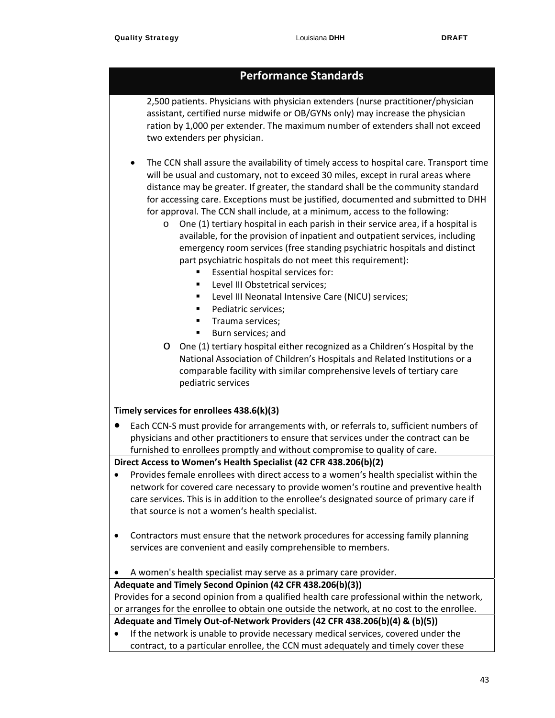2,500 patients. Physicians with physician extenders (nurse practitioner/physician assistant, certified nurse midwife or OB/GYNs only) may increase the physician ration by 1,000 per extender. The maximum number of extenders shall not exceed two extenders per physician.

 The CCN shall assure the availability of timely access to hospital care. Transport time will be usual and customary, not to exceed 30 miles, except in rural areas where distance may be greater. If greater, the standard shall be the community standard for accessing care. Exceptions must be justified, documented and submitted to DHH for approval. The CCN shall include, at a minimum, access to the following:

- o One (1) tertiary hospital in each parish in their service area, if a hospital is available, for the provision of inpatient and outpatient services, including emergency room services (free standing psychiatric hospitals and distinct part psychiatric hospitals do not meet this requirement):
	- **Essential hospital services for:**
	- **Level III Obstetrical services;**
	- **EXECTE:** Level III Neonatal Intensive Care (NICU) services;
	- Pediatric services;
	- **Trauma services:**
	- Burn services; and
- o One (1) tertiary hospital either recognized as a Children's Hospital by the National Association of Children's Hospitals and Related Institutions or a comparable facility with similar comprehensive levels of tertiary care pediatric services

#### **Timely services for enrollees 438.6(k)(3)**

● Each CCN-S must provide for arrangements with, or referrals to, sufficient numbers of physicians and other practitioners to ensure that services under the contract can be furnished to enrollees promptly and without compromise to quality of care.

#### **Direct Access to Women's Health Specialist (42 CFR 438.206(b)(2)**

- Provides female enrollees with direct access to a women's health specialist within the network for covered care necessary to provide women's routine and preventive health care services. This is in addition to the enrollee's designated source of primary care if that source is not a women's health specialist.
- Contractors must ensure that the network procedures for accessing family planning services are convenient and easily comprehensible to members.
- A women's health specialist may serve as a primary care provider.

#### **Adequate and Timely Second Opinion (42 CFR 438.206(b)(3))**

Provides for a second opinion from a qualified health care professional within the network, or arranges for the enrollee to obtain one outside the network, at no cost to the enrollee.

### **Adequate and Timely Out‐of‐Network Providers (42 CFR 438.206(b)(4) & (b)(5))**

 If the network is unable to provide necessary medical services, covered under the contract, to a particular enrollee, the CCN must adequately and timely cover these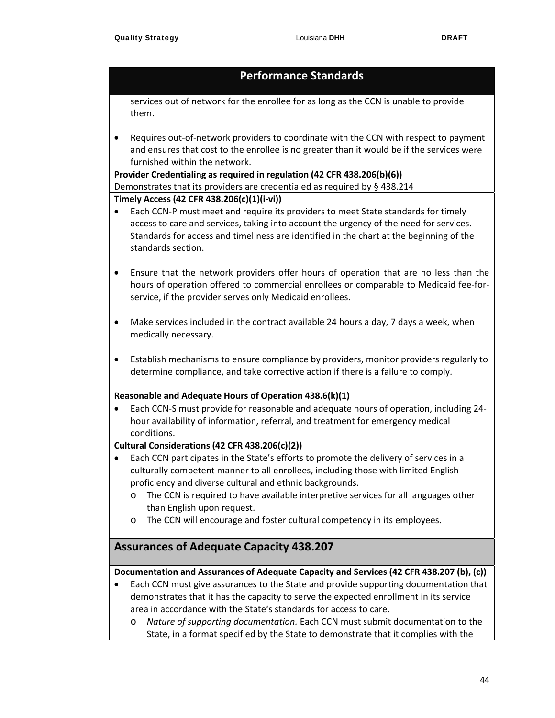services out of network for the enrollee for as long as the CCN is unable to provide them.

■ Requires out-of-network providers to coordinate with the CCN with respect to payment and ensures that cost to the enrollee is no greater than it would be if the services were furnished within the network.

**Provider Credentialing as required in regulation (42 CFR 438.206(b)(6))** Demonstrates that its providers are credentialed as required by § 438.214

#### **Timely Access (42 CFR 438.206(c)(1)(i‐vi))**

- Each CCN-P must meet and require its providers to meet State standards for timely access to care and services, taking into account the urgency of the need for services. Standards for access and timeliness are identified in the chart at the beginning of the standards section.
- Ensure that the network providers offer hours of operation that are no less than the hours of operation offered to commercial enrollees or comparable to Medicaid fee-forservice, if the provider serves only Medicaid enrollees.
- Make services included in the contract available 24 hours a day, 7 days a week, when medically necessary.
- Establish mechanisms to ensure compliance by providers, monitor providers regularly to determine compliance, and take corrective action if there is a failure to comply.

#### **Reasonable and Adequate Hours of Operation 438.6(k)(1)**

● Each CCN-S must provide for reasonable and adequate hours of operation, including 24hour availability of information, referral, and treatment for emergency medical conditions.

#### **Cultural Considerations (42 CFR 438.206(c)(2))**

- Each CCN participates in the State's efforts to promote the delivery of services in a culturally competent manner to all enrollees, including those with limited English proficiency and diverse cultural and ethnic backgrounds.
	- o The CCN is required to have available interpretive services for all languages other than English upon request.
	- o The CCN will encourage and foster cultural competency in its employees.

### **Assurances of Adequate Capacity 438.207**

#### **Documentation and Assurances of Adequate Capacity and Services (42 CFR 438.207 (b), (c))**

- Each CCN must give assurances to the State and provide supporting documentation that demonstrates that it has the capacity to serve the expected enrollment in its service area in accordance with the State's standards for access to care.
	- o *Nature of supporting documentation.* Each CCN must submit documentation to the State, in a format specified by the State to demonstrate that it complies with the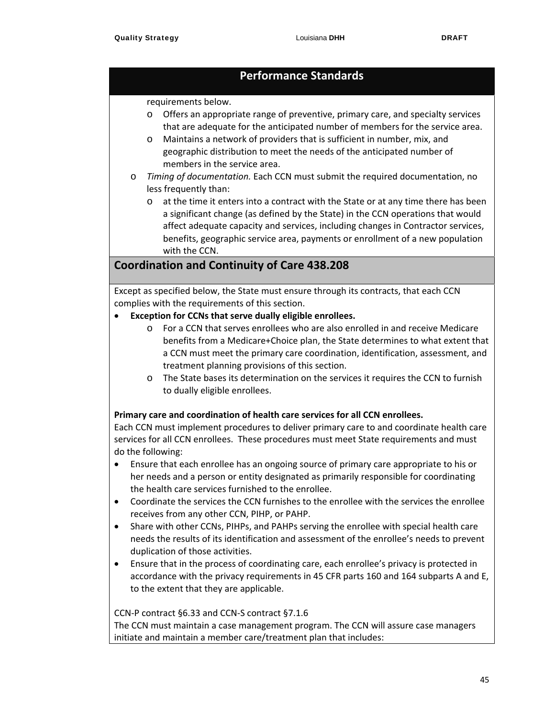#### requirements below.

- o Offers an appropriate range of preventive, primary care, and specialty services that are adequate for the anticipated number of members for the service area.
- o Maintains a network of providers that is sufficient in number, mix, and geographic distribution to meet the needs of the anticipated number of members in the service area.
- o *Timing of documentation.* Each CCN must submit the required documentation, no less frequently than:
	- o at the time it enters into a contract with the State or at any time there has been a significant change (as defined by the State) in the CCN operations that would affect adequate capacity and services, including changes in Contractor services, benefits, geographic service area, payments or enrollment of a new population with the CCN.

## **Coordination and Continuity of Care 438.208**

Except as specified below, the State must ensure through its contracts, that each CCN complies with the requirements of this section.

- **Exception for CCNs that serve dually eligible enrollees.** 
	- o For a CCN that serves enrollees who are also enrolled in and receive Medicare benefits from a Medicare+Choice plan, the State determines to what extent that a CCN must meet the primary care coordination, identification, assessment, and treatment planning provisions of this section.
	- o The State bases its determination on the services it requires the CCN to furnish to dually eligible enrollees.

#### **Primary care and coordination of health care services for all CCN enrollees.**

Each CCN must implement procedures to deliver primary care to and coordinate health care services for all CCN enrollees. These procedures must meet State requirements and must do the following:

- Ensure that each enrollee has an ongoing source of primary care appropriate to his or her needs and a person or entity designated as primarily responsible for coordinating the health care services furnished to the enrollee.
- Coordinate the services the CCN furnishes to the enrollee with the services the enrollee receives from any other CCN, PIHP, or PAHP.
- Share with other CCNs, PIHPs, and PAHPs serving the enrollee with special health care needs the results of its identification and assessment of the enrollee's needs to prevent duplication of those activities.
- Ensure that in the process of coordinating care, each enrollee's privacy is protected in accordance with the privacy requirements in 45 CFR parts 160 and 164 subparts A and E, to the extent that they are applicable.

#### CCN‐P contract §6.33 and CCN‐S contract §7.1.6

The CCN must maintain a case management program. The CCN will assure case managers initiate and maintain a member care/treatment plan that includes: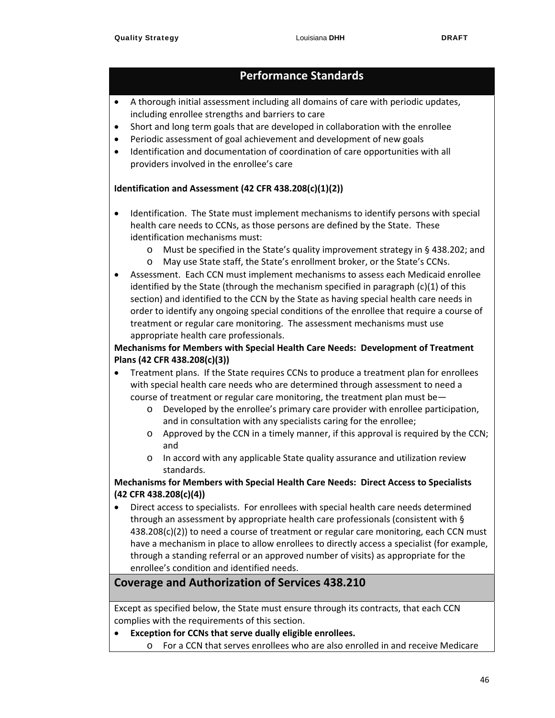- A thorough initial assessment including all domains of care with periodic updates, including enrollee strengths and barriers to care
- Short and long term goals that are developed in collaboration with the enrollee
- Periodic assessment of goal achievement and development of new goals
- Identification and documentation of coordination of care opportunities with all providers involved in the enrollee's care

#### **Identification and Assessment (42 CFR 438.208(c)(1)(2))**

- Identification. The State must implement mechanisms to identify persons with special health care needs to CCNs, as those persons are defined by the State. These identification mechanisms must:
	- o Must be specified in the State's quality improvement strategy in § 438.202; and
	- o May use State staff, the State's enrollment broker, or the State's CCNs.
- Assessment. Each CCN must implement mechanisms to assess each Medicaid enrollee identified by the State (through the mechanism specified in paragraph (c)(1) of this section) and identified to the CCN by the State as having special health care needs in order to identify any ongoing special conditions of the enrollee that require a course of treatment or regular care monitoring. The assessment mechanisms must use appropriate health care professionals.

#### **Mechanisms for Members with Special Health Care Needs: Development of Treatment Plans (42 CFR 438.208(c)(3))**

- Treatment plans. If the State requires CCNs to produce a treatment plan for enrollees with special health care needs who are determined through assessment to need a course of treatment or regular care monitoring, the treatment plan must be
	- o Developed by the enrollee's primary care provider with enrollee participation, and in consultation with any specialists caring for the enrollee;
	- $\circ$  Approved by the CCN in a timely manner, if this approval is required by the CCN; and
	- o In accord with any applicable State quality assurance and utilization review standards.

#### **Mechanisms for Members with Special Health Care Needs: Direct Access to Specialists (42 CFR 438.208(c)(4))**

 Direct access to specialists. For enrollees with special health care needs determined through an assessment by appropriate health care professionals (consistent with § 438.208(c)(2)) to need a course of treatment or regular care monitoring, each CCN must have a mechanism in place to allow enrollees to directly access a specialist (for example, through a standing referral or an approved number of visits) as appropriate for the enrollee's condition and identified needs.

## **Coverage and Authorization of Services 438.210**

Except as specified below, the State must ensure through its contracts, that each CCN complies with the requirements of this section.

- **Exception for CCNs that serve dually eligible enrollees.** 
	- o For a CCN that serves enrollees who are also enrolled in and receive Medicare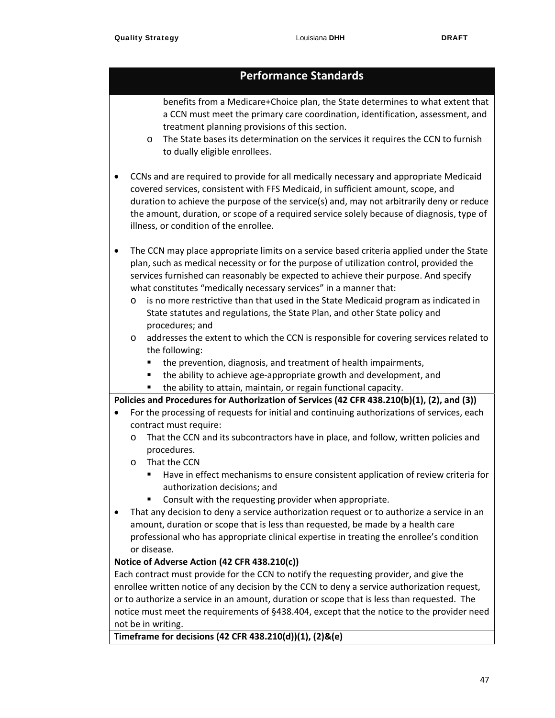| benefits from a Medicare+Choice plan, the State determines to what extent that |
|--------------------------------------------------------------------------------|
| a CCN must meet the primary care coordination, identification, assessment, and |
| treatment planning provisions of this section.                                 |

- o The State bases its determination on the services it requires the CCN to furnish to dually eligible enrollees.
- CCNs and are required to provide for all medically necessary and appropriate Medicaid covered services, consistent with FFS Medicaid, in sufficient amount, scope, and duration to achieve the purpose of the service(s) and, may not arbitrarily deny or reduce the amount, duration, or scope of a required service solely because of diagnosis, type of illness, or condition of the enrollee.
- The CCN may place appropriate limits on a service based criteria applied under the State plan, such as medical necessity or for the purpose of utilization control, provided the services furnished can reasonably be expected to achieve their purpose. And specify what constitutes "medically necessary services" in a manner that:
	- o is no more restrictive than that used in the State Medicaid program as indicated in State statutes and regulations, the State Plan, and other State policy and procedures; and
	- o addresses the extent to which the CCN is responsible for covering services related to the following:
		- **the prevention, diagnosis, and treatment of health impairments,**
		- the ability to achieve age-appropriate growth and development, and
		- the ability to attain, maintain, or regain functional capacity.

**Policies and Procedures for Authorization of Services (42 CFR 438.210(b)(1), (2), and (3))**

- For the processing of requests for initial and continuing authorizations of services, each contract must require:
	- o That the CCN and its subcontractors have in place, and follow, written policies and procedures.
	- o That the CCN
		- Have in effect mechanisms to ensure consistent application of review criteria for authorization decisions; and
		- Consult with the requesting provider when appropriate.
- That any decision to deny a service authorization request or to authorize a service in an amount, duration or scope that is less than requested, be made by a health care professional who has appropriate clinical expertise in treating the enrollee's condition or disease.

#### **Notice of Adverse Action (42 CFR 438.210(c))**

Each contract must provide for the CCN to notify the requesting provider, and give the enrollee written notice of any decision by the CCN to deny a service authorization request, or to authorize a service in an amount, duration or scope that is less than requested. The notice must meet the requirements of §438.404, except that the notice to the provider need not be in writing.

**Timeframe for decisions (42 CFR 438.210(d))(1), (2)&(e)**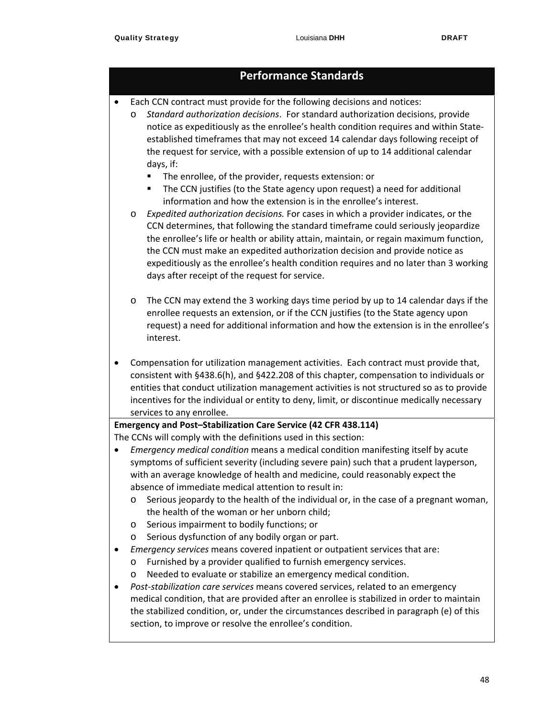Each CCN contract must provide for the following decisions and notices:

o *Standard authorization decisions*. For standard authorization decisions, provide notice as expeditiously as the enrollee's health condition requires and within State‐ established timeframes that may not exceed 14 calendar days following receipt of the request for service, with a possible extension of up to 14 additional calendar days, if:

- The enrollee, of the provider, requests extension: or
- **The CCN** justifies (to the State agency upon request) a need for additional information and how the extension is in the enrollee's interest.
- o *Expedited authorization decisions.* For cases in which a provider indicates, or the CCN determines, that following the standard timeframe could seriously jeopardize the enrollee's life or health or ability attain, maintain, or regain maximum function, the CCN must make an expedited authorization decision and provide notice as expeditiously as the enrollee's health condition requires and no later than 3 working days after receipt of the request for service.
- o The CCN may extend the 3 working days time period by up to 14 calendar days if the enrollee requests an extension, or if the CCN justifies (to the State agency upon request) a need for additional information and how the extension is in the enrollee's interest.
- Compensation for utilization management activities. Each contract must provide that, consistent with §438.6(h), and §422.208 of this chapter, compensation to individuals or entities that conduct utilization management activities is not structured so as to provide incentives for the individual or entity to deny, limit, or discontinue medically necessary services to any enrollee.

#### **Emergency and Post–Stabilization Care Service (42 CFR 438.114)**

The CCNs will comply with the definitions used in this section:

- *Emergency medical condition* means a medical condition manifesting itself by acute symptoms of sufficient severity (including severe pain) such that a prudent layperson, with an average knowledge of health and medicine, could reasonably expect the absence of immediate medical attention to result in:
	- o Serious jeopardy to the health of the individual or, in the case of a pregnant woman, the health of the woman or her unborn child;
	- o Serious impairment to bodily functions; or
	- o Serious dysfunction of any bodily organ or part.
- *Emergency services* means covered inpatient or outpatient services that are:
	- o Furnished by a provider qualified to furnish emergency services.
	- o Needed to evaluate or stabilize an emergency medical condition.
- *Post‐stabilization care services* means covered services, related to an emergency medical condition, that are provided after an enrollee is stabilized in order to maintain the stabilized condition, or, under the circumstances described in paragraph (e) of this section, to improve or resolve the enrollee's condition.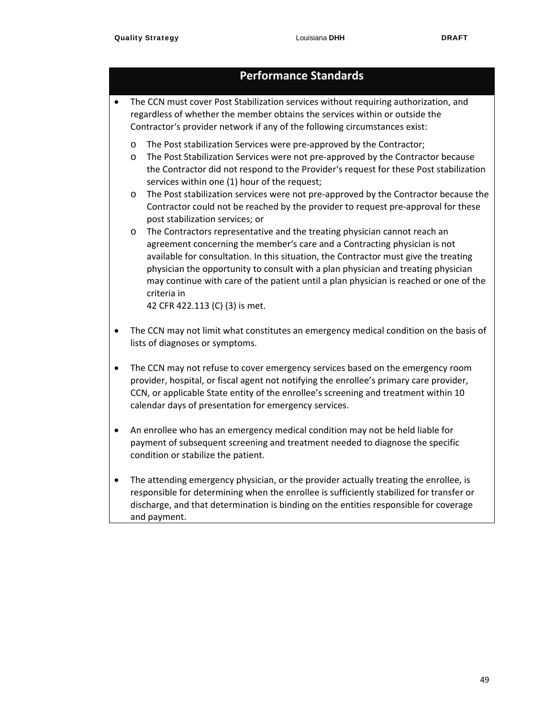- The CCN must cover Post Stabilization services without requiring authorization, and regardless of whether the member obtains the services within or outside the Contractor's provider network if any of the following circumstances exist:
	- o The Post stabilization Services were pre‐approved by the Contractor;
	- o The Post Stabilization Services were not pre‐approved by the Contractor because the Contractor did not respond to the Provider's request for these Post stabilization services within one (1) hour of the request;
	- o The Post stabilization services were not pre‐approved by the Contractor because the Contractor could not be reached by the provider to request pre‐approval for these post stabilization services; or
	- o The Contractors representative and the treating physician cannot reach an agreement concerning the member's care and a Contracting physician is not available for consultation. In this situation, the Contractor must give the treating physician the opportunity to consult with a plan physician and treating physician may continue with care of the patient until a plan physician is reached or one of the criteria in

42 CFR 422.113 (C) (3) is met.

- The CCN may not limit what constitutes an emergency medical condition on the basis of lists of diagnoses or symptoms.
- The CCN may not refuse to cover emergency services based on the emergency room provider, hospital, or fiscal agent not notifying the enrollee's primary care provider, CCN, or applicable State entity of the enrollee's screening and treatment within 10 calendar days of presentation for emergency services.
- An enrollee who has an emergency medical condition may not be held liable for payment of subsequent screening and treatment needed to diagnose the specific condition or stabilize the patient.
- The attending emergency physician, or the provider actually treating the enrollee, is responsible for determining when the enrollee is sufficiently stabilized for transfer or discharge, and that determination is binding on the entities responsible for coverage and payment.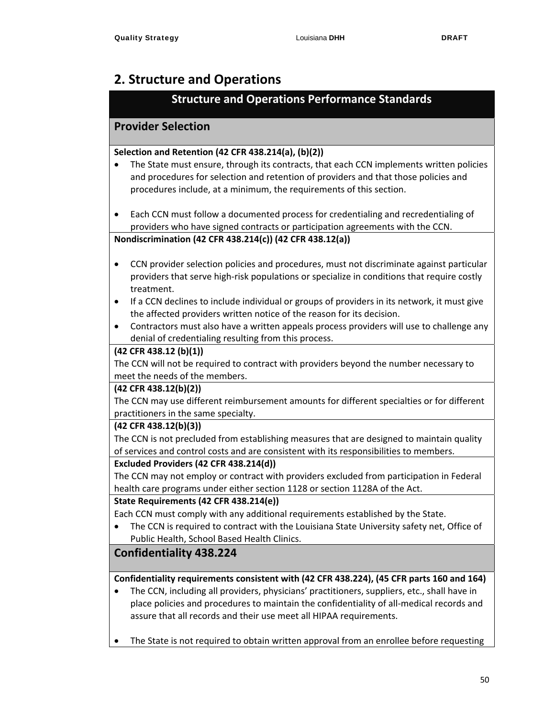## **2. Structure and Operations**

## **Structure and Operations Performance Standards**

## **Provider Selection**

#### **Selection and Retention (42 CFR 438.214(a), (b)(2))**

- The State must ensure, through its contracts, that each CCN implements written policies and procedures for selection and retention of providers and that those policies and procedures include, at a minimum, the requirements of this section.
- Each CCN must follow a documented process for credentialing and recredentialing of providers who have signed contracts or participation agreements with the CCN.

#### **Nondiscrimination (42 CFR 438.214(c)) (42 CFR 438.12(a))**

- CCN provider selection policies and procedures, must not discriminate against particular providers that serve high‐risk populations or specialize in conditions that require costly treatment.
- If a CCN declines to include individual or groups of providers in its network, it must give the affected providers written notice of the reason for its decision.
- Contractors must also have a written appeals process providers will use to challenge any denial of credentialing resulting from this process.

#### **(42 CFR 438.12 (b)(1))**

The CCN will not be required to contract with providers beyond the number necessary to meet the needs of the members.

#### **(42 CFR 438.12(b)(2))**

The CCN may use different reimbursement amounts for different specialties or for different practitioners in the same specialty.

#### **(42 CFR 438.12(b)(3))**

The CCN is not precluded from establishing measures that are designed to maintain quality of services and control costs and are consistent with its responsibilities to members.

#### **Excluded Providers (42 CFR 438.214(d))**

The CCN may not employ or contract with providers excluded from participation in Federal health care programs under either section 1128 or section 1128A of the Act.

#### **State Requirements (42 CFR 438.214(e))**

Each CCN must comply with any additional requirements established by the State.

 The CCN is required to contract with the Louisiana State University safety net, Office of Public Health, School Based Health Clinics.

## **Confidentiality 438.224**

#### **Confidentiality requirements consistent with (42 CFR 438.224), (45 CFR parts 160 and 164)**

- The CCN, including all providers, physicians' practitioners, suppliers, etc., shall have in place policies and procedures to maintain the confidentiality of all‐medical records and assure that all records and their use meet all HIPAA requirements.
- The State is not required to obtain written approval from an enrollee before requesting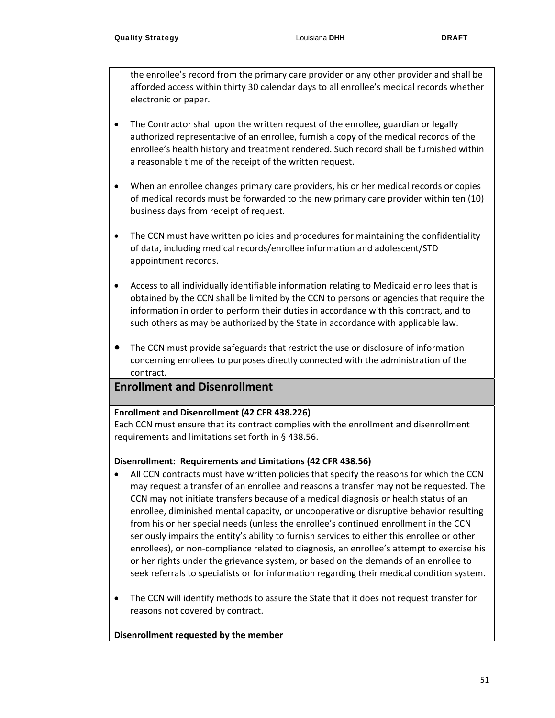the enrollee's record from the primary care provider or any other provider and shall be afforded access within thirty 30 calendar days to all enrollee's medical records whether electronic or paper.

- The Contractor shall upon the written request of the enrollee, guardian or legally authorized representative of an enrollee, furnish a copy of the medical records of the enrollee's health history and treatment rendered. Such record shall be furnished within a reasonable time of the receipt of the written request.
- When an enrollee changes primary care providers, his or her medical records or copies of medical records must be forwarded to the new primary care provider within ten (10) business days from receipt of request.
- The CCN must have written policies and procedures for maintaining the confidentiality of data, including medical records/enrollee information and adolescent/STD appointment records.
- Access to all individually identifiable information relating to Medicaid enrollees that is obtained by the CCN shall be limited by the CCN to persons or agencies that require the information in order to perform their duties in accordance with this contract, and to such others as may be authorized by the State in accordance with applicable law.
- The CCN must provide safeguards that restrict the use or disclosure of information concerning enrollees to purposes directly connected with the administration of the contract.

### **Enrollment and Disenrollment**

#### **Enrollment and Disenrollment (42 CFR 438.226)**

Each CCN must ensure that its contract complies with the enrollment and disenrollment requirements and limitations set forth in § 438.56.

#### **Disenrollment: Requirements and Limitations (42 CFR 438.56)**

- All CCN contracts must have written policies that specify the reasons for which the CCN may request a transfer of an enrollee and reasons a transfer may not be requested. The CCN may not initiate transfers because of a medical diagnosis or health status of an enrollee, diminished mental capacity, or uncooperative or disruptive behavior resulting from his or her special needs (unless the enrollee's continued enrollment in the CCN seriously impairs the entity's ability to furnish services to either this enrollee or other enrollees), or non‐compliance related to diagnosis, an enrollee's attempt to exercise his or her rights under the grievance system, or based on the demands of an enrollee to seek referrals to specialists or for information regarding their medical condition system.
- The CCN will identify methods to assure the State that it does not request transfer for reasons not covered by contract.

#### **Disenrollment requested by the member**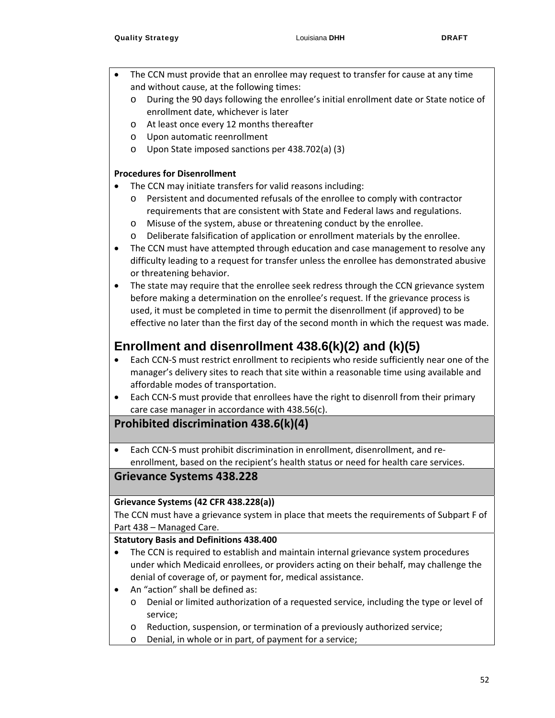- The CCN must provide that an enrollee may request to transfer for cause at any time and without cause, at the following times:
	- o During the 90 days following the enrollee's initial enrollment date or State notice of enrollment date, whichever is later
	- o At least once every 12 months thereafter
	- o Upon automatic reenrollment
	- o Upon State imposed sanctions per 438.702(a) (3)

#### **Procedures for Disenrollment**

- The CCN may initiate transfers for valid reasons including:
	- o Persistent and documented refusals of the enrollee to comply with contractor requirements that are consistent with State and Federal laws and regulations.
	- o Misuse of the system, abuse or threatening conduct by the enrollee.
	- o Deliberate falsification of application or enrollment materials by the enrollee.
- The CCN must have attempted through education and case management to resolve any difficulty leading to a request for transfer unless the enrollee has demonstrated abusive or threatening behavior.
- The state may require that the enrollee seek redress through the CCN grievance system before making a determination on the enrollee's request. If the grievance process is used, it must be completed in time to permit the disenrollment (if approved) to be effective no later than the first day of the second month in which the request was made.

## **Enrollment and disenrollment 438.6(k)(2) and (k)(5)**

- Each CCN-S must restrict enrollment to recipients who reside sufficiently near one of the manager's delivery sites to reach that site within a reasonable time using available and affordable modes of transportation.
- Each CCN-S must provide that enrollees have the right to disenroll from their primary care case manager in accordance with 438.56(c).

### **Prohibited discrimination 438.6(k)(4)**

 Each CCN‐S must prohibit discrimination in enrollment, disenrollment, and re‐ enrollment, based on the recipient's health status or need for health care services.

### **Grievance Systems 438.228**

#### **Grievance Systems (42 CFR 438.228(a))**

The CCN must have a grievance system in place that meets the requirements of Subpart F of Part 438 – Managed Care.

#### **Statutory Basis and Definitions 438.400**

- The CCN is required to establish and maintain internal grievance system procedures under which Medicaid enrollees, or providers acting on their behalf, may challenge the denial of coverage of, or payment for, medical assistance.
- An "action" shall be defined as:
	- o Denial or limited authorization of a requested service, including the type or level of service;
	- o Reduction, suspension, or termination of a previously authorized service;
	- o Denial, in whole or in part, of payment for a service;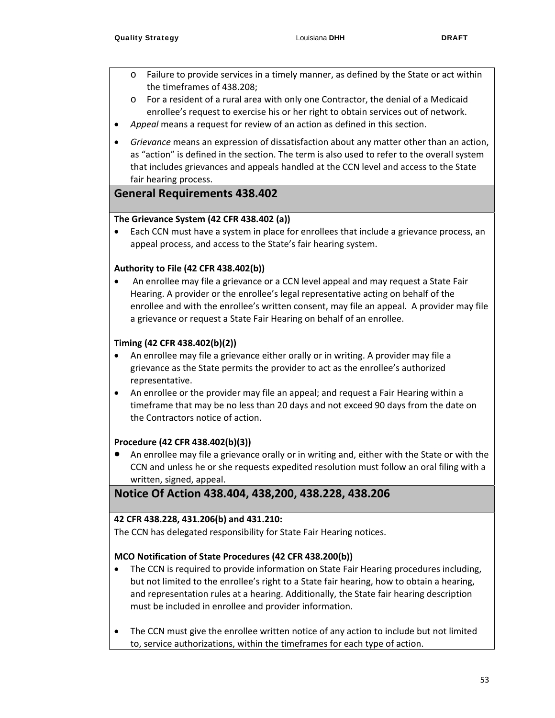- o Failure to provide services in a timely manner, as defined by the State or act within the timeframes of 438.208;
- o For a resident of a rural area with only one Contractor, the denial of a Medicaid enrollee's request to exercise his or her right to obtain services out of network.
- *Appeal* means a request for review of an action as defined in this section.
- *Grievance* means an expression of dissatisfaction about any matter other than an action, as "action" is defined in the section. The term is also used to refer to the overall system that includes grievances and appeals handled at the CCN level and access to the State fair hearing process.

### **General Requirements 438.402**

#### **The Grievance System (42 CFR 438.402 (a))**

 Each CCN must have a system in place for enrollees that include a grievance process, an appeal process, and access to the State's fair hearing system.

#### **Authority to File (42 CFR 438.402(b))**

 An enrollee may file a grievance or a CCN level appeal and may request a State Fair Hearing. A provider or the enrollee's legal representative acting on behalf of the enrollee and with the enrollee's written consent, may file an appeal. A provider may file a grievance or request a State Fair Hearing on behalf of an enrollee.

#### **Timing (42 CFR 438.402(b)(2))**

- An enrollee may file a grievance either orally or in writing. A provider may file a grievance as the State permits the provider to act as the enrollee's authorized representative.
- An enrollee or the provider may file an appeal; and request a Fair Hearing within a timeframe that may be no less than 20 days and not exceed 90 days from the date on the Contractors notice of action.

#### **Procedure (42 CFR 438.402(b)(3))**

 An enrollee may file a grievance orally or in writing and, either with the State or with the CCN and unless he or she requests expedited resolution must follow an oral filing with a written, signed, appeal.

## **Notice Of Action 438.404, 438,200, 438.228, 438.206**

#### **42 CFR 438.228, 431.206(b) and 431.210:**

The CCN has delegated responsibility for State Fair Hearing notices.

#### **MCO Notification of State Procedures (42 CFR 438.200(b))**

- The CCN is required to provide information on State Fair Hearing procedures including, but not limited to the enrollee's right to a State fair hearing, how to obtain a hearing, and representation rules at a hearing. Additionally, the State fair hearing description must be included in enrollee and provider information.
- The CCN must give the enrollee written notice of any action to include but not limited to, service authorizations, within the timeframes for each type of action.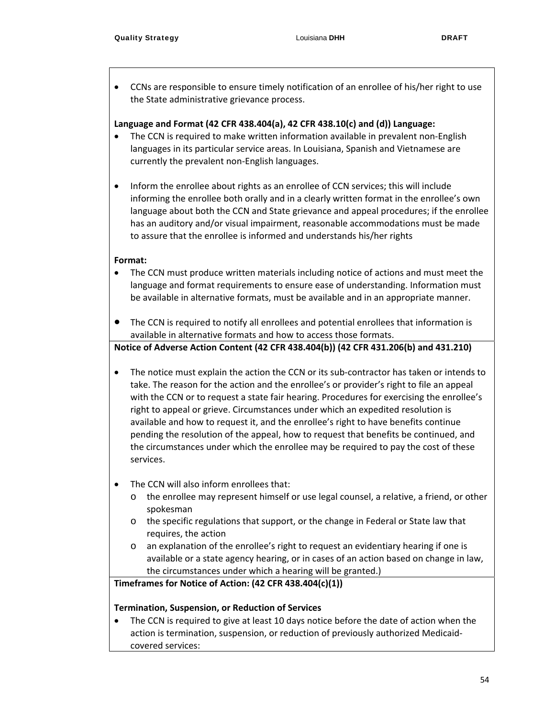CCNs are responsible to ensure timely notification of an enrollee of his/her right to use the State administrative grievance process.

#### **Language and Format (42 CFR 438.404(a), 42 CFR 438.10(c) and (d)) Language:**

- The CCN is required to make written information available in prevalent non‐English languages in its particular service areas. In Louisiana, Spanish and Vietnamese are currently the prevalent non‐English languages.
- Inform the enrollee about rights as an enrollee of CCN services; this will include informing the enrollee both orally and in a clearly written format in the enrollee's own language about both the CCN and State grievance and appeal procedures; if the enrollee has an auditory and/or visual impairment, reasonable accommodations must be made to assure that the enrollee is informed and understands his/her rights

#### **Format:**

- The CCN must produce written materials including notice of actions and must meet the language and format requirements to ensure ease of understanding. Information must be available in alternative formats, must be available and in an appropriate manner.
- The CCN is required to notify all enrollees and potential enrollees that information is available in alternative formats and how to access those formats.

#### **Notice of Adverse Action Content (42 CFR 438.404(b)) (42 CFR 431.206(b) and 431.210)**

- The notice must explain the action the CCN or its sub-contractor has taken or intends to take. The reason for the action and the enrollee's or provider's right to file an appeal with the CCN or to request a state fair hearing. Procedures for exercising the enrollee's right to appeal or grieve. Circumstances under which an expedited resolution is available and how to request it, and the enrollee's right to have benefits continue pending the resolution of the appeal, how to request that benefits be continued, and the circumstances under which the enrollee may be required to pay the cost of these services.
- The CCN will also inform enrollees that:
	- o the enrollee may represent himself or use legal counsel, a relative, a friend, or other spokesman
	- o the specific regulations that support, or the change in Federal or State law that requires, the action
	- o an explanation of the enrollee's right to request an evidentiary hearing if one is available or a state agency hearing, or in cases of an action based on change in law, the circumstances under which a hearing will be granted.)

#### **Timeframes for Notice of Action: (42 CFR 438.404(c)(1))**

#### **Termination, Suspension, or Reduction of Services**

 The CCN is required to give at least 10 days notice before the date of action when the action is termination, suspension, or reduction of previously authorized Medicaid‐ covered services: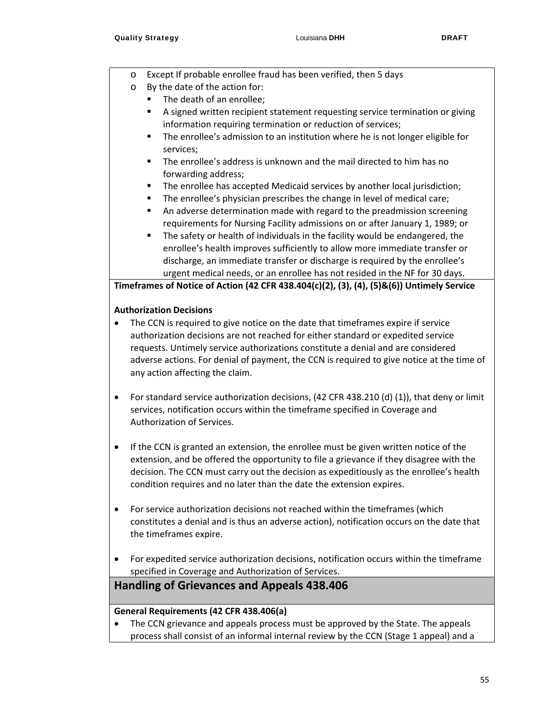- o Except If probable enrollee fraud has been verified, then 5 days
- o By the date of the action for:
	- The death of an enrollee;
	- A signed written recipient statement requesting service termination or giving information requiring termination or reduction of services;
	- The enrollee's admission to an institution where he is not longer eligible for services;
	- The enrollee's address is unknown and the mail directed to him has no forwarding address;
	- The enrollee has accepted Medicaid services by another local jurisdiction;
	- **The enrollee's physician prescribes the change in level of medical care;**
	- An adverse determination made with regard to the preadmission screening requirements for Nursing Facility admissions on or after January 1, 1989; or
	- The safety or health of individuals in the facility would be endangered, the enrollee's health improves sufficiently to allow more immediate transfer or discharge, an immediate transfer or discharge is required by the enrollee's urgent medical needs, or an enrollee has not resided in the NF for 30 days.

**Timeframes of Notice of Action (42 CFR 438.404(c)(2), (3), (4), (5)&(6)) Untimely Service** 

#### **Authorization Decisions**

- The CCN is required to give notice on the date that timeframes expire if service authorization decisions are not reached for either standard or expedited service requests. Untimely service authorizations constitute a denial and are considered adverse actions. For denial of payment, the CCN is required to give notice at the time of any action affecting the claim.
- For standard service authorization decisions, (42 CFR 438.210 (d) (1)), that deny or limit services, notification occurs within the timeframe specified in Coverage and Authorization of Services.
- If the CCN is granted an extension, the enrollee must be given written notice of the extension, and be offered the opportunity to file a grievance if they disagree with the decision. The CCN must carry out the decision as expeditiously as the enrollee's health condition requires and no later than the date the extension expires.
- For service authorization decisions not reached within the timeframes (which constitutes a denial and is thus an adverse action), notification occurs on the date that the timeframes expire.
- For expedited service authorization decisions, notification occurs within the timeframe specified in Coverage and Authorization of Services.

**Handling of Grievances and Appeals 438.406**

#### **General Requirements (42 CFR 438.406(a)**

 The CCN grievance and appeals process must be approved by the State. The appeals process shall consist of an informal internal review by the CCN (Stage 1 appeal) and a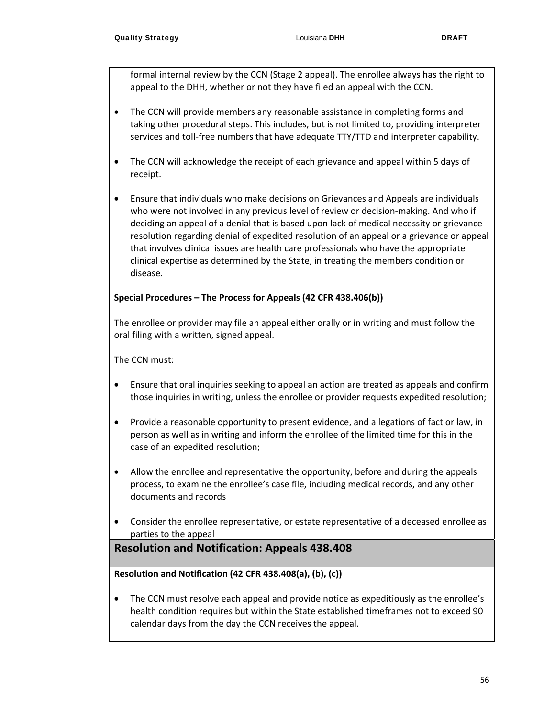formal internal review by the CCN (Stage 2 appeal). The enrollee always has the right to appeal to the DHH, whether or not they have filed an appeal with the CCN.

- The CCN will provide members any reasonable assistance in completing forms and taking other procedural steps. This includes, but is not limited to, providing interpreter services and toll-free numbers that have adequate TTY/TTD and interpreter capability.
- The CCN will acknowledge the receipt of each grievance and appeal within 5 days of receipt.
- Ensure that individuals who make decisions on Grievances and Appeals are individuals who were not involved in any previous level of review or decision-making. And who if deciding an appeal of a denial that is based upon lack of medical necessity or grievance resolution regarding denial of expedited resolution of an appeal or a grievance or appeal that involves clinical issues are health care professionals who have the appropriate clinical expertise as determined by the State, in treating the members condition or disease.

#### **Special Procedures – The Process for Appeals (42 CFR 438.406(b))**

The enrollee or provider may file an appeal either orally or in writing and must follow the oral filing with a written, signed appeal.

The CCN must:

- Ensure that oral inquiries seeking to appeal an action are treated as appeals and confirm those inquiries in writing, unless the enrollee or provider requests expedited resolution;
- Provide a reasonable opportunity to present evidence, and allegations of fact or law, in person as well as in writing and inform the enrollee of the limited time for this in the case of an expedited resolution;
- Allow the enrollee and representative the opportunity, before and during the appeals process, to examine the enrollee's case file, including medical records, and any other documents and records
- Consider the enrollee representative, or estate representative of a deceased enrollee as parties to the appeal

## **Resolution and Notification: Appeals 438.408**

#### **Resolution and Notification (42 CFR 438.408(a), (b), (c))**

• The CCN must resolve each appeal and provide notice as expeditiously as the enrollee's health condition requires but within the State established timeframes not to exceed 90 calendar days from the day the CCN receives the appeal.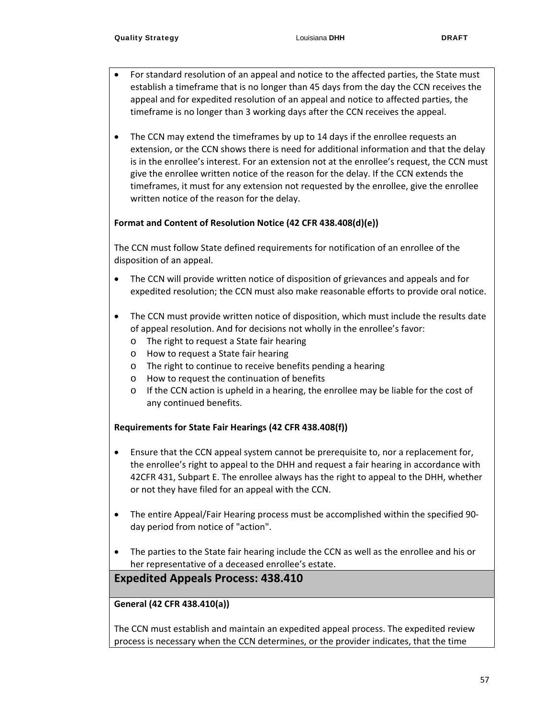- For standard resolution of an appeal and notice to the affected parties, the State must establish a timeframe that is no longer than 45 days from the day the CCN receives the appeal and for expedited resolution of an appeal and notice to affected parties, the timeframe is no longer than 3 working days after the CCN receives the appeal.
- The CCN may extend the timeframes by up to 14 days if the enrollee requests an extension, or the CCN shows there is need for additional information and that the delay is in the enrollee's interest. For an extension not at the enrollee's request, the CCN must give the enrollee written notice of the reason for the delay. If the CCN extends the timeframes, it must for any extension not requested by the enrollee, give the enrollee written notice of the reason for the delay.

#### **Format and Content of Resolution Notice (42 CFR 438.408(d)(e))**

The CCN must follow State defined requirements for notification of an enrollee of the disposition of an appeal.

- The CCN will provide written notice of disposition of grievances and appeals and for expedited resolution; the CCN must also make reasonable efforts to provide oral notice.
- The CCN must provide written notice of disposition, which must include the results date of appeal resolution. And for decisions not wholly in the enrollee's favor:
	- o The right to request a State fair hearing
	- o How to request a State fair hearing
	- o The right to continue to receive benefits pending a hearing
	- o How to request the continuation of benefits
	- o If the CCN action is upheld in a hearing, the enrollee may be liable for the cost of any continued benefits.

#### **Requirements for State Fair Hearings (42 CFR 438.408(f))**

- Ensure that the CCN appeal system cannot be prerequisite to, nor a replacement for, the enrollee's right to appeal to the DHH and request a fair hearing in accordance with 42CFR 431, Subpart E. The enrollee always has the right to appeal to the DHH, whether or not they have filed for an appeal with the CCN.
- The entire Appeal/Fair Hearing process must be accomplished within the specified 90‐ day period from notice of "action".
- The parties to the State fair hearing include the CCN as well as the enrollee and his or her representative of a deceased enrollee's estate.

### **Expedited Appeals Process: 438.410**

#### **General (42 CFR 438.410(a))**

The CCN must establish and maintain an expedited appeal process. The expedited review process is necessary when the CCN determines, or the provider indicates, that the time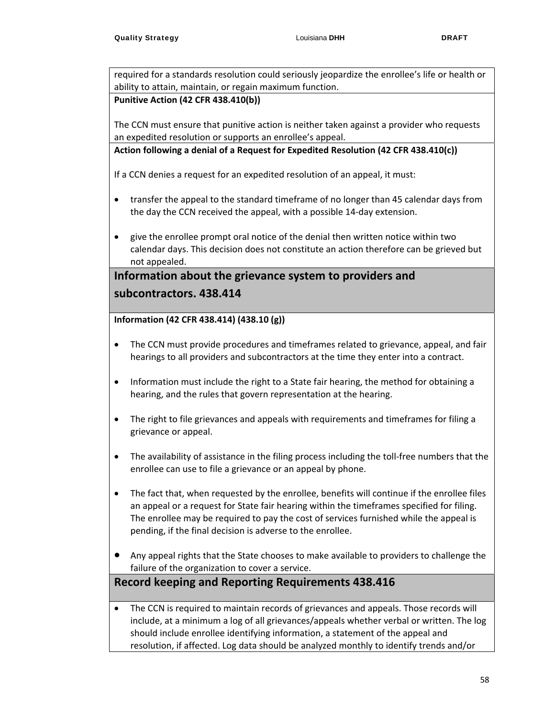required for a standards resolution could seriously jeopardize the enrollee's life or health or ability to attain, maintain, or regain maximum function.

#### **Punitive Action (42 CFR 438.410(b))**

The CCN must ensure that punitive action is neither taken against a provider who requests an expedited resolution or supports an enrollee's appeal.

**Action following a denial of a Request for Expedited Resolution (42 CFR 438.410(c))**

If a CCN denies a request for an expedited resolution of an appeal, it must:

- transfer the appeal to the standard timeframe of no longer than 45 calendar days from the day the CCN received the appeal, with a possible 14‐day extension.
- give the enrollee prompt oral notice of the denial then written notice within two calendar days. This decision does not constitute an action therefore can be grieved but not appealed.

## **Information about the grievance system to providers and subcontractors. 438.414**

#### **Information (42 CFR 438.414) (438.10 (g))**

- The CCN must provide procedures and timeframes related to grievance, appeal, and fair hearings to all providers and subcontractors at the time they enter into a contract.
- Information must include the right to a State fair hearing, the method for obtaining a hearing, and the rules that govern representation at the hearing.
- The right to file grievances and appeals with requirements and timeframes for filing a grievance or appeal.
- The availability of assistance in the filing process including the toll‐free numbers that the enrollee can use to file a grievance or an appeal by phone.
- The fact that, when requested by the enrollee, benefits will continue if the enrollee files an appeal or a request for State fair hearing within the timeframes specified for filing. The enrollee may be required to pay the cost of services furnished while the appeal is pending, if the final decision is adverse to the enrollee.
- Any appeal rights that the State chooses to make available to providers to challenge the failure of the organization to cover a service.

## **Record keeping and Reporting Requirements 438.416**

 The CCN is required to maintain records of grievances and appeals. Those records will include, at a minimum a log of all grievances/appeals whether verbal or written. The log should include enrollee identifying information, a statement of the appeal and resolution, if affected. Log data should be analyzed monthly to identify trends and/or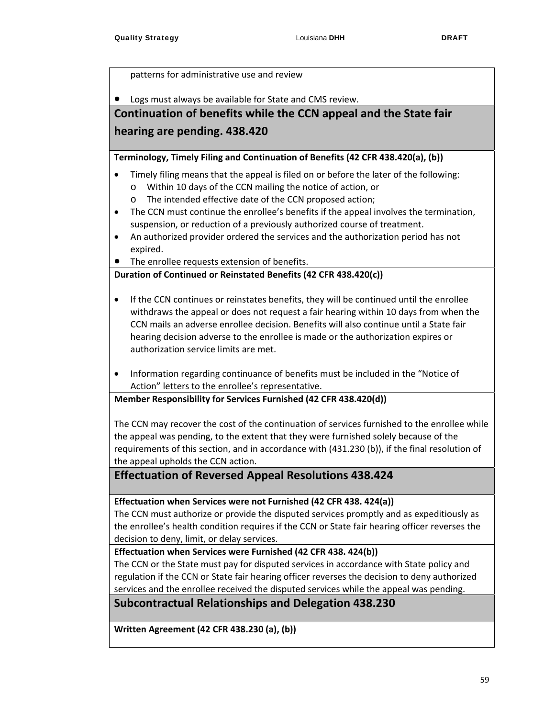patterns for administrative use and review

Logs must always be available for State and CMS review.

## **Continuation of benefits while the CCN appeal and the State fair hearing are pending. 438.420**

**Terminology, Timely Filing and Continuation of Benefits (42 CFR 438.420(a), (b))**

- Timely filing means that the appeal is filed on or before the later of the following:
	- o Within 10 days of the CCN mailing the notice of action, or
	- o The intended effective date of the CCN proposed action;
- The CCN must continue the enrollee's benefits if the appeal involves the termination, suspension, or reduction of a previously authorized course of treatment.
- An authorized provider ordered the services and the authorization period has not expired.
- The enrollee requests extension of benefits.

#### **Duration of Continued or Reinstated Benefits (42 CFR 438.420(c))**

- If the CCN continues or reinstates benefits, they will be continued until the enrollee withdraws the appeal or does not request a fair hearing within 10 days from when the CCN mails an adverse enrollee decision. Benefits will also continue until a State fair hearing decision adverse to the enrollee is made or the authorization expires or authorization service limits are met.
- Information regarding continuance of benefits must be included in the "Notice of Action" letters to the enrollee's representative.

**Member Responsibility for Services Furnished (42 CFR 438.420(d))**

The CCN may recover the cost of the continuation of services furnished to the enrollee while the appeal was pending, to the extent that they were furnished solely because of the requirements of this section, and in accordance with (431.230 (b)), if the final resolution of the appeal upholds the CCN action.

## **Effectuation of Reversed Appeal Resolutions 438.424**

**Effectuation when Services were not Furnished (42 CFR 438. 424(a))**

The CCN must authorize or provide the disputed services promptly and as expeditiously as the enrollee's health condition requires if the CCN or State fair hearing officer reverses the decision to deny, limit, or delay services.

#### **Effectuation when Services were Furnished (42 CFR 438. 424(b))**

The CCN or the State must pay for disputed services in accordance with State policy and regulation if the CCN or State fair hearing officer reverses the decision to deny authorized services and the enrollee received the disputed services while the appeal was pending.

**Subcontractual Relationships and Delegation 438.230**

**Written Agreement (42 CFR 438.230 (a), (b))**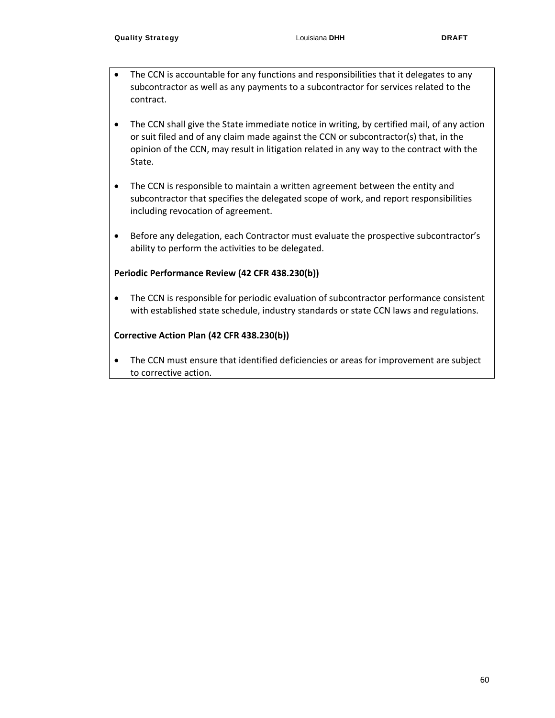- The CCN is accountable for any functions and responsibilities that it delegates to any subcontractor as well as any payments to a subcontractor for services related to the contract.
- The CCN shall give the State immediate notice in writing, by certified mail, of any action or suit filed and of any claim made against the CCN or subcontractor(s) that, in the opinion of the CCN, may result in litigation related in any way to the contract with the State.
- The CCN is responsible to maintain a written agreement between the entity and subcontractor that specifies the delegated scope of work, and report responsibilities including revocation of agreement.
- Before any delegation, each Contractor must evaluate the prospective subcontractor's ability to perform the activities to be delegated.

#### **Periodic Performance Review (42 CFR 438.230(b))**

 The CCN is responsible for periodic evaluation of subcontractor performance consistent with established state schedule, industry standards or state CCN laws and regulations.

#### **Corrective Action Plan (42 CFR 438.230(b))**

 The CCN must ensure that identified deficiencies or areas for improvement are subject to corrective action.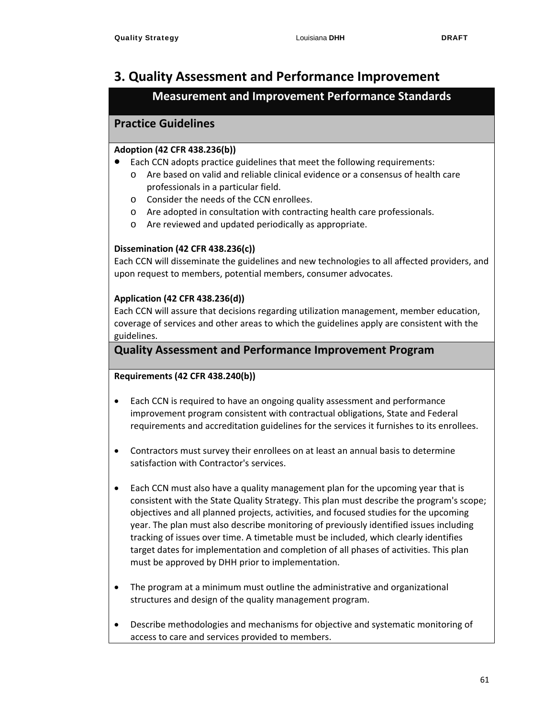## **3. Quality Assessment and Performance Improvement**

## **Measurement and Improvement Performance Standards**

## **Practice Guidelines**

#### **Adoption (42 CFR 438.236(b))**

- Each CCN adopts practice guidelines that meet the following requirements: o Are based on valid and reliable clinical evidence or a consensus of health care professionals in a particular field.
	- o Consider the needs of the CCN enrollees.
	- o Are adopted in consultation with contracting health care professionals.
	- o Are reviewed and updated periodically as appropriate.

### **Dissemination (42 CFR 438.236(c))**

Each CCN will disseminate the guidelines and new technologies to all affected providers, and upon request to members, potential members, consumer advocates.

#### **Application (42 CFR 438.236(d))**

Each CCN will assure that decisions regarding utilization management, member education, coverage of services and other areas to which the guidelines apply are consistent with the guidelines.

### **Quality Assessment and Performance Improvement Program**

#### **Requirements (42 CFR 438.240(b))**

- Each CCN is required to have an ongoing quality assessment and performance improvement program consistent with contractual obligations, State and Federal requirements and accreditation guidelines for the services it furnishes to its enrollees.
- Contractors must survey their enrollees on at least an annual basis to determine satisfaction with Contractor's services.
- Each CCN must also have a quality management plan for the upcoming year that is consistent with the State Quality Strategy. This plan must describe the program's scope; objectives and all planned projects, activities, and focused studies for the upcoming year. The plan must also describe monitoring of previously identified issues including tracking of issues over time. A timetable must be included, which clearly identifies target dates for implementation and completion of all phases of activities. This plan must be approved by DHH prior to implementation.
- The program at a minimum must outline the administrative and organizational structures and design of the quality management program.
- Describe methodologies and mechanisms for objective and systematic monitoring of access to care and services provided to members.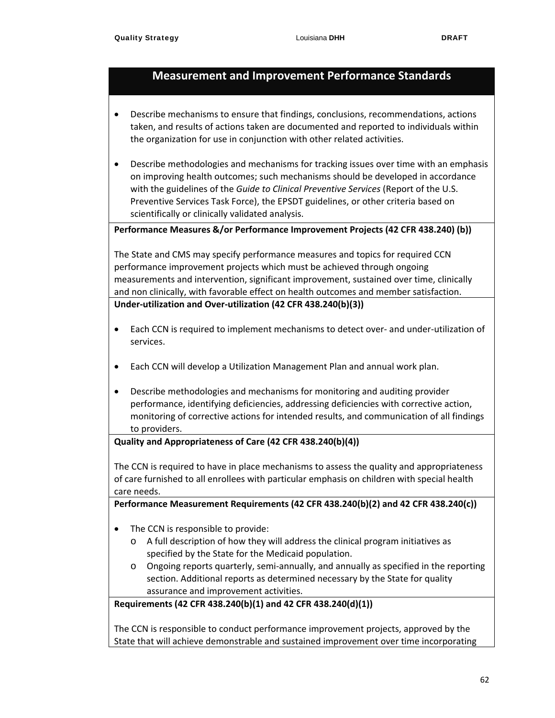- Describe mechanisms to ensure that findings, conclusions, recommendations, actions taken, and results of actions taken are documented and reported to individuals within the organization for use in conjunction with other related activities.
- Describe methodologies and mechanisms for tracking issues over time with an emphasis on improving health outcomes; such mechanisms should be developed in accordance with the guidelines of the *Guide to Clinical Preventive Services* (Report of the U.S. Preventive Services Task Force), the EPSDT guidelines, or other criteria based on scientifically or clinically validated analysis.

**Performance Measures &/or Performance Improvement Projects (42 CFR 438.240) (b))**

The State and CMS may specify performance measures and topics for required CCN performance improvement projects which must be achieved through ongoing measurements and intervention, significant improvement, sustained over time, clinically and non clinically, with favorable effect on health outcomes and member satisfaction. **Under‐utilization and Over‐utilization (42 CFR 438.240(b)(3))**

- Each CCN is required to implement mechanisms to detect over- and under-utilization of services.
- Each CCN will develop a Utilization Management Plan and annual work plan.
- Describe methodologies and mechanisms for monitoring and auditing provider performance, identifying deficiencies, addressing deficiencies with corrective action, monitoring of corrective actions for intended results, and communication of all findings to providers.

#### **Quality and Appropriateness of Care (42 CFR 438.240(b)(4))**

The CCN is required to have in place mechanisms to assess the quality and appropriateness of care furnished to all enrollees with particular emphasis on children with special health care needs.

**Performance Measurement Requirements (42 CFR 438.240(b)(2) and 42 CFR 438.240(c))**

- The CCN is responsible to provide:
	- o A full description of how they will address the clinical program initiatives as specified by the State for the Medicaid population.
	- o Ongoing reports quarterly, semi‐annually, and annually as specified in the reporting section. Additional reports as determined necessary by the State for quality assurance and improvement activities.

**Requirements (42 CFR 438.240(b)(1) and 42 CFR 438.240(d)(1))**

The CCN is responsible to conduct performance improvement projects, approved by the State that will achieve demonstrable and sustained improvement over time incorporating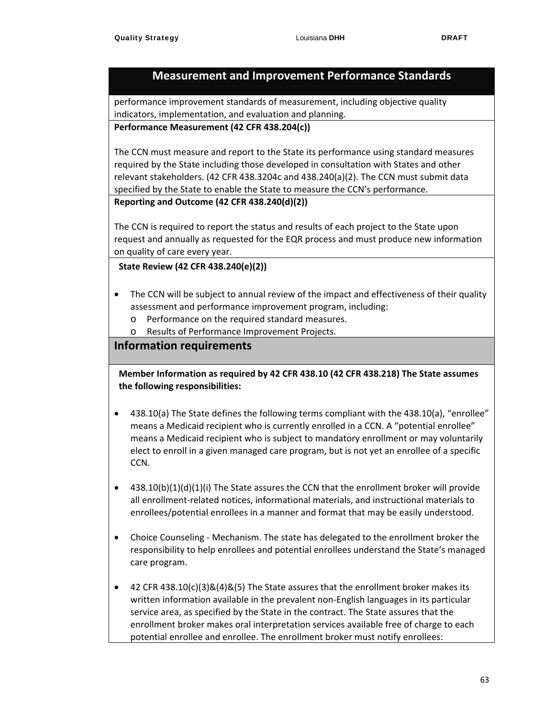performance improvement standards of measurement, including objective quality indicators, implementation, and evaluation and planning.

#### **Performance Measurement (42 CFR 438.204(c))**

The CCN must measure and report to the State its performance using standard measures required by the State including those developed in consultation with States and other relevant stakeholders. (42 CFR 438.3204c and 438.240(a)(2). The CCN must submit data specified by the State to enable the State to measure the CCN's performance.

#### **Reporting and Outcome (42 CFR 438.240(d)(2))**

The CCN is required to report the status and results of each project to the State upon request and annually as requested for the EQR process and must produce new information on quality of care every year.

#### **State Review (42 CFR 438.240(e)(2))**

- The CCN will be subject to annual review of the impact and effectiveness of their quality assessment and performance improvement program, including:
	- o Performance on the required standard measures.
	- o Results of Performance Improvement Projects.

### **Information requirements**

**Member Information as required by 42 CFR 438.10 (42 CFR 438.218) The State assumes the following responsibilities:**

- 438.10(a) The State defines the following terms compliant with the 438.10(a), "enrollee" means a Medicaid recipient who is currently enrolled in a CCN. A "potential enrollee" means a Medicaid recipient who is subject to mandatory enrollment or may voluntarily elect to enroll in a given managed care program, but is not yet an enrollee of a specific CCN.
- $\bullet$  438.10(b)(1)(d)(1)(i) The State assures the CCN that the enrollment broker will provide all enrollment‐related notices, informational materials, and instructional materials to enrollees/potential enrollees in a manner and format that may be easily understood.
- Choice Counseling ‐ Mechanism. The state has delegated to the enrollment broker the responsibility to help enrollees and potential enrollees understand the State's managed care program.
- 42 CFR 438.10(c)(3) $\&(4)\&(5)$  The State assures that the enrollment broker makes its written information available in the prevalent non‐English languages in its particular service area, as specified by the State in the contract. The State assures that the enrollment broker makes oral interpretation services available free of charge to each potential enrollee and enrollee. The enrollment broker must notify enrollees: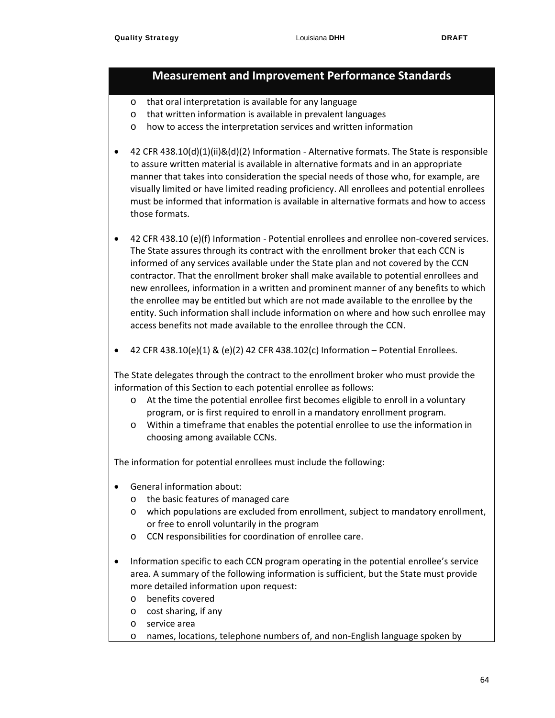- o that oral interpretation is available for any language
- o that written information is available in prevalent languages
- o how to access the interpretation services and written information
- 42 CFR 438.10(d)(1)(ii)&(d)(2) Information Alternative formats. The State is responsible to assure written material is available in alternative formats and in an appropriate manner that takes into consideration the special needs of those who, for example, are visually limited or have limited reading proficiency. All enrollees and potential enrollees must be informed that information is available in alternative formats and how to access those formats.
- 42 CFR 438.10 (e)(f) Information Potential enrollees and enrollee non-covered services. The State assures through its contract with the enrollment broker that each CCN is informed of any services available under the State plan and not covered by the CCN contractor. That the enrollment broker shall make available to potential enrollees and new enrollees, information in a written and prominent manner of any benefits to which the enrollee may be entitled but which are not made available to the enrollee by the entity. Such information shall include information on where and how such enrollee may access benefits not made available to the enrollee through the CCN.
- $\bullet$  42 CFR 438.10(e)(1) & (e)(2) 42 CFR 438.102(c) Information Potential Enrollees.

The State delegates through the contract to the enrollment broker who must provide the information of this Section to each potential enrollee as follows:

- o At the time the potential enrollee first becomes eligible to enroll in a voluntary program, or is first required to enroll in a mandatory enrollment program.
- o Within a timeframe that enables the potential enrollee to use the information in choosing among available CCNs.

The information for potential enrollees must include the following:

- General information about:
	- o the basic features of managed care
	- o which populations are excluded from enrollment, subject to mandatory enrollment, or free to enroll voluntarily in the program
	- o CCN responsibilities for coordination of enrollee care.
- Information specific to each CCN program operating in the potential enrollee's service area. A summary of the following information is sufficient, but the State must provide more detailed information upon request:
	- o benefits covered
	- o cost sharing, if any
	- o service area
	- o names, locations, telephone numbers of, and non‐English language spoken by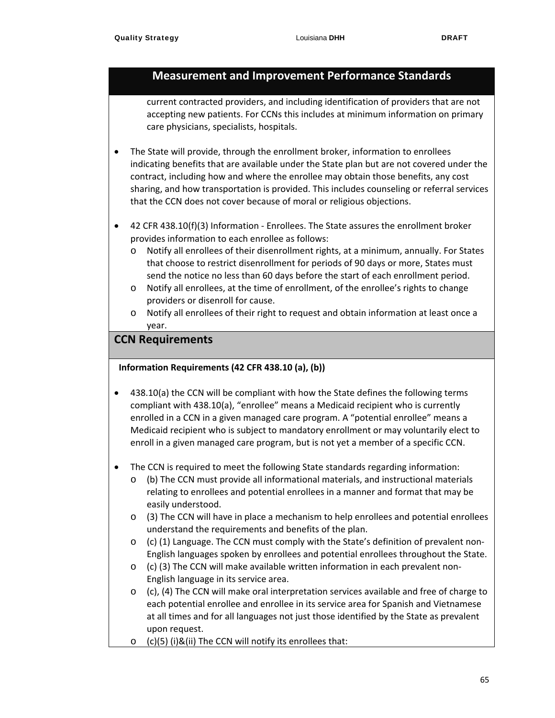current contracted providers, and including identification of providers that are not accepting new patients. For CCNs this includes at minimum information on primary care physicians, specialists, hospitals.

- The State will provide, through the enrollment broker, information to enrollees indicating benefits that are available under the State plan but are not covered under the contract, including how and where the enrollee may obtain those benefits, any cost sharing, and how transportation is provided. This includes counseling or referral services that the CCN does not cover because of moral or religious objections.
- 42 CFR 438.10(f)(3) Information ‐ Enrollees. The State assures the enrollment broker provides information to each enrollee as follows:
	- o Notify all enrollees of their disenrollment rights, at a minimum, annually. For States that choose to restrict disenrollment for periods of 90 days or more, States must send the notice no less than 60 days before the start of each enrollment period.
	- o Notify all enrollees, at the time of enrollment, of the enrollee's rights to change providers or disenroll for cause.
	- o Notify all enrollees of their right to request and obtain information at least once a year.

### **CCN Requirements**

#### **Information Requirements (42 CFR 438.10 (a), (b))**

- 438.10(a) the CCN will be compliant with how the State defines the following terms compliant with 438.10(a), "enrollee" means a Medicaid recipient who is currently enrolled in a CCN in a given managed care program. A "potential enrollee" means a Medicaid recipient who is subject to mandatory enrollment or may voluntarily elect to enroll in a given managed care program, but is not yet a member of a specific CCN.
- The CCN is required to meet the following State standards regarding information:
	- o (b) The CCN must provide all informational materials, and instructional materials relating to enrollees and potential enrollees in a manner and format that may be easily understood.
	- o (3) The CCN will have in place a mechanism to help enrollees and potential enrollees understand the requirements and benefits of the plan.
	- o (c) (1) Language. The CCN must comply with the State's definition of prevalent non‐ English languages spoken by enrollees and potential enrollees throughout the State.
	- o (c) (3) The CCN will make available written information in each prevalent non‐ English language in its service area.
	- $\circ$  (c), (4) The CCN will make oral interpretation services available and free of charge to each potential enrollee and enrollee in its service area for Spanish and Vietnamese at all times and for all languages not just those identified by the State as prevalent upon request.
	- $\circ$  (c)(5) (i)&(ii) The CCN will notify its enrollees that: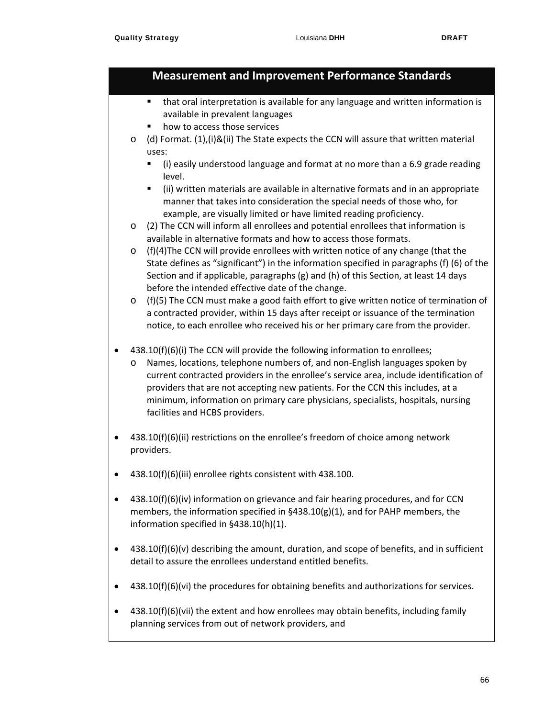- that oral interpretation is available for any language and written information is available in prevalent languages
- how to access those services
- $\circ$  (d) Format. (1),(i)&(ii) The State expects the CCN will assure that written material uses:
	- (i) easily understood language and format at no more than a 6.9 grade reading level.
	- (ii) written materials are available in alternative formats and in an appropriate manner that takes into consideration the special needs of those who, for example, are visually limited or have limited reading proficiency.
- o (2) The CCN will inform all enrollees and potential enrollees that information is available in alternative formats and how to access those formats.
- $\circ$  (f)(4)The CCN will provide enrollees with written notice of any change (that the State defines as "significant") in the information specified in paragraphs (f) (6) of the Section and if applicable, paragraphs (g) and (h) of this Section, at least 14 days before the intended effective date of the change.
- $\circ$  (f)(5) The CCN must make a good faith effort to give written notice of termination of a contracted provider, within 15 days after receipt or issuance of the termination notice, to each enrollee who received his or her primary care from the provider.
- 438.10(f)(6)(i) The CCN will provide the following information to enrollees;
	- o Names, locations, telephone numbers of, and non‐English languages spoken by current contracted providers in the enrollee's service area, include identification of providers that are not accepting new patients. For the CCN this includes, at a minimum, information on primary care physicians, specialists, hospitals, nursing facilities and HCBS providers.
- 438.10(f)(6)(ii) restrictions on the enrollee's freedom of choice among network providers.
- 438.10(f)(6)(iii) enrollee rights consistent with 438.100.
- $\bullet$  438.10(f)(6)(iv) information on grievance and fair hearing procedures, and for CCN members, the information specified in  $\S438.10(g)(1)$ , and for PAHP members, the information specified in §438.10(h)(1).
- $\bullet$  438.10(f)(6)(v) describing the amount, duration, and scope of benefits, and in sufficient detail to assure the enrollees understand entitled benefits.
- 438.10(f)(6)(vi) the procedures for obtaining benefits and authorizations for services.
- $\bullet$  438.10(f)(6)(vii) the extent and how enrollees may obtain benefits, including family planning services from out of network providers, and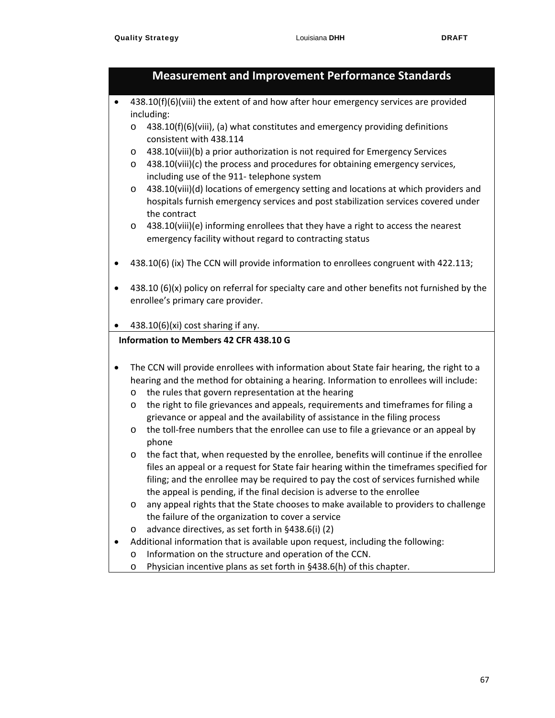## **Measurement and Improvement Performance Standards**  $\bullet$  438.10(f)(6)(viii) the extent of and how after hour emergency services are provided including:  $\circ$  438.10(f)(6)(viii), (a) what constitutes and emergency providing definitions consistent with 438.114 o 438.10(viii)(b) a prior authorization is not required for Emergency Services o 438.10(viii)(c) the process and procedures for obtaining emergency services, including use of the 911‐ telephone system o 438.10(viii)(d) locations of emergency setting and locations at which providers and hospitals furnish emergency services and post stabilization services covered under the contract  $\circ$  438.10(viii)(e) informing enrollees that they have a right to access the nearest emergency facility without regard to contracting status 438.10(6) (ix) The CCN will provide information to enrollees congruent with 422.113; 438.10 (6)(x) policy on referral for specialty care and other benefits not furnished by the enrollee's primary care provider. 438.10(6)(xi) cost sharing if any. **Information to Members 42 CFR 438.10 G** The CCN will provide enrollees with information about State fair hearing, the right to a hearing and the method for obtaining a hearing. Information to enrollees will include: o the rules that govern representation at the hearing o the right to file grievances and appeals, requirements and timeframes for filing a grievance or appeal and the availability of assistance in the filing process  $\circ$  the toll-free numbers that the enrollee can use to file a grievance or an appeal by phone o the fact that, when requested by the enrollee, benefits will continue if the enrollee files an appeal or a request for State fair hearing within the timeframes specified for filing; and the enrollee may be required to pay the cost of services furnished while the appeal is pending, if the final decision is adverse to the enrollee o any appeal rights that the State chooses to make available to providers to challenge the failure of the organization to cover a service o advance directives, as set forth in §438.6(i) (2) Additional information that is available upon request, including the following: o Information on the structure and operation of the CCN.

o Physician incentive plans as set forth in §438.6(h) of this chapter.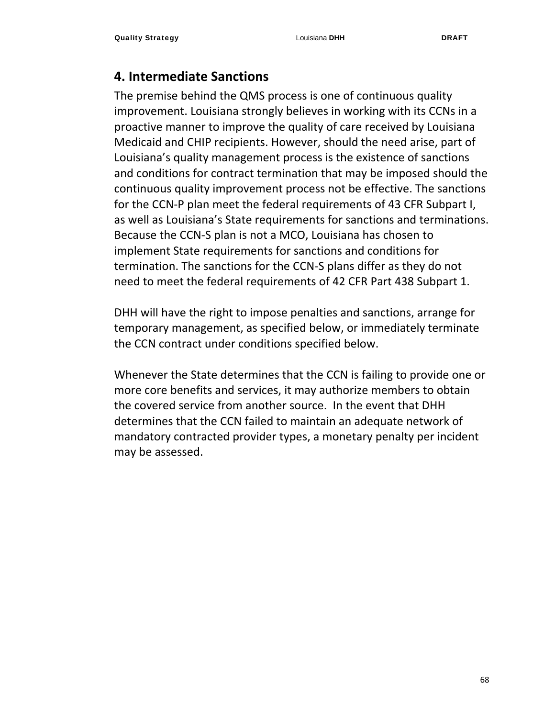## **4. Intermediate Sanctions**

The premise behind the QMS process is one of continuous quality improvement. Louisiana strongly believes in working with its CCNs in a proactive manner to improve the quality of care received by Louisiana Medicaid and CHIP recipients. However, should the need arise, part of Louisiana's quality management process is the existence of sanctions and conditions for contract termination that may be imposed should the continuous quality improvement process not be effective. The sanctions for the CCN‐P plan meet the federal requirements of 43 CFR Subpart I, as well as Louisiana's State requirements for sanctions and terminations. Because the CCN‐S plan is not a MCO, Louisiana has chosen to implement State requirements for sanctions and conditions for termination. The sanctions for the CCN‐S plans differ as they do not need to meet the federal requirements of 42 CFR Part 438 Subpart 1.

DHH will have the right to impose penalties and sanctions, arrange for temporary management, as specified below, or immediately terminate the CCN contract under conditions specified below.

Whenever the State determines that the CCN is failing to provide one or more core benefits and services, it may authorize members to obtain the covered service from another source. In the event that DHH determines that the CCN failed to maintain an adequate network of mandatory contracted provider types, a monetary penalty per incident may be assessed.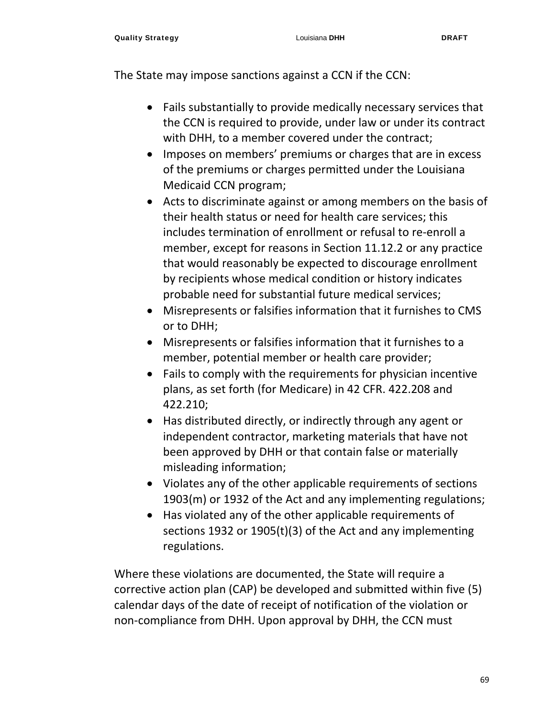The State may impose sanctions against a CCN if the CCN:

- Fails substantially to provide medically necessary services that the CCN is required to provide, under law or under its contract with DHH, to a member covered under the contract;
- Imposes on members' premiums or charges that are in excess of the premiums or charges permitted under the Louisiana Medicaid CCN program;
- Acts to discriminate against or among members on the basis of their health status or need for health care services; this includes termination of enrollment or refusal to re‐enroll a member, except for reasons in Section 11.12.2 or any practice that would reasonably be expected to discourage enrollment by recipients whose medical condition or history indicates probable need for substantial future medical services;
- Misrepresents or falsifies information that it furnishes to CMS or to DHH;
- Misrepresents or falsifies information that it furnishes to a member, potential member or health care provider;
- Fails to comply with the requirements for physician incentive plans, as set forth (for Medicare) in 42 CFR. 422.208 and 422.210;
- Has distributed directly, or indirectly through any agent or independent contractor, marketing materials that have not been approved by DHH or that contain false or materially misleading information;
- Violates any of the other applicable requirements of sections 1903(m) or 1932 of the Act and any implementing regulations;
- Has violated any of the other applicable requirements of sections 1932 or 1905(t)(3) of the Act and any implementing regulations.

Where these violations are documented, the State will require a corrective action plan (CAP) be developed and submitted within five (5) calendar days of the date of receipt of notification of the violation or non‐compliance from DHH. Upon approval by DHH, the CCN must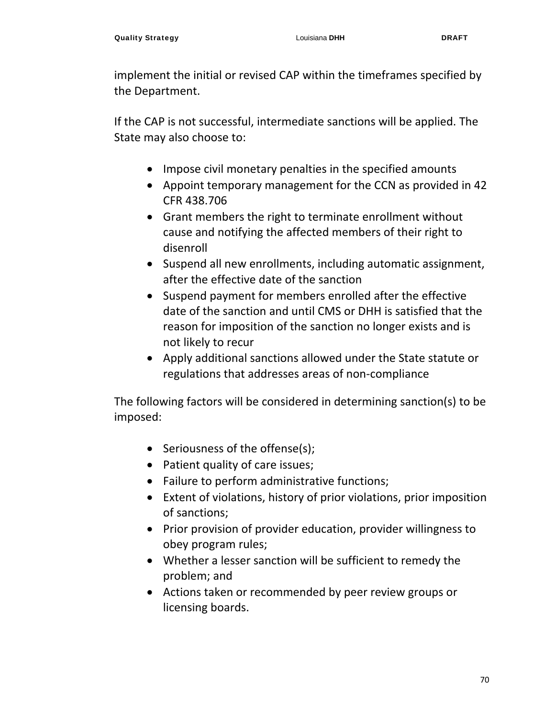implement the initial or revised CAP within the timeframes specified by the Department.

If the CAP is not successful, intermediate sanctions will be applied. The State may also choose to:

- Impose civil monetary penalties in the specified amounts
- Appoint temporary management for the CCN as provided in 42 CFR 438.706
- Grant members the right to terminate enrollment without cause and notifying the affected members of their right to disenroll
- Suspend all new enrollments, including automatic assignment, after the effective date of the sanction
- Suspend payment for members enrolled after the effective date of the sanction and until CMS or DHH is satisfied that the reason for imposition of the sanction no longer exists and is not likely to recur
- Apply additional sanctions allowed under the State statute or regulations that addresses areas of non‐compliance

The following factors will be considered in determining sanction(s) to be imposed:

- Seriousness of the offense(s);
- Patient quality of care issues;
- Failure to perform administrative functions;
- Extent of violations, history of prior violations, prior imposition of sanctions;
- Prior provision of provider education, provider willingness to obey program rules;
- Whether a lesser sanction will be sufficient to remedy the problem; and
- Actions taken or recommended by peer review groups or licensing boards.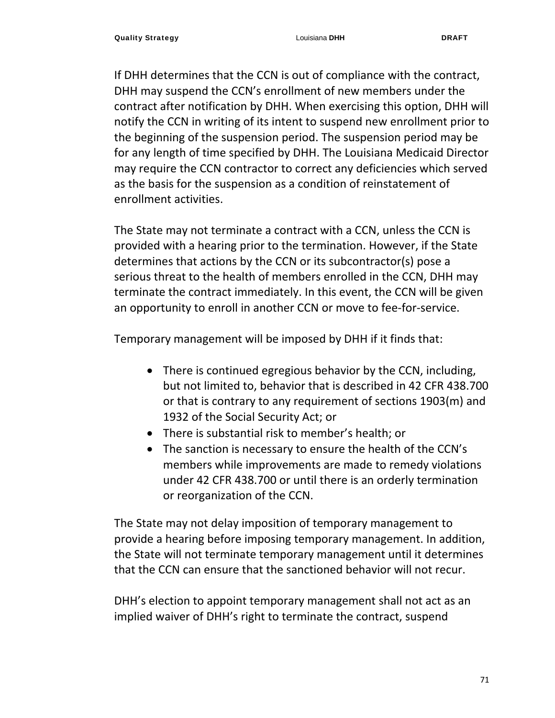If DHH determines that the CCN is out of compliance with the contract, DHH may suspend the CCN's enrollment of new members under the contract after notification by DHH. When exercising this option, DHH will notify the CCN in writing of its intent to suspend new enrollment prior to the beginning of the suspension period. The suspension period may be for any length of time specified by DHH. The Louisiana Medicaid Director may require the CCN contractor to correct any deficiencies which served as the basis for the suspension as a condition of reinstatement of enrollment activities.

The State may not terminate a contract with a CCN, unless the CCN is provided with a hearing prior to the termination. However, if the State determines that actions by the CCN or its subcontractor(s) pose a serious threat to the health of members enrolled in the CCN, DHH may terminate the contract immediately. In this event, the CCN will be given an opportunity to enroll in another CCN or move to fee-for-service.

Temporary management will be imposed by DHH if it finds that:

- There is continued egregious behavior by the CCN, including, but not limited to, behavior that is described in 42 CFR 438.700 or that is contrary to any requirement of sections 1903(m) and 1932 of the Social Security Act; or
- There is substantial risk to member's health; or
- The sanction is necessary to ensure the health of the CCN's members while improvements are made to remedy violations under 42 CFR 438.700 or until there is an orderly termination or reorganization of the CCN.

The State may not delay imposition of temporary management to provide a hearing before imposing temporary management. In addition, the State will not terminate temporary management until it determines that the CCN can ensure that the sanctioned behavior will not recur.

DHH's election to appoint temporary management shall not act as an implied waiver of DHH's right to terminate the contract, suspend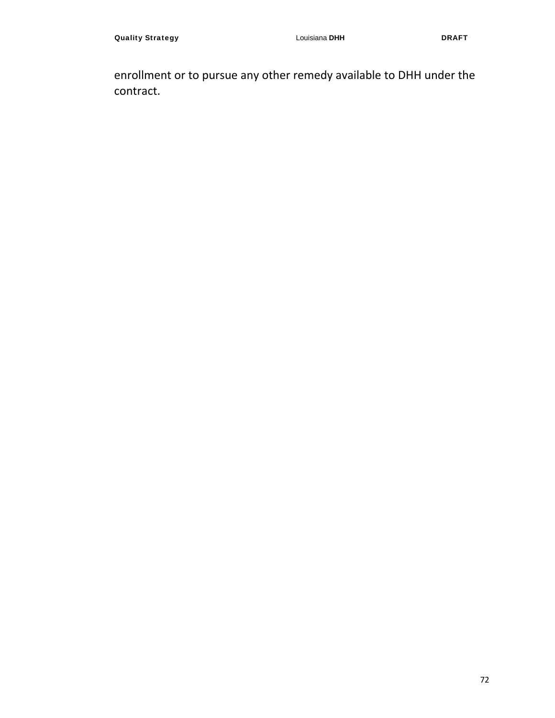enrollment or to pursue any other remedy available to DHH under the contract.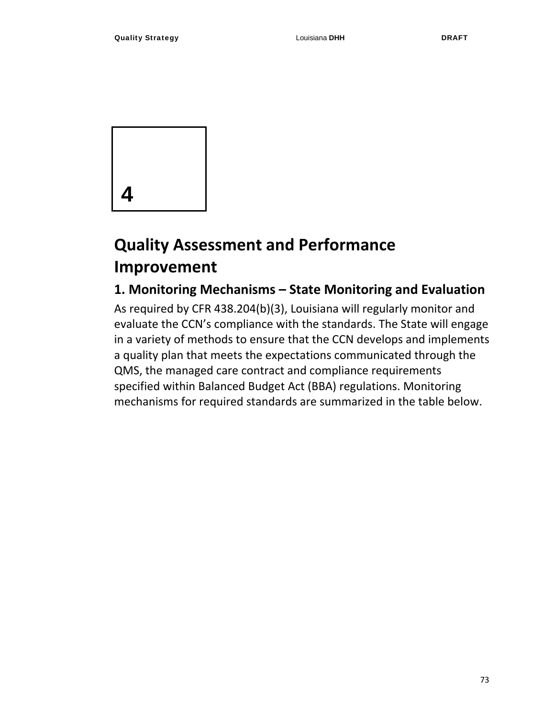

# **Quality Assessment and Performance Improvement**

## **1. Monitoring Mechanisms – State Monitoring and Evaluation**

As required by CFR 438.204(b)(3), Louisiana will regularly monitor and evaluate the CCN's compliance with the standards. The State will engage in a variety of methods to ensure that the CCN develops and implements a quality plan that meets the expectations communicated through the QMS, the managed care contract and compliance requirements specified within Balanced Budget Act (BBA) regulations. Monitoring mechanisms for required standards are summarized in the table below.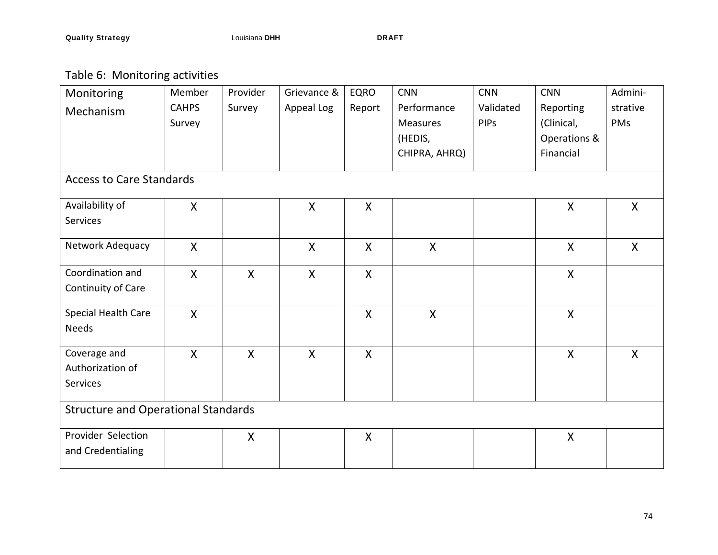Table 6: Monitoring activities

| Monitoring                                   | Member                    | Provider     | Grievance &  | <b>EQRO</b>               | <b>CNN</b>                                          | <b>CNN</b>               | <b>CNN</b>                                           | Admini-         |
|----------------------------------------------|---------------------------|--------------|--------------|---------------------------|-----------------------------------------------------|--------------------------|------------------------------------------------------|-----------------|
| Mechanism                                    | <b>CAHPS</b><br>Survey    | Survey       | Appeal Log   | Report                    | Performance<br>Measures<br>(HEDIS,<br>CHIPRA, AHRQ) | Validated<br><b>PIPs</b> | Reporting<br>(Clinical,<br>Operations &<br>Financial | strative<br>PMs |
| <b>Access to Care Standards</b>              |                           |              |              |                           |                                                     |                          |                                                      |                 |
| Availability of<br>Services                  | $\mathsf{X}$              |              | X            | $\boldsymbol{\mathsf{X}}$ |                                                     |                          | $\mathsf{X}$                                         | $\mathsf{X}$    |
| Network Adequacy                             | $\boldsymbol{\mathsf{X}}$ |              | $\mathsf{X}$ | $\boldsymbol{\mathsf{X}}$ | $\mathsf{X}$                                        |                          | $\mathsf{X}$                                         | $\mathsf{X}$    |
| Coordination and<br>Continuity of Care       | $\mathsf{X}$              | $\mathsf{X}$ | $\mathsf{X}$ | X                         |                                                     |                          | $\mathsf{X}$                                         |                 |
| Special Health Care<br>Needs                 | $\mathsf{X}$              |              |              | $\boldsymbol{\mathsf{X}}$ | $\mathsf{X}$                                        |                          | $\mathsf{X}$                                         |                 |
| Coverage and<br>Authorization of<br>Services | $\mathsf{X}$              | $\mathsf{X}$ | $\mathsf{X}$ | $\mathsf{X}$              |                                                     |                          | $\mathsf{X}$                                         | $\mathsf{X}$    |
| <b>Structure and Operational Standards</b>   |                           |              |              |                           |                                                     |                          |                                                      |                 |
| Provider Selection<br>and Credentialing      |                           | $\mathsf{X}$ |              | X                         |                                                     |                          | $\mathsf{X}$                                         |                 |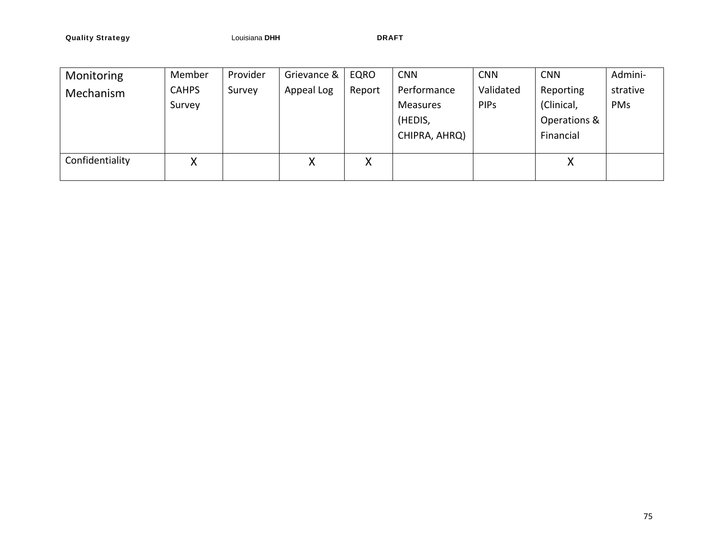**Quality Strategy DRAFT CONSIDER LOUISIANA DRAFT** 

| Monitoring      | Member       | Provider | Grievance & | EQRO   | <b>CNN</b>    | <b>CNN</b>  | <b>CNN</b>   | Admini-  |
|-----------------|--------------|----------|-------------|--------|---------------|-------------|--------------|----------|
| Mechanism       | <b>CAHPS</b> | Survey   | Appeal Log  | Report | Performance   | Validated   | Reporting    | strative |
|                 | Survey       |          |             |        | Measures      | <b>PIPs</b> | (Clinical,   | PMs      |
|                 |              |          |             |        | (HEDIS,       |             | Operations & |          |
|                 |              |          |             |        | CHIPRA, AHRQ) |             | Financial    |          |
|                 |              |          |             |        |               |             |              |          |
| Confidentiality | X            |          | Χ           | Χ      |               |             | Χ            |          |
|                 |              |          |             |        |               |             |              |          |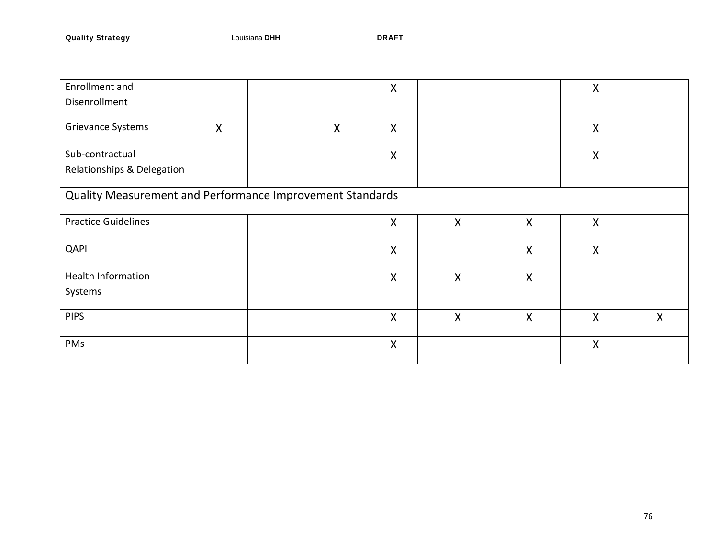| Enrollment and                                            |   |  |   | $\boldsymbol{\mathsf{X}}$ |              |              | $\mathsf{X}$ |              |
|-----------------------------------------------------------|---|--|---|---------------------------|--------------|--------------|--------------|--------------|
| Disenrollment                                             |   |  |   |                           |              |              |              |              |
| Grievance Systems                                         | X |  | X | $\boldsymbol{\mathsf{X}}$ |              |              | $\mathsf{X}$ |              |
| Sub-contractual                                           |   |  |   | X                         |              |              | $\mathsf{X}$ |              |
| Relationships & Delegation                                |   |  |   |                           |              |              |              |              |
| Quality Measurement and Performance Improvement Standards |   |  |   |                           |              |              |              |              |
| <b>Practice Guidelines</b>                                |   |  |   | X                         | $\mathsf{X}$ | $\mathsf{X}$ | $\mathsf{X}$ |              |
| QAPI                                                      |   |  |   | X                         |              | X            | X            |              |
| <b>Health Information</b>                                 |   |  |   | $\boldsymbol{\mathsf{X}}$ | X            | $\mathsf{X}$ |              |              |
| Systems                                                   |   |  |   |                           |              |              |              |              |
| <b>PIPS</b>                                               |   |  |   | $\boldsymbol{\mathsf{X}}$ | $\mathsf{X}$ | $\mathsf{X}$ | $\mathsf{X}$ | $\mathsf{X}$ |
| PMs                                                       |   |  |   | X                         |              |              | $\mathsf{X}$ |              |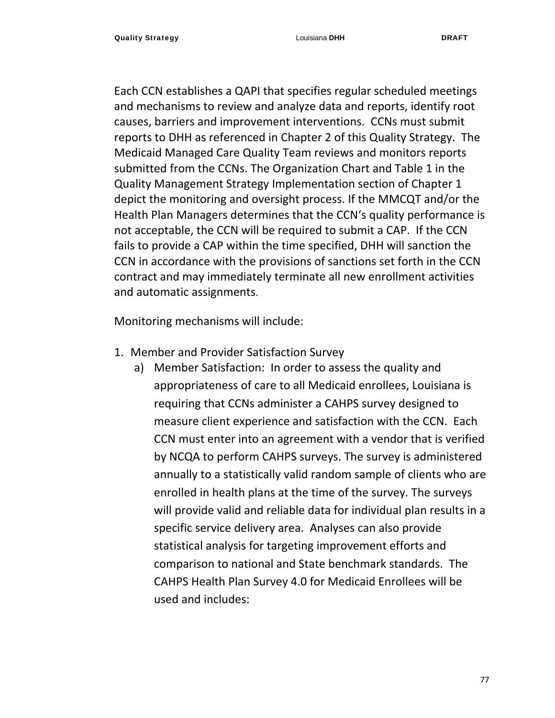Each CCN establishes a QAPI that specifies regular scheduled meetings and mechanisms to review and analyze data and reports, identify root causes, barriers and improvement interventions. CCNs must submit reports to DHH as referenced in Chapter 2 of this Quality Strategy. The Medicaid Managed Care Quality Team reviews and monitors reports submitted from the CCNs. The Organization Chart and Table 1 in the Quality Management Strategy Implementation section of Chapter 1 depict the monitoring and oversight process. If the MMCQT and/or the Health Plan Managers determines that the CCN's quality performance is not acceptable, the CCN will be required to submit a CAP. If the CCN fails to provide a CAP within the time specified, DHH will sanction the CCN in accordance with the provisions of sanctions set forth in the CCN contract and may immediately terminate all new enrollment activities and automatic assignments.

Monitoring mechanisms will include:

- 1. Member and Provider Satisfaction Survey
	- a) Member Satisfaction: In order to assess the quality and appropriateness of care to all Medicaid enrollees, Louisiana is requiring that CCNs administer a CAHPS survey designed to measure client experience and satisfaction with the CCN. Each CCN must enter into an agreement with a vendor that is verified by NCQA to perform CAHPS surveys. The survey is administered annually to a statistically valid random sample of clients who are enrolled in health plans at the time of the survey. The surveys will provide valid and reliable data for individual plan results in a specific service delivery area. Analyses can also provide statistical analysis for targeting improvement efforts and comparison to national and State benchmark standards. The CAHPS Health Plan Survey 4.0 for Medicaid Enrollees will be used and includes: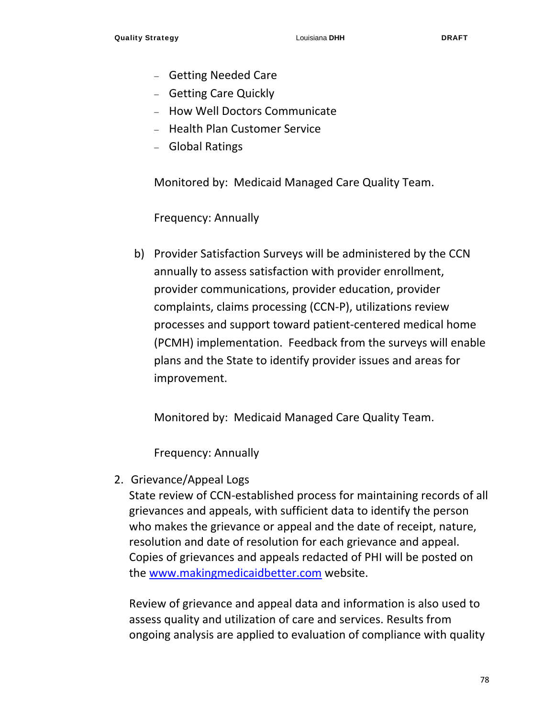- Getting Needed Care
- Getting Care Quickly
- How Well Doctors Communicate
- Health Plan Customer Service
- Global Ratings

Monitored by: Medicaid Managed Care Quality Team.

Frequency: Annually

b) Provider Satisfaction Surveys will be administered by the CCN annually to assess satisfaction with provider enrollment, provider communications, provider education, provider complaints, claims processing (CCN‐P), utilizations review processes and support toward patient‐centered medical home (PCMH) implementation. Feedback from the surveys will enable plans and the State to identify provider issues and areas for improvement.

Monitored by: Medicaid Managed Care Quality Team.

Frequency: Annually

2. Grievance/Appeal Logs

State review of CCN‐established process for maintaining records of all grievances and appeals, with sufficient data to identify the person who makes the grievance or appeal and the date of receipt, nature, resolution and date of resolution for each grievance and appeal. Copies of grievances and appeals redacted of PHI will be posted on the www.makingmedicaidbetter.com website.

Review of grievance and appeal data and information is also used to assess quality and utilization of care and services. Results from ongoing analysis are applied to evaluation of compliance with quality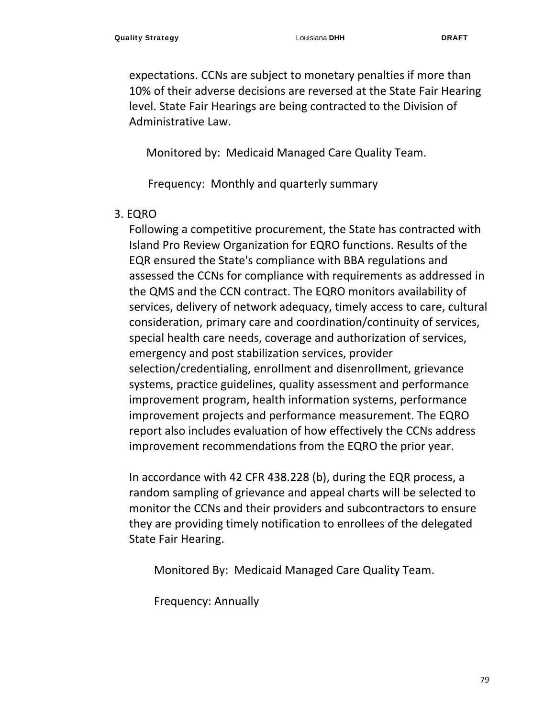expectations. CCNs are subject to monetary penalties if more than 10% of their adverse decisions are reversed at the State Fair Hearing level. State Fair Hearings are being contracted to the Division of Administrative Law.

Monitored by: Medicaid Managed Care Quality Team.

Frequency: Monthly and quarterly summary

#### 3. EQRO

Following a competitive procurement, the State has contracted with Island Pro Review Organization for EQRO functions. Results of the EQR ensured the State's compliance with BBA regulations and assessed the CCNs for compliance with requirements as addressed in the QMS and the CCN contract. The EQRO monitors availability of services, delivery of network adequacy, timely access to care, cultural consideration, primary care and coordination/continuity of services, special health care needs, coverage and authorization of services, emergency and post stabilization services, provider selection/credentialing, enrollment and disenrollment, grievance systems, practice guidelines, quality assessment and performance improvement program, health information systems, performance improvement projects and performance measurement. The EQRO report also includes evaluation of how effectively the CCNs address improvement recommendations from the EQRO the prior year.

In accordance with 42 CFR 438.228 (b), during the EQR process, a random sampling of grievance and appeal charts will be selected to monitor the CCNs and their providers and subcontractors to ensure they are providing timely notification to enrollees of the delegated State Fair Hearing.

Monitored By: Medicaid Managed Care Quality Team.

Frequency: Annually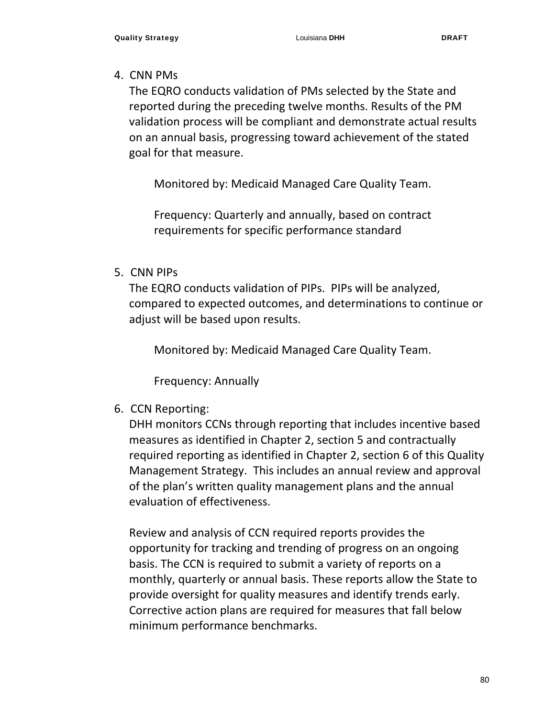#### 4. CNN PMs

The EQRO conducts validation of PMs selected by the State and reported during the preceding twelve months. Results of the PM validation process will be compliant and demonstrate actual results on an annual basis, progressing toward achievement of the stated goal for that measure.

Monitored by: Medicaid Managed Care Quality Team.

Frequency: Quarterly and annually, based on contract requirements for specific performance standard

#### 5. CNN PIPs

The EQRO conducts validation of PIPs. PIPs will be analyzed, compared to expected outcomes, and determinations to continue or adjust will be based upon results.

Monitored by: Medicaid Managed Care Quality Team.

Frequency: Annually

6. CCN Reporting:

DHH monitors CCNs through reporting that includes incentive based measures as identified in Chapter 2, section 5 and contractually required reporting as identified in Chapter 2, section 6 of this Quality Management Strategy. This includes an annual review and approval of the plan's written quality management plans and the annual evaluation of effectiveness.

Review and analysis of CCN required reports provides the opportunity for tracking and trending of progress on an ongoing basis. The CCN is required to submit a variety of reports on a monthly, quarterly or annual basis. These reports allow the State to provide oversight for quality measures and identify trends early. Corrective action plans are required for measures that fall below minimum performance benchmarks.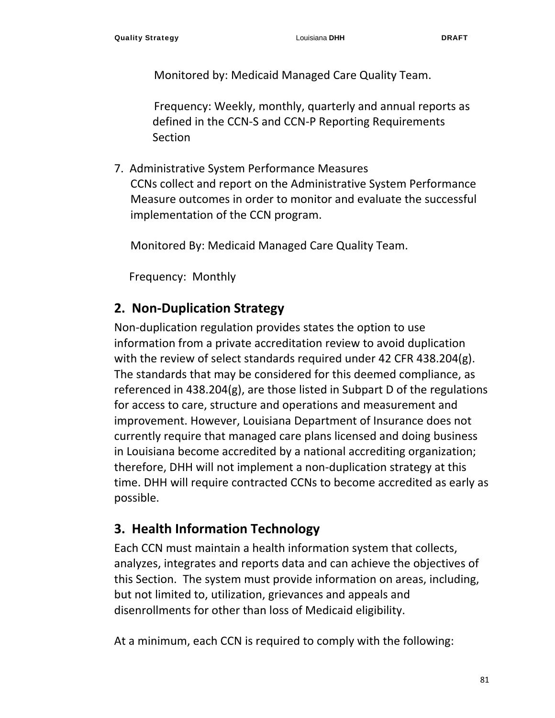Monitored by: Medicaid Managed Care Quality Team.

Frequency: Weekly, monthly, quarterly and annual reports as defined in the CCN‐S and CCN‐P Reporting Requirements Section

7. Administrative System Performance Measures CCNs collect and report on the Administrative System Performance Measure outcomes in order to monitor and evaluate the successful implementation of the CCN program.

Monitored By: Medicaid Managed Care Quality Team.

Frequency: Monthly

## **2. Non‐Duplication Strategy**

Non‐duplication regulation provides states the option to use information from a private accreditation review to avoid duplication with the review of select standards required under 42 CFR 438.204(g). The standards that may be considered for this deemed compliance, as referenced in 438.204(g), are those listed in Subpart D of the regulations for access to care, structure and operations and measurement and improvement. However, Louisiana Department of Insurance does not currently require that managed care plans licensed and doing business in Louisiana become accredited by a national accrediting organization; therefore, DHH will not implement a non‐duplication strategy at this time. DHH will require contracted CCNs to become accredited as early as possible.

#### **3. Health Information Technology**

Each CCN must maintain a health information system that collects, analyzes, integrates and reports data and can achieve the objectives of this Section. The system must provide information on areas, including, but not limited to, utilization, grievances and appeals and disenrollments for other than loss of Medicaid eligibility.

At a minimum, each CCN is required to comply with the following: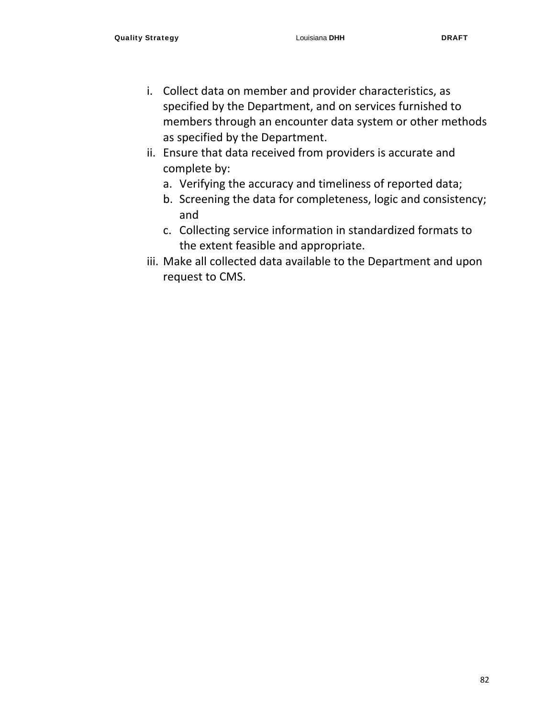- i. Collect data on member and provider characteristics, as specified by the Department, and on services furnished to members through an encounter data system or other methods as specified by the Department.
- ii. Ensure that data received from providers is accurate and complete by:
	- a. Verifying the accuracy and timeliness of reported data;
	- b. Screening the data for completeness, logic and consistency; and
	- c. Collecting service information in standardized formats to the extent feasible and appropriate.
- iii. Make all collected data available to the Department and upon request to CMS.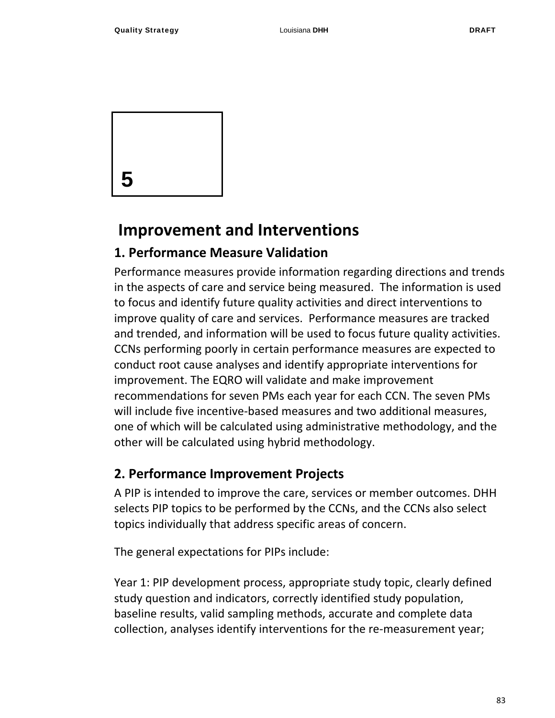

## **Improvement and Interventions**

#### **1. Performance Measure Validation**

Performance measures provide information regarding directions and trends in the aspects of care and service being measured. The information is used to focus and identify future quality activities and direct interventions to improve quality of care and services. Performance measures are tracked and trended, and information will be used to focus future quality activities. CCNs performing poorly in certain performance measures are expected to conduct root cause analyses and identify appropriate interventions for improvement. The EQRO will validate and make improvement recommendations for seven PMs each year for each CCN. The seven PMs will include five incentive-based measures and two additional measures, one of which will be calculated using administrative methodology, and the other will be calculated using hybrid methodology.

#### **2. Performance Improvement Projects**

A PIP is intended to improve the care, services or member outcomes. DHH selects PIP topics to be performed by the CCNs, and the CCNs also select topics individually that address specific areas of concern.

The general expectations for PIPs include:

Year 1: PIP development process, appropriate study topic, clearly defined study question and indicators, correctly identified study population, baseline results, valid sampling methods, accurate and complete data collection, analyses identify interventions for the re‐measurement year;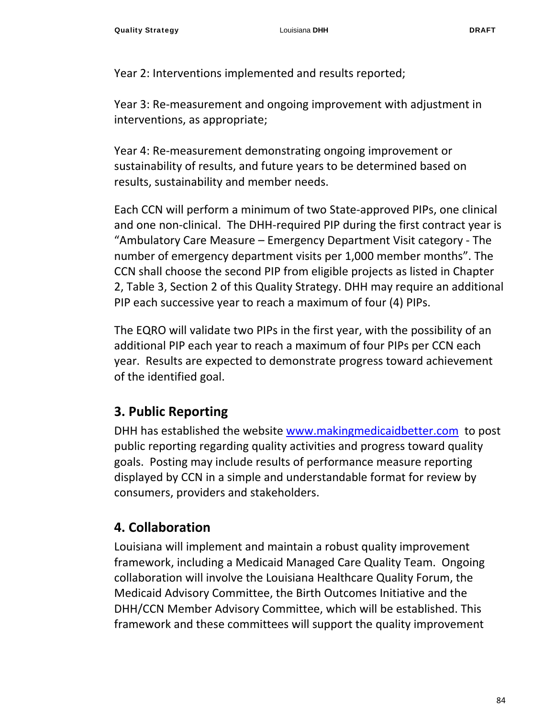Year 2: Interventions implemented and results reported;

Year 3: Re-measurement and ongoing improvement with adjustment in interventions, as appropriate;

Year 4: Re‐measurement demonstrating ongoing improvement or sustainability of results, and future years to be determined based on results, sustainability and member needs.

Each CCN will perform a minimum of two State‐approved PIPs, one clinical and one non‐clinical. The DHH‐required PIP during the first contract year is "Ambulatory Care Measure – Emergency Department Visit category ‐ The number of emergency department visits per 1,000 member months". The CCN shall choose the second PIP from eligible projects as listed in Chapter 2, Table 3, Section 2 of this Quality Strategy. DHH may require an additional PIP each successive year to reach a maximum of four (4) PIPs.

The EQRO will validate two PIPs in the first year, with the possibility of an additional PIP each year to reach a maximum of four PIPs per CCN each year. Results are expected to demonstrate progress toward achievement of the identified goal.

#### **3. Public Reporting**

DHH has established the website www.makingmedicaidbetter.com to post public reporting regarding quality activities and progress toward quality goals. Posting may include results of performance measure reporting displayed by CCN in a simple and understandable format for review by consumers, providers and stakeholders.

## **4. Collaboration**

Louisiana will implement and maintain a robust quality improvement framework, including a Medicaid Managed Care Quality Team. Ongoing collaboration will involve the Louisiana Healthcare Quality Forum, the Medicaid Advisory Committee, the Birth Outcomes Initiative and the DHH/CCN Member Advisory Committee, which will be established. This framework and these committees will support the quality improvement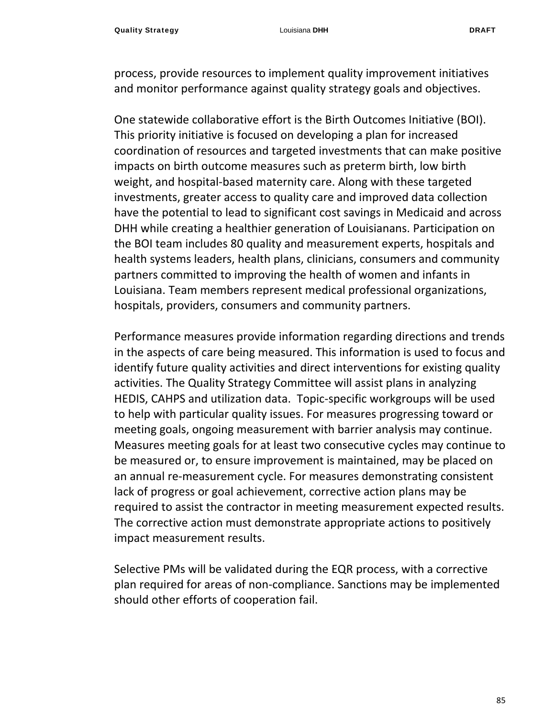process, provide resources to implement quality improvement initiatives and monitor performance against quality strategy goals and objectives.

One statewide collaborative effort is the Birth Outcomes Initiative (BOI). This priority initiative is focused on developing a plan for increased coordination of resources and targeted investments that can make positive impacts on birth outcome measures such as preterm birth, low birth weight, and hospital-based maternity care. Along with these targeted investments, greater access to quality care and improved data collection have the potential to lead to significant cost savings in Medicaid and across DHH while creating a healthier generation of Louisianans. Participation on the BOI team includes 80 quality and measurement experts, hospitals and health systems leaders, health plans, clinicians, consumers and community partners committed to improving the health of women and infants in Louisiana. Team members represent medical professional organizations, hospitals, providers, consumers and community partners.

Performance measures provide information regarding directions and trends in the aspects of care being measured. This information is used to focus and identify future quality activities and direct interventions for existing quality activities. The Quality Strategy Committee will assist plans in analyzing HEDIS, CAHPS and utilization data. Topic‐specific workgroups will be used to help with particular quality issues. For measures progressing toward or meeting goals, ongoing measurement with barrier analysis may continue. Measures meeting goals for at least two consecutive cycles may continue to be measured or, to ensure improvement is maintained, may be placed on an annual re‐measurement cycle. For measures demonstrating consistent lack of progress or goal achievement, corrective action plans may be required to assist the contractor in meeting measurement expected results. The corrective action must demonstrate appropriate actions to positively impact measurement results.

Selective PMs will be validated during the EQR process, with a corrective plan required for areas of non‐compliance. Sanctions may be implemented should other efforts of cooperation fail.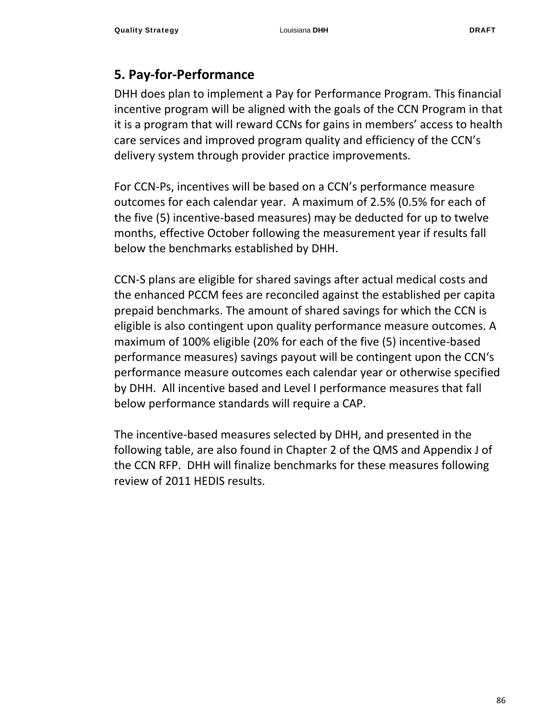## **5. Pay‐for‐Performance**

DHH does plan to implement a Pay for Performance Program. This financial incentive program will be aligned with the goals of the CCN Program in that it is a program that will reward CCNs for gains in members' access to health care services and improved program quality and efficiency of the CCN's delivery system through provider practice improvements.

For CCN‐Ps, incentives will be based on a CCN's performance measure outcomes for each calendar year. A maximum of 2.5% (0.5% for each of the five (5) incentive‐based measures) may be deducted for up to twelve months, effective October following the measurement year if results fall below the benchmarks established by DHH.

CCN‐S plans are eligible for shared savings after actual medical costs and the enhanced PCCM fees are reconciled against the established per capita prepaid benchmarks. The amount of shared savings for which the CCN is eligible is also contingent upon quality performance measure outcomes. A maximum of 100% eligible (20% for each of the five (5) incentive‐based performance measures) savings payout will be contingent upon the CCN's performance measure outcomes each calendar year or otherwise specified by DHH. All incentive based and Level I performance measures that fall below performance standards will require a CAP.

The incentive‐based measures selected by DHH, and presented in the following table, are also found in Chapter 2 of the QMS and Appendix J of the CCN RFP. DHH will finalize benchmarks for these measures following review of 2011 HEDIS results.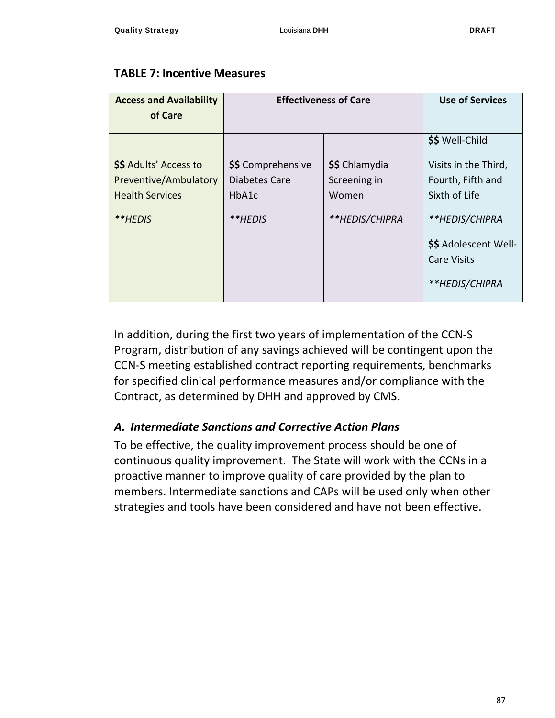#### **TABLE 7: Incentive Measures**

| <b>Access and Availability</b><br>of Care                                 | <b>Effectiveness of Care</b>                 | <b>Use of Services</b>                  |                                                               |
|---------------------------------------------------------------------------|----------------------------------------------|-----------------------------------------|---------------------------------------------------------------|
|                                                                           |                                              |                                         |                                                               |
|                                                                           |                                              |                                         | \$\$ Well-Child                                               |
| \$\$ Adults' Access to<br>Preventive/Ambulatory<br><b>Health Services</b> | \$\$ Comprehensive<br>Diabetes Care<br>HbA1c | \$\$ Chlamydia<br>Screening in<br>Women | Visits in the Third,<br>Fourth, Fifth and<br>Sixth of Life    |
| **HEDIS                                                                   | **HEDIS                                      | **HEDIS/CHIPRA                          | **HEDIS/CHIPRA                                                |
|                                                                           |                                              |                                         | \$\$ Adolescent Well-<br><b>Care Visits</b><br>**HEDIS/CHIPRA |
|                                                                           |                                              |                                         |                                                               |

In addition, during the first two years of implementation of the CCN‐S Program, distribution of any savings achieved will be contingent upon the CCN‐S meeting established contract reporting requirements, benchmarks for specified clinical performance measures and/or compliance with the Contract, as determined by DHH and approved by CMS.

#### *A. Intermediate Sanctions and Corrective Action Plans*

To be effective, the quality improvement process should be one of continuous quality improvement. The State will work with the CCNs in a proactive manner to improve quality of care provided by the plan to members. Intermediate sanctions and CAPs will be used only when other strategies and tools have been considered and have not been effective.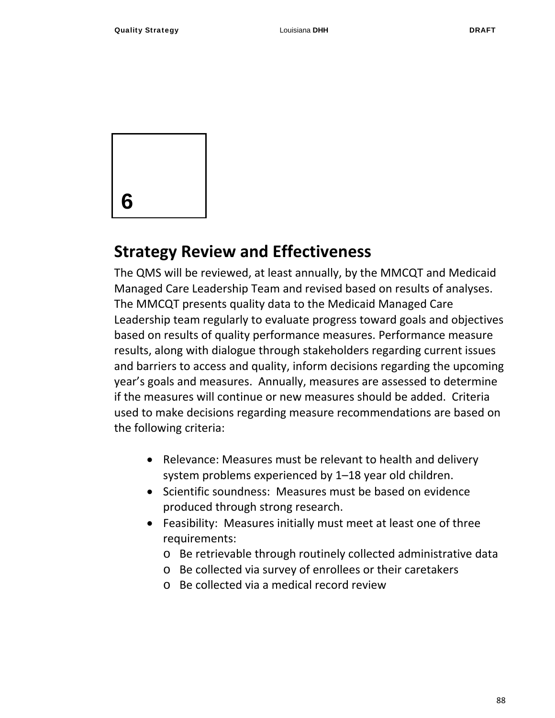

## **Strategy Review and Effectiveness**

The QMS will be reviewed, at least annually, by the MMCQT and Medicaid Managed Care Leadership Team and revised based on results of analyses. The MMCQT presents quality data to the Medicaid Managed Care Leadership team regularly to evaluate progress toward goals and objectives based on results of quality performance measures. Performance measure results, along with dialogue through stakeholders regarding current issues and barriers to access and quality, inform decisions regarding the upcoming year's goals and measures. Annually, measures are assessed to determine if the measures will continue or new measures should be added. Criteria used to make decisions regarding measure recommendations are based on the following criteria:

- Relevance: Measures must be relevant to health and delivery system problems experienced by 1–18 year old children.
- Scientific soundness: Measures must be based on evidence produced through strong research.
- Feasibility: Measures initially must meet at least one of three requirements:
	- o Be retrievable through routinely collected administrative data
	- o Be collected via survey of enrollees or their caretakers
	- o Be collected via a medical record review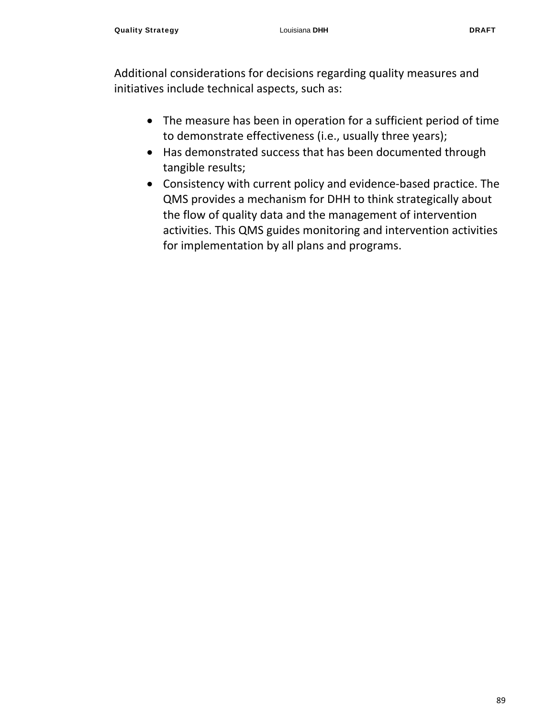Additional considerations for decisions regarding quality measures and initiatives include technical aspects, such as:

- The measure has been in operation for a sufficient period of time to demonstrate effectiveness (i.e., usually three years);
- Has demonstrated success that has been documented through tangible results;
- Consistency with current policy and evidence‐based practice. The QMS provides a mechanism for DHH to think strategically about the flow of quality data and the management of intervention activities. This QMS guides monitoring and intervention activities for implementation by all plans and programs.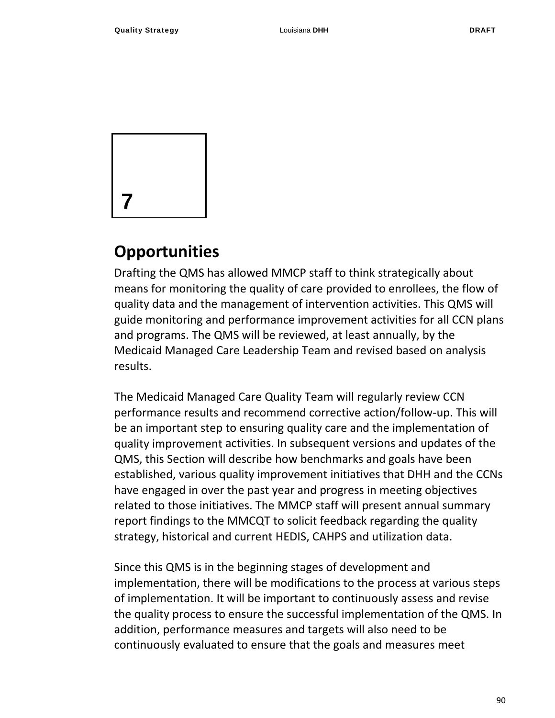

## **Opportunities**

Drafting the QMS has allowed MMCP staff to think strategically about means for monitoring the quality of care provided to enrollees, the flow of quality data and the management of intervention activities. This QMS will guide monitoring and performance improvement activities for all CCN plans and programs. The QMS will be reviewed, at least annually, by the Medicaid Managed Care Leadership Team and revised based on analysis results.

The Medicaid Managed Care Quality Team will regularly review CCN performance results and recommend corrective action/follow‐up. This will be an important step to ensuring quality care and the implementation of quality improvement activities. In subsequent versions and updates of the QMS, this Section will describe how benchmarks and goals have been established, various quality improvement initiatives that DHH and the CCNs have engaged in over the past year and progress in meeting objectives related to those initiatives. The MMCP staff will present annual summary report findings to the MMCQT to solicit feedback regarding the quality strategy, historical and current HEDIS, CAHPS and utilization data.

Since this QMS is in the beginning stages of development and implementation, there will be modifications to the process at various steps of implementation. It will be important to continuously assess and revise the quality process to ensure the successful implementation of the QMS. In addition, performance measures and targets will also need to be continuously evaluated to ensure that the goals and measures meet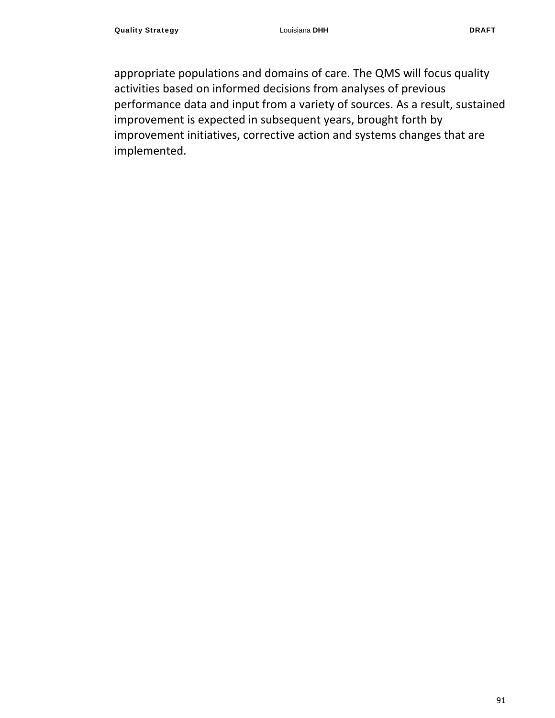appropriate populations and domains of care. The QMS will focus quality activities based on informed decisions from analyses of previous performance data and input from a variety of sources. As a result, sustained improvement is expected in subsequent years, brought forth by improvement initiatives, corrective action and systems changes that are implemented.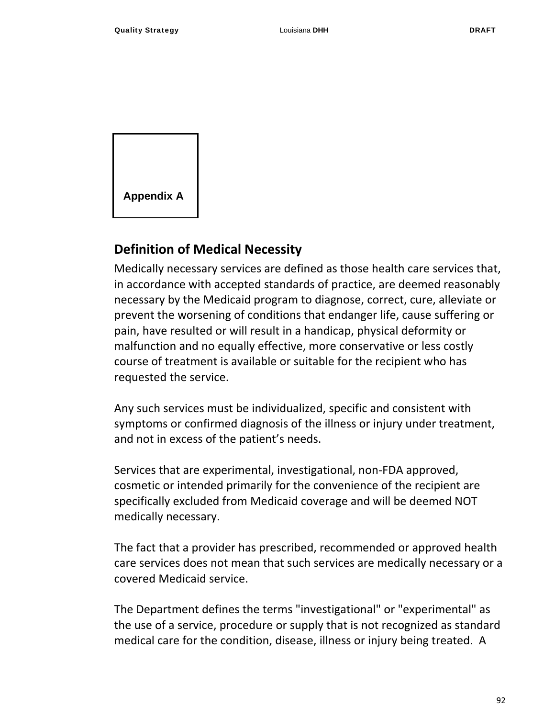

#### **Definition of Medical Necessity**

Medically necessary services are defined as those health care services that, in accordance with accepted standards of practice, are deemed reasonably necessary by the Medicaid program to diagnose, correct, cure, alleviate or prevent the worsening of conditions that endanger life, cause suffering or pain, have resulted or will result in a handicap, physical deformity or malfunction and no equally effective, more conservative or less costly course of treatment is available or suitable for the recipient who has requested the service.

Any such services must be individualized, specific and consistent with symptoms or confirmed diagnosis of the illness or injury under treatment, and not in excess of the patient's needs.

Services that are experimental, investigational, non‐FDA approved, cosmetic or intended primarily for the convenience of the recipient are specifically excluded from Medicaid coverage and will be deemed NOT medically necessary.

The fact that a provider has prescribed, recommended or approved health care services does not mean that such services are medically necessary or a covered Medicaid service.

The Department defines the terms "investigational" or "experimental" as the use of a service, procedure or supply that is not recognized as standard medical care for the condition, disease, illness or injury being treated. A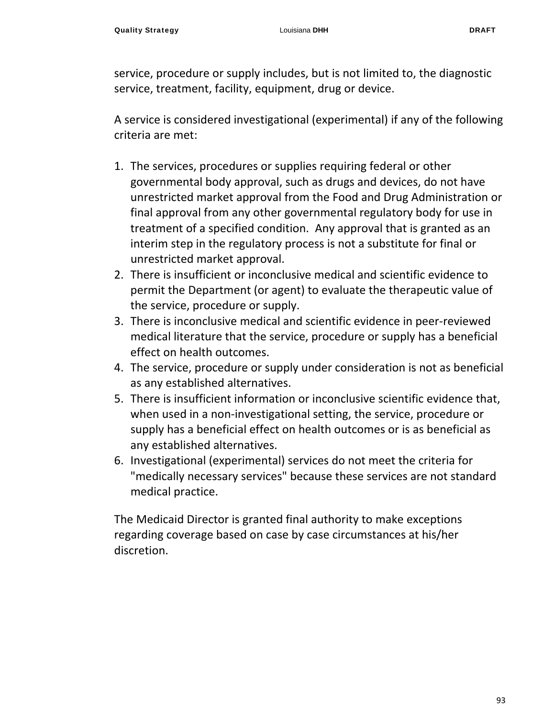service, procedure or supply includes, but is not limited to, the diagnostic service, treatment, facility, equipment, drug or device.

A service is considered investigational (experimental) if any of the following criteria are met:

- 1. The services, procedures or supplies requiring federal or other governmental body approval, such as drugs and devices, do not have unrestricted market approval from the Food and Drug Administration or final approval from any other governmental regulatory body for use in treatment of a specified condition. Any approval that is granted as an interim step in the regulatory process is not a substitute for final or unrestricted market approval.
- 2. There is insufficient or inconclusive medical and scientific evidence to permit the Department (or agent) to evaluate the therapeutic value of the service, procedure or supply.
- 3. There is inconclusive medical and scientific evidence in peer‐reviewed medical literature that the service, procedure or supply has a beneficial effect on health outcomes.
- 4. The service, procedure or supply under consideration is not as beneficial as any established alternatives.
- 5. There is insufficient information or inconclusive scientific evidence that, when used in a non-investigational setting, the service, procedure or supply has a beneficial effect on health outcomes or is as beneficial as any established alternatives.
- 6. Investigational (experimental) services do not meet the criteria for "medically necessary services" because these services are not standard medical practice.

The Medicaid Director is granted final authority to make exceptions regarding coverage based on case by case circumstances at his/her discretion.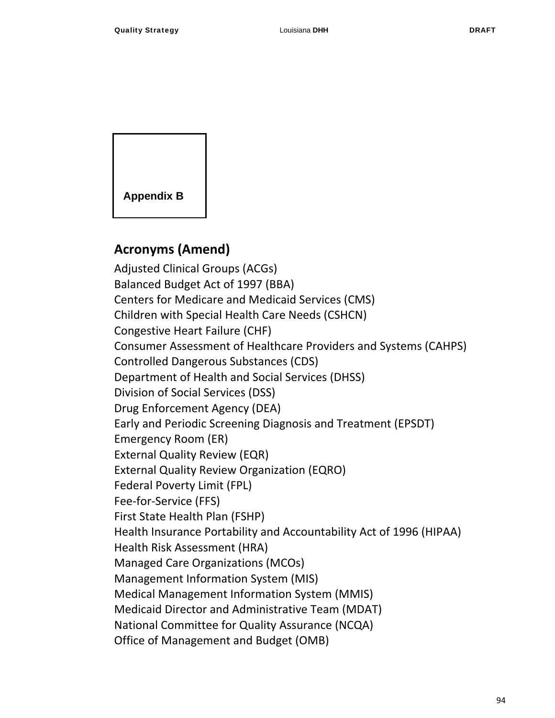

## **Acronyms (Amend)**

Adjusted Clinical Groups (ACGs) Balanced Budget Act of 1997 (BBA) Centers for Medicare and Medicaid Services (CMS) Children with Special Health Care Needs (CSHCN) Congestive Heart Failure (CHF) Consumer Assessment of Healthcare Providers and Systems (CAHPS) Controlled Dangerous Substances (CDS) Department of Health and Social Services (DHSS) Division of Social Services (DSS) Drug Enforcement Agency (DEA) Early and Periodic Screening Diagnosis and Treatment (EPSDT) Emergency Room (ER) External Quality Review (EQR) External Quality Review Organization (EQRO) Federal Poverty Limit (FPL) Fee‐for‐Service (FFS) First State Health Plan (FSHP) Health Insurance Portability and Accountability Act of 1996 (HIPAA) Health Risk Assessment (HRA) Managed Care Organizations (MCOs) Management Information System (MIS) Medical Management Information System (MMIS) Medicaid Director and Administrative Team (MDAT) National Committee for Quality Assurance (NCQA) Office of Management and Budget (OMB)